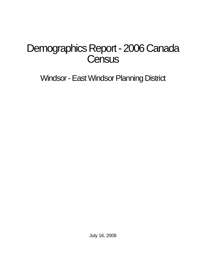# Demographics Report - 2006 Canada **Census**

Windsor - East Windsor Planning District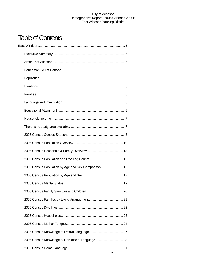## Table of Contents

| 2006 Census Population by Age and Sex Comparison 16 |  |
|-----------------------------------------------------|--|
|                                                     |  |
|                                                     |  |
|                                                     |  |
|                                                     |  |
|                                                     |  |
|                                                     |  |
|                                                     |  |
|                                                     |  |
| 2006 Census Knowledge of Non-official Language  28  |  |
|                                                     |  |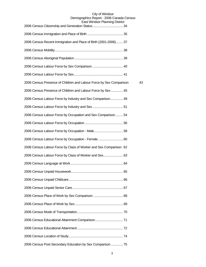| Last VVIIIWSUI FIAHIIIIIY DISUIGL                                   |    |
|---------------------------------------------------------------------|----|
|                                                                     |    |
| 2006 Census Recent Immigration and Place of Birth (2001-2006) 37    |    |
|                                                                     |    |
|                                                                     |    |
|                                                                     |    |
|                                                                     |    |
| 2006 Census Presence of Children and Labour Force by Sex Comparison | 43 |
| 2006 Census Presence of Children and Labour Force by Sex  45        |    |
| 2006 Census Labour Force by Industry and Sex Comparison 49          |    |
|                                                                     |    |
| 2006 Census Labour Force by Occupation and Sex Comparison 54        |    |
|                                                                     |    |
|                                                                     |    |
| 2006 Census Labour Force by Occupation - Female  60                 |    |
| 2006 Census Labour Force by Class of Worker and Sex Comparison. 62  |    |
| 2006 Census Labour Force by Class of Worker and Sex 63              |    |
|                                                                     |    |
|                                                                     |    |
|                                                                     |    |
|                                                                     |    |
|                                                                     |    |
|                                                                     |    |
|                                                                     |    |
|                                                                     |    |
|                                                                     |    |
|                                                                     |    |
| 2006 Census Post Secondary Education by Sex Comparison  75          |    |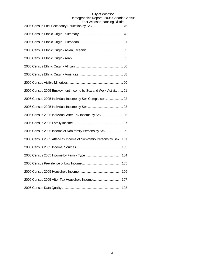| 2006 Census 2005 Employment Income by Sex and Work Activity  91    |
|--------------------------------------------------------------------|
| 2006 Census 2005 Individual Income by Sex Comparison 92            |
|                                                                    |
| 2006 Census 2005 Individual After-Tax Income by Sex 95             |
|                                                                    |
| 2006 Census 2005 Income of Non-family Persons by Sex  99           |
| 2006 Census 2005 After-Tax Income of Non-family Persons by Sex 101 |
|                                                                    |
|                                                                    |
|                                                                    |
|                                                                    |
| 2006 Census 2005 After-Tax Household Income  107                   |
|                                                                    |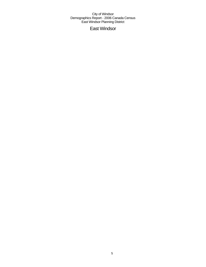East Windsor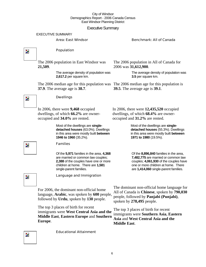## Executive Summary

EXECUTIVE SUMMARY

## Area: East Windsor Benchmark: All of Canada

 $\overline{\mathbf{z}}$ 

Z.

## Population

**Dwellings** 

In 2006, there were **9,468** occupied dwellings, of which **66.2%** are owner-

occupied and **34.0%** are rented.

Families

The 2006 population in East Windsor was **21,509**.

> The average density of population was **2,617.2** per square km.

The 2006 median age for this population was The 2006 median age for this population is **37.9**. The average age is **38.7**.

The 2006 population in All of Canada for 2006 was **31,612,900**.

> The average density of population was **3.5** per square km.

**39.5**. The average age is **39.1**.

In 2006, there were **12,435,520** occupied dwellings, of which **68.4%** are owneroccupied and **31.2%** are rented.

> Most of the dwellings are **singledetached houses** (55.3%). Dwellings in this area were mostly built **between 1971 to 1980** (19.5%).

Of the **8,896,840** families in the area, **7,482,775** are married or common law couples; **4,061,930** of the couples have one or more children at home. There are **1,414,060** single-parent families.

Z.

Language and Immigration

Of the **5,971** families in the area, **4,368**  are married or common law couples; **2,388** of the couples have one or more children at home. There are **1,581** 

Most of the dwellings are **singledetached houses** (63.0%). Dwellings in this area were mostly built **between** 

**1946 to 1960** (35.2%).

single-parent families.

For 2006, the dominant non-official home language, **Arabic**, was spoken by **600** people, followed by **Urdu**, spoken by **130** people.

The top 3 places of birth for recent immigrants were **West Central Asia and the Middle East**, **Eastern Europe** and **Southern Europe**.

Educational Attainment

The dominant non-official home language for All of Canada is **Chinese**, spoken by **790,030** people, followed by **Panjabi (Punjabi)**, spoken by **278,495** people.

The top 3 places of birth for recent immigrants were **Southern Asia**, **Eastern Asia** and **West Central Asia and the Middle East**.

 $\overline{\phantom{a}}$ 

Þ.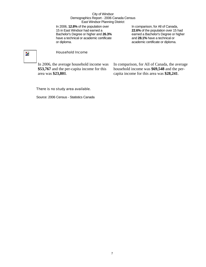In 2006, **12.8%** of the population over 15 in East Windsor had earned a Bachelor's Degree or higher and **26.3%** have a technical or academic certificate or diploma.

In comparison, for All of Canada, **22.6%** of the population over 15 had earned a Bachelor's Degree or higher and **28.1%** have a technical or academic certificate or diploma.

## $\overline{\phantom{a}}$

## Household Income

In 2006, the average household income was **\$53,767** and the per-capita income for this area was **\$23,801**.

In comparison, for All of Canada, the average household income was **\$69,548** and the percapita income for this area was **\$28,241**.

## There is no study area available.

Source: 2006 Census - Statistics Canada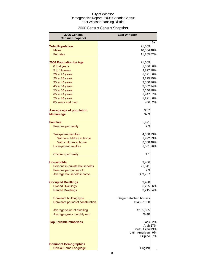## 2006 Census Census Snapshot

| 2006 Census                      | <b>East Windsor</b>    |    |
|----------------------------------|------------------------|----|
| <b>Census Snapshot</b>           |                        |    |
| <b>Total Population</b>          | 21,509                 | %  |
| <b>Males</b>                     | 10,304 48%             |    |
| <b>Females</b>                   | 11,20552%              |    |
|                                  |                        |    |
| <b>2006 Population by Age</b>    | 21,509                 |    |
| 0 to 4 years                     | 1,366 6%               |    |
| 5 to 19 years                    | 3,877 18%              |    |
| 20 to 24 years                   | 1,321 6%               |    |
| 25 to 34 years                   | 3,275 15%              |    |
| 35 to 44 years                   | 3,350 16%              |    |
| 45 to 54 years                   | 3,052 14%              |    |
| 55 to 64 years                   | 2,146 10%              |    |
| 65 to 74 years                   | 1,447                  | 7% |
| 75 to 84 years                   | 1,221                  | 6% |
| 85 years and over                | 456                    | 2% |
| <b>Average age of population</b> | 38.7                   |    |
| <b>Median age</b>                | 37.9                   |    |
|                                  |                        |    |
| <b>Families</b>                  | 5,971                  |    |
| Persons per family               | 2.9                    |    |
| <b>Two-parent families</b>       | 4,368 73%              |    |
| With no children at home         | 1,992 33%              |    |
| With children at home            | 2,388 40%              |    |
| Lone-parent families             | 1,581 26%              |    |
|                                  |                        |    |
| Children per family              | 1.1                    |    |
| <b>Households</b>                | 9,456                  |    |
| Persons in private households    | 21,341                 |    |
| Persons per household            | 2.3                    |    |
| Average household income         | \$53,767               |    |
|                                  |                        |    |
| <b>Occupied Dwellings</b>        | 9,468                  |    |
| <b>Owned Dwellings</b>           | 6,265 66%              |    |
| <b>Rented Dwellings</b>          | 3,215 34%              |    |
| Dominant building type           | Single detached houses |    |
| Dominant period of construction  | 1946 - 1960            |    |
|                                  |                        |    |
| Average value of dwelling        | \$135,085              |    |
| Average gross monthly rent       | \$740                  |    |
| <b>Top 5 visible minorities</b>  | Black 32%              |    |
|                                  | Arab <sub>27%</sub>    |    |
|                                  | South Asian 13%        |    |
|                                  | Latin American         | 9% |
|                                  | Filipino               | 7% |
| <b>Dominant Demographics</b>     |                        |    |
| <b>Official Home Language</b>    | English                |    |
|                                  |                        |    |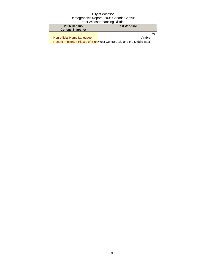| 2006 Census<br><b>Census Snapshot</b> | <b>East Windsor</b>                                                    |   |
|---------------------------------------|------------------------------------------------------------------------|---|
|                                       |                                                                        | % |
| Non-official Home Language            | Arabid                                                                 |   |
|                                       | Recent Immigrant Places of Birth West Central Asia and the Middle East |   |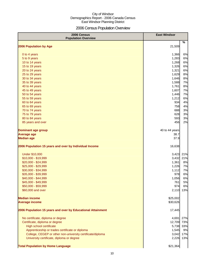## 2006 Census Population Overview

| 2006 Census<br><b>Population Overview</b>                   | <b>East Windsor</b> |     |
|-------------------------------------------------------------|---------------------|-----|
| 2006 Population by Age                                      | 21,509              | %   |
|                                                             |                     |     |
| 0 to 4 years                                                | 1,366               | 6%  |
| 5 to 9 years                                                | 1,283               | 6%  |
| 10 to 14 years                                              | 1,268               | 6%  |
| 15 to 19 years                                              | 1,326               | 6%  |
| 20 to 24 years                                              | 1,321               | 6%  |
| 25 to 29 years                                              | 1,629               | 8%  |
| 30 to 34 years                                              | 1,646               | 8%  |
| 35 to 39 years                                              | 1,588               | 7%  |
| 40 to 44 years                                              | 1,761               | 8%  |
| 45 to 49 years                                              | 1,607               | 7%  |
| 50 to 54 years                                              | 1,446               | 7%  |
| 55 to 59 years                                              | 1,212               | 6%  |
| 60 to 64 years                                              | 934                 | 4%  |
| 65 to 69 years                                              | 758                 | 4%  |
| 70 to 74 years                                              | 688                 | 3%  |
| 75 to 79 years                                              | 628                 | 3%  |
| 80 to 84 years                                              | 593                 | 3%  |
| 85 years and over                                           | 456                 | 2%  |
| <b>Dominant age group</b>                                   | 40 to 44 years      |     |
| <b>Average age</b>                                          | 38.7                |     |
| <b>Median age</b>                                           | 37.9                |     |
| 2006 Population 15 years and over by Individual Income      | 16,638              |     |
| <b>Under \$10,000</b>                                       | 3,423               | 21% |
| \$10,000 - \$19,999                                         | 3,432               | 21% |
| \$20,000 - \$24,999                                         | 1,361               | 8%  |
| \$25,000 - \$29,999                                         | 1,226               | 7%  |
| \$30,000 - \$34,999                                         | 1,112               | 7%  |
| \$35,000 - \$39,999                                         | 978                 | 6%  |
| \$40,000 - \$44,999                                         | 1,056               | 6%  |
| \$45,000 - \$49,999                                         | 761                 | 5%  |
| \$50,000 - \$59,999                                         | 974                 | 6%  |
| \$60,000 and over                                           | 2,110               | 13% |
| <b>Median income</b>                                        | \$25,002            |     |
| <b>Average income</b>                                       | \$30,626            |     |
| 2006 Population 15 years and over by Educational Attainment | 17,445              |     |
| No certificate, diploma or degree                           | 4,691               | 27% |
| Certificate, diploma or degree                              | 12,709              | 73% |
| High school certificate                                     | 5,738               | 33% |
| Apprenticeship or trades certificate or diploma             | 1,545               | 9%  |
| College, CEGEP or other non-university certificate/diploma  | 3,042               | 17% |
| University certificate, diploma or degree                   | 2,226               | 13% |
| <b>Total Population by Home Language</b>                    | \$21,364            |     |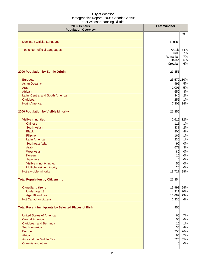| 2006 Census<br><b>Population Overview</b>                  | <b>East Windsor</b> |          |
|------------------------------------------------------------|---------------------|----------|
|                                                            |                     | $\%$     |
|                                                            |                     |          |
| <b>Dominant Official Language</b>                          | English             |          |
| <b>Top 5 Non-official Languages</b>                        | Arabic              | 34%      |
|                                                            | Urdu                | 7%       |
|                                                            | Romanian            | 7%       |
|                                                            | Italian<br>Croatian | 6%<br>6% |
|                                                            |                     |          |
| 2006 Population by Ethnic Origin                           | 21,351              |          |
| European                                                   | 23,579 110%         |          |
| Asian, Oceanic                                             | 995                 | 5%       |
| Arab                                                       | 1,001               | 5%       |
| African                                                    | 650                 | 3%       |
| Latin, Central and South American                          | 345                 | 2%       |
| Caribbean                                                  | 256                 | 1%       |
| <b>North American</b>                                      | 7,309               | 34%      |
| 2006 Population by Visible Minority                        | 21,356              |          |
|                                                            |                     |          |
| Visible minorities                                         | 2,619               | 12%      |
| <b>Chinese</b>                                             | 115                 | 1%       |
| South Asian                                                | 331                 | 2%       |
| <b>Black</b>                                               | 805                 | 4%       |
| Filipino                                                   | 165                 | 1%       |
| <b>Latin American</b>                                      | 235                 | 1%       |
| <b>Southeast Asian</b>                                     | 90                  | 0%       |
| Arab                                                       | 673<br>80           | 3%<br>0% |
| <b>West Asian</b><br><b>Korean</b>                         | 10                  | 0%       |
| Japanese                                                   | $\overline{0}$      | 0%       |
| Visible minority, n.i.e.                                   | 55                  | 0%       |
| Multiple visible minority                                  | 20                  | 0%       |
| Not a visible minority                                     | 18,727              | 88%      |
|                                                            |                     |          |
| <b>Total Population by Citizenship</b>                     | 21,354              |          |
| Canadian citizens                                          | 19,993              | 94%      |
| Under age 18                                               | 4,311               | 20%      |
| Age 18 and over                                            | 15,682              | 73%      |
| Not Canadian citizens                                      | 1,336               | 6%       |
| <b>Total Recent Immigrants by Selected Places of Birth</b> | 955                 |          |
| <b>United States of America</b>                            | 65                  | 7%       |
| <b>Central America</b>                                     | 55                  | 6%       |
| <b>Caribbean and Bermuda</b>                               | 10                  | 1%       |
| South America                                              | 35                  | 4%       |
| Europe                                                     | 250                 | 26%      |
| Africa                                                     | 65                  | 7%       |
| Asia and the Middle East                                   | 525                 | 55%      |
| Oceania and other                                          | $\mathbf 0$         | 0%       |
|                                                            |                     |          |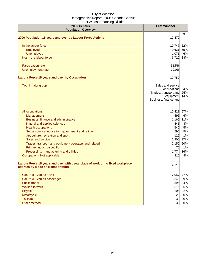| 2006 Census<br><b>Population Overview</b>                                                                          | <b>East Windsor</b>                                                                             |                   |
|--------------------------------------------------------------------------------------------------------------------|-------------------------------------------------------------------------------------------------|-------------------|
|                                                                                                                    |                                                                                                 | %                 |
| 2006 Population 15 years and over by Labour Force Activity                                                         | 17,470                                                                                          |                   |
| In the labour force                                                                                                | 10,747                                                                                          | 62%               |
| Employed                                                                                                           | 9,631                                                                                           | 55%               |
| Unemployed                                                                                                         | 1,071                                                                                           | 6%                |
| Not in the labour force                                                                                            | 6,720                                                                                           | 38%               |
| Participation rate                                                                                                 | 61.5%                                                                                           |                   |
| Unemployment rate                                                                                                  | 10.0%                                                                                           |                   |
| <b>Labour Force 15 years and over by Occupation</b>                                                                | 10,752                                                                                          |                   |
| Top 3 major group                                                                                                  | Sales and service<br>occupations<br>Trades, transport and<br>equipment<br>Business, finance and | 34%<br>25%<br>14% |
| All occupations                                                                                                    | 10,421                                                                                          | 97%               |
| Management                                                                                                         | 596                                                                                             | 6%                |
| Business, finance and administrative                                                                               | 1,169                                                                                           | 11%               |
| Natural and applied sciences                                                                                       | 341                                                                                             | 3%                |
| <b>Health occupations</b>                                                                                          | 540                                                                                             | 5%                |
| Social science, education, government and religion                                                                 | 590                                                                                             | 5%                |
| Art, culture, recreation and sport                                                                                 | 125                                                                                             | 1%                |
| Sales and service                                                                                                  | 2,900                                                                                           | 27%               |
| Trades, transport and equipment operators and related                                                              | 2,150                                                                                           | 20%               |
| Primary industry-specific                                                                                          | 75                                                                                              | 1%                |
| Processing, manufacturing and utilities                                                                            | 1,774                                                                                           | 16%               |
| Occupation - Not applicable                                                                                        | 316                                                                                             | 3%                |
| Labour Force 15 years and over with usual place of work or no fixed workplace<br>address by Mode of Transportation | 9,116                                                                                           |                   |
| Car, truck, van as driver                                                                                          |                                                                                                 | 7,057 77%         |
| Car, truck, van as passenger                                                                                       | 848                                                                                             | 9%                |
| <b>Public transit</b>                                                                                              | 395                                                                                             | 4%                |
| Walked to work                                                                                                     | 515                                                                                             | 6%                |
| <b>Bicycle</b>                                                                                                     | 205                                                                                             | 2%                |
| Motorcycle                                                                                                         | 20                                                                                              | 0%                |
| <b>Taxicab</b>                                                                                                     | 30                                                                                              | 0%                |
| Other method                                                                                                       | 30                                                                                              | 0%                |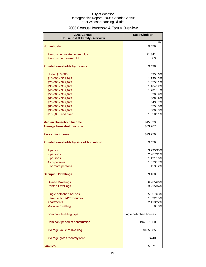## 2006 Census Household & Family Overview

| 2006 Census<br><b>Household &amp; Family Overview</b> | <b>East Windsor</b>    |    |  |
|-------------------------------------------------------|------------------------|----|--|
|                                                       |                        | %  |  |
| <b>Households</b>                                     | 9,456                  |    |  |
| Persons in private households                         | 21,341                 |    |  |
| Persons per household                                 | 2.3                    |    |  |
| <b>Private households by Income</b>                   | 9,438                  |    |  |
| <b>Under \$10,000</b>                                 | 535                    | 6% |  |
| \$10,000 - \$19,999                                   | 1,195 13%              |    |  |
| \$20,000 - \$29,999                                   | 1,055 11%              |    |  |
| \$30,000 - \$39,999                                   | 1,164 12%              |    |  |
| \$40,000 - \$49,999                                   | 1,281 14%              |    |  |
| \$50,000 - \$59,999                                   | 820                    | 9% |  |
| \$60,000 - \$69,999                                   | 808                    | 9% |  |
| \$70,000 - \$79,999                                   | 643                    | 7% |  |
| \$80,000 - \$89,999                                   | 455                    | 5% |  |
| \$90,000 - \$99,999                                   | 300                    | 3% |  |
| \$100,000 and over                                    | 1,058 11%              |    |  |
| <b>Median Household Income</b>                        | \$45,529               |    |  |
| <b>Average household income</b>                       | \$53,767               |    |  |
| Per capita income                                     | \$23,779               |    |  |
| Private households by size of household               | 9,456                  |    |  |
| 1 person                                              | 3,295 35%              |    |  |
| 2 persons                                             | 2,96731%               |    |  |
| 3 persons                                             | 1,491 16%              |    |  |
| 4 - 5 persons                                         | 1,573 17%              |    |  |
| 6 or more persons                                     | 153                    | 2% |  |
| <b>Occupied Dwellings</b>                             | 9,468                  |    |  |
| <b>Owned Dwellings</b>                                | 6.265 66%              |    |  |
| <b>Rented Dwellings</b>                               | 3,215 34%              |    |  |
| Single detached houses                                | 5,95763%               |    |  |
| Semi-detached/row/duplex                              | 1,392 15%              |    |  |
| Apartments                                            | 2,113 22%              |    |  |
| Movable dwelling                                      | 0                      | 0% |  |
| Dominant building type                                | Single detached houses |    |  |
| Dominant period of construction                       | 1946 - 1960            |    |  |
| Average value of dwelling                             | \$135,085              |    |  |
| Average gross monthly rent                            | \$740                  |    |  |
| <b>Families</b>                                       | 5,971                  |    |  |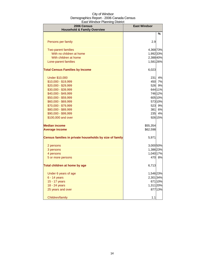| 2006 Census<br><b>Household &amp; Family Overview</b>   | <b>East Windsor</b> |         |
|---------------------------------------------------------|---------------------|---------|
|                                                         |                     | $\%$    |
|                                                         |                     |         |
| Persons per family                                      | 2.9                 |         |
|                                                         |                     |         |
| <b>Two-parent families</b>                              | 4,368 73%           |         |
| With no children at home                                | 1,992 33%           |         |
| With children at home                                   | 2,38840%            |         |
| Lone-parent families                                    | 1,581 26%           |         |
| <b>Total Census Families by Income</b>                  | 6,023               |         |
|                                                         |                     |         |
| <b>Under \$10,000</b>                                   | 231                 | 4%      |
| \$10,000 - \$19,999                                     |                     | 450 7%  |
| \$20,000 - \$29,999                                     | 526                 | 9%      |
| \$30,000 - \$39,999                                     |                     | 644 11% |
| \$40,000 - \$49,999                                     |                     | 746 12% |
| \$50,000 - \$59,999                                     |                     | 605 10% |
| \$60,000 - \$69,999                                     |                     | 57310%  |
| \$70,000 - \$79,999                                     |                     | 523 9%  |
| \$80,000 - \$89,999                                     | 381                 | 6%      |
| \$90,000 - \$99,999                                     | 235                 | 4%      |
| \$100,000 and over                                      |                     | 926 15% |
| <b>Median income</b>                                    | \$55,354            |         |
| <b>Average income</b>                                   | \$62,598            |         |
| Census families in private households by size of family | 5,971               |         |
| 2 persons                                               | 3,000 50%           |         |
| 3 persons                                               | 1,386 23%           |         |
| 4 persons                                               | 1,040 17%           |         |
| 5 or more persons                                       |                     | 470 8%  |
| Total children at home by age                           | 6,713               |         |
|                                                         |                     |         |
| Under 6 years of age                                    | 1,546 23%           |         |
| $6 - 14$ years                                          | 2,301 34%           |         |
| 15 - 17 years                                           |                     | 671 10% |
| 18 - 24 years                                           | 1,311 20%           |         |
| 25 years and over                                       |                     | 877 13% |
| Children/family                                         | 1.1                 |         |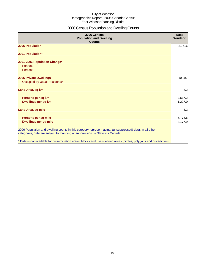## 2006 Census Population and Dwelling Counts

| 2006 Census<br><b>Population and Dwelling</b><br><b>Counts</b>                                                                                                                           | East<br>Windsor    |
|------------------------------------------------------------------------------------------------------------------------------------------------------------------------------------------|--------------------|
| 2006 Population                                                                                                                                                                          | 21,516             |
| 2001 Population*                                                                                                                                                                         |                    |
| 2001-2006 Population Change*<br>Persons<br>Percent                                                                                                                                       |                    |
| <b>2006 Private Dwellings</b><br>Occupied by Usual Residents*                                                                                                                            | 10,087             |
| Land Area, sq km                                                                                                                                                                         | 8.2                |
| Persons per sq km<br>Dwellings per sq km                                                                                                                                                 | 2,617.2<br>1,227.0 |
| <b>Land Area, sq mile</b>                                                                                                                                                                | 3.2                |
| Persons per sq mile<br><b>Dwellings per sq mile</b>                                                                                                                                      | 6,778.6<br>3,177.9 |
| 2006 Population and dwelling counts in this category represent actual (unsuppressed) data. In all other<br>categories, data are subject to rounding or suppression by Statistics Canada. |                    |
| * Data is not available for dissemination areas, blocks and user-defined areas (circles, polygons and drive-times)                                                                       |                    |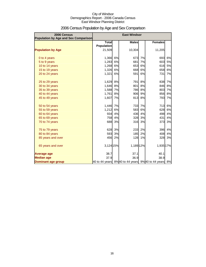| 2006 Census<br><b>Population by Age and Sex Comparison</b> |                   |    | <b>East Windsor</b> |    |                                                  |    |
|------------------------------------------------------------|-------------------|----|---------------------|----|--------------------------------------------------|----|
|                                                            | <b>Total</b>      |    | <b>Males</b>        |    | <b>Females</b>                                   |    |
|                                                            | <b>Population</b> |    |                     |    |                                                  |    |
| <b>Population by Age</b>                                   | 21,509            |    | 10,304              |    | 11,205                                           |    |
| 0 to 4 years                                               | 1,366             | 6% | 673                 | 7% | 693                                              | 6% |
| 5 to 9 years                                               | 1,283             | 6% | 681                 | 7% | 603                                              | 5% |
| 10 to 14 years                                             | 1,268             | 6% | 653                 | 6% | 616                                              | 5% |
| 15 to 19 years                                             | 1,326             | 6% | 668                 | 6% | 658                                              | 6% |
| 20 to 24 years                                             | 1,321             | 6% | 591                 | 6% | 731                                              | 7% |
| 25 to 29 years                                             | 1,629             | 8% | <b>791</b>          | 8% | 838                                              | 7% |
| 30 to 34 years                                             | 1,646             | 8% | 801                 | 8% | 846                                              | 8% |
| 35 to 39 years                                             | 1,588             | 7% | 786                 | 8% | 803                                              | 7% |
| 40 to 44 years                                             | 1,761             | 8% | 906                 | 9% | 856                                              | 8% |
| 45 to 49 years                                             | 1,607             | 7% | 813                 | 8% | 793                                              | 7% |
| 50 to 54 years                                             | 1,446             | 7% | 733                 | 7% | 713                                              | 6% |
| 55 to 59 years                                             | 1,212             | 6% | 583                 | 6% | 628                                              | 6% |
| 60 to 64 years                                             | 934               | 4% | 436                 | 4% | 498                                              | 4% |
| 65 to 69 years                                             | 758               | 4% | 328                 | 3% | 431                                              | 4% |
| 70 to 74 years                                             | 688               | 3% | 316                 | 3% | 373                                              | 3% |
| 75 to 79 years                                             | 628               | 3% | 233                 | 2% | 396                                              | 4% |
| 80 to 84 years                                             | 593               | 3% | 185                 | 2% | 408                                              | 4% |
| 85 years and over                                          | 456               | 2% | 128                 | 1% | 328                                              | 3% |
| 65 years and over                                          | 3,124 15%         |    | 1,189 12%           |    | 1,935 17%                                        |    |
| <b>Average age</b>                                         | 38.7              |    | 37.1                |    | 40.1                                             |    |
| <b>Median age</b>                                          | 37.9              |    | 36.9                |    | 38.9                                             |    |
| Dominant age group                                         |                   |    |                     |    | 40 to 44 years 8%40 to 44 years 9%40 to 44 years | 8% |

## 2006 Census Population by Age and Sex Comparison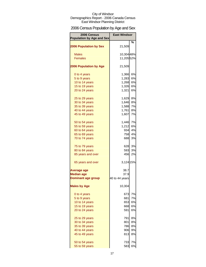## 2006 Census Population by Age and Sex

| 2006 Census<br><b>Population by Age and Sex</b> | <b>East Windsor</b> |    |
|-------------------------------------------------|---------------------|----|
| <b>2006 Population by Sex</b>                   | 21,509              | %  |
| <b>Males</b>                                    | 10,304 48%          |    |
| <b>Females</b>                                  | 11,20552%           |    |
|                                                 |                     |    |
| <b>2006 Population by Age</b>                   | 21,509              |    |
| 0 to 4 years                                    | 1,366               | 6% |
| 5 to 9 years                                    | 1,283               | 6% |
| 10 to 14 years                                  | 1,268               | 6% |
| 15 to 19 years                                  | 1,326               | 6% |
| 20 to 24 years                                  | 1,321               | 6% |
| 25 to 29 years                                  | 1,629 8%            |    |
| 30 to 34 years                                  | 1,646               | 8% |
| 35 to 39 years                                  | 1,588               | 7% |
| 40 to 44 years                                  | 1,761               | 8% |
| 45 to 49 years                                  | 1,607               | 7% |
| 50 to 54 years                                  | 1,446               | 7% |
| 55 to 59 years                                  | 1,212               | 6% |
| 60 to 64 years                                  | 934                 | 4% |
| 65 to 69 years                                  | 758                 | 4% |
| 70 to 74 years                                  | 688                 | 3% |
| 75 to 79 years                                  | 628                 | 3% |
| 80 to 84 years                                  | 593                 | 3% |
| 85 years and over                               | 456                 | 2% |
| 65 years and over                               | 3,124 15%           |    |
| Average age                                     | 38.7                |    |
| <b>Median age</b>                               | 37.9                |    |
| <b>Dominant age group</b>                       | 40 to 44 years      |    |
| <b>Males by Age</b>                             | 10,304              |    |
| 0 to 4 years                                    | 673                 | 7% |
| 5 to 9 years                                    | 681                 | 7% |
| 10 to 14 years                                  | 653                 | 6% |
| 15 to 19 years                                  | 668                 | 6% |
| 20 to 24 years                                  | 591l                | 6% |
|                                                 |                     |    |
| 25 to 29 years                                  | 791                 | 8% |
| 30 to 34 years                                  | 801                 | 8% |
| 35 to 39 years                                  | 786                 | 8% |
| 40 to 44 years                                  | 906                 | 9% |
| 45 to 49 years                                  | 813                 | 8% |
| 50 to 54 years                                  | 733                 | 7% |
| 55 to 59 years                                  | 583                 | 6% |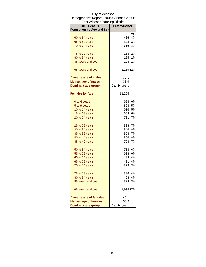| East Windsor Planning District   |                     |    |
|----------------------------------|---------------------|----|
| 2006 Census                      | <b>East Windsor</b> |    |
| <b>Population by Age and Sex</b> |                     |    |
|                                  |                     | ℅  |
| 60 to 64 years                   | 436                 | 4% |
| 65 to 69 years                   | 328                 | 3% |
| 70 to 74 years                   | 316                 | 3% |
| 75 to 79 years                   | 233                 | 2% |
| 80 to 84 years                   | 185                 | 2% |
| 85 years and over                | 128                 | 1% |
| 65 years and over                | 1,189 12%           |    |
| <b>Average age of males</b>      | 37.1                |    |
| <b>Median age of males</b>       | 36.9                |    |
| <b>Dominant age group</b>        | 40 to 44 years      |    |
| <b>Females by Age</b>            | 11,205              |    |
| 0 to 4 years                     | 693                 | 6% |
| 5 to 9 years                     | 603                 | 5% |
| 10 to 14 years                   | 616                 | 5% |
| 15 to 19 years                   | 658                 | 6% |
| 20 to 24 years                   | 731                 | 7% |
| 25 to 29 years                   | 838                 | 7% |
| 30 to 34 years                   | 846                 | 8% |
| 35 to 39 years                   | 803                 | 7% |
| 40 to 44 years                   | 856                 | 8% |
| 45 to 49 years                   | 793                 | 7% |
| 50 to 54 years                   | 713                 | 6% |
| 55 to 59 years                   | 628                 | 6% |
| 60 to 64 years                   | 498                 | 4% |
| 65 to 69 years                   | 431                 | 4% |
| 70 to 74 years                   | 373                 | 3% |
| 75 to 79 years                   | 396                 | 4% |
| 80 to 84 years                   | 408                 | 4% |
| 85 years and over                | 328                 | 3% |
| 65 years and over                | 1,935 17%           |    |
| <b>Average age of females</b>    | 40.1                |    |
| <b>Median age of females</b>     | 38.9                |    |
| <b>Dominant age group</b>        | 40 to 44 years      |    |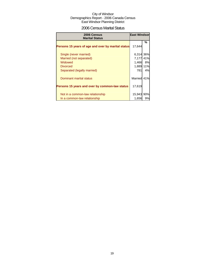## 2006 Census Marital Status

| 2006 Census<br><b>Marital Status</b>               | <b>East Windsor</b> |     |
|----------------------------------------------------|---------------------|-----|
| Persons 15 years of age and over by marital status | 17.644              | %   |
| Single (never married)                             | 6,314 36%           |     |
| Married (not separated)                            | 7,177               | 41% |
| Widowed                                            | 1,466               | 8%  |
| <b>Divorced</b>                                    | 1,889 11%           |     |
| Separated (legally married)                        | 781                 | 4%  |
| Dominant marital status                            | Married 41%         |     |
| Persons 15 years and over by common-law status     | 17,619              |     |
| Not in a common-law relationship                   | 15,943 90%          |     |
| In a common-law relationship                       | 1,656               | 9%  |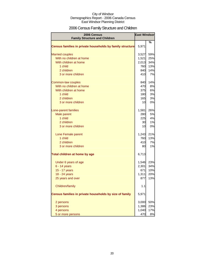## 2006 Census Family Structure and Children

| 2006 Census                                               | <b>East Windsor</b> |     |
|-----------------------------------------------------------|---------------------|-----|
| <b>Family Structure and Children</b>                      |                     |     |
| Census families in private households by family structure | 5,971               | %   |
| <b>Married couples</b>                                    | 3,527               | 59% |
| With no children at home                                  | 1,521               | 25% |
| With children at home                                     | 2,013               | 34% |
| 1 child                                                   | 760                 | 13% |
| 2 children                                                | 840I                | 14% |
| 3 or more children                                        | 410                 | 7%  |
| Common-law couples                                        | 840                 | 14% |
| With no children at home                                  | 470                 | 8%  |
| With children at home                                     | 375                 | 6%  |
| 1 child                                                   | 180                 | 3%  |
| 2 children                                                | 165                 | 3%  |
| 3 or more children                                        | 10                  | 0%  |
| Lone-parent families                                      | 1,581               | 26% |
| Male parent                                               | 280                 | 5%  |
| 1 child                                                   | 225                 | 4%  |
| 2 children                                                | 30                  | 1%  |
| 3 or more children                                        | 10                  | 0%  |
| Lone Female parent                                        | 1,243               | 21% |
| 1 child                                                   | 760                 | 13% |
| 2 children                                                | 410                 | 7%  |
| 3 or more children                                        | 80                  | 1%  |
| Total children at home by age                             | 6,713               |     |
| Under 6 years of age                                      | 1,546               | 23% |
| $6 - 14$ years                                            | 2,301               | 34% |
| 15 - 17 years                                             | 671                 | 10% |
| 18 - 24 years                                             | 1,311               | 20% |
| 25 years and over                                         | 877                 | 13% |
| Children/family                                           | 1.1                 |     |
| Census families in private households by size of family   | 5,971               |     |
| 2 persons                                                 | 3,000               | 50% |
| 3 persons                                                 | 1,386               | 23% |
| 4 persons                                                 | 1,040               | 17% |
| 5 or more persons                                         | 470                 | 8%  |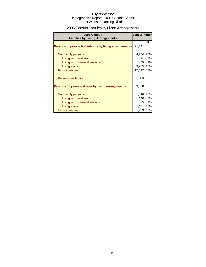## 2006 Census Families by Living Arrangements

| 2006 Census<br><b>Families by Living Arrangements</b> | <b>East Windsor</b> |     |
|-------------------------------------------------------|---------------------|-----|
|                                                       |                     | %   |
| Persons in private households by living arrangements  | 21,341              |     |
| Non-family persons                                    | 4,204               | 20% |
| Living with relatives                                 | 491                 | 2%  |
| Living with non-relatives only                        | 405                 | 2%  |
| Living alone                                          | 3,285               | 15% |
| <b>Family persons</b>                                 | 17,092              | 80% |
| Persons per family                                    | 2.9                 |     |
| Persons 65 years and over by living arrangements      | 3,080               |     |
|                                                       |                     |     |
| Non-family persons                                    | 1,316               | 43% |
| Living with relatives                                 | 140                 | 5%  |
| Living with non-relatives only                        | 35                  | 1%  |
| Living alone                                          | 1,181               | 38% |
| <b>Family persons</b>                                 | 1,709               | 55% |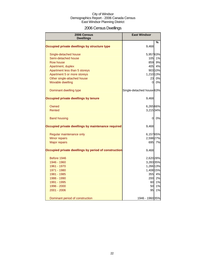## 2006 Census Dwellings

| 2006 Census<br><b>Dwellings</b>                      | <b>East Windsor</b>       |         |
|------------------------------------------------------|---------------------------|---------|
|                                                      |                           | %       |
| Occupied private dwellings by structure type         | 9,468                     |         |
| Single-detached house                                | 5,95763%                  |         |
| Semi-detached house                                  | 105                       | 1%      |
| Row house                                            | 859                       | 9%      |
| Apartment, duplex                                    | 405                       | 4%      |
| Apartment less than 5 storeys                        |                           | 903 10% |
| Apartment 5 or more storeys                          | 1,210 13%                 |         |
| Other single-attached house                          | 23                        | 0%      |
| Movable dwelling                                     | $\overline{O}$            | 0%      |
| Dominant dwelling type                               | Single-detached house 63% |         |
| Occupied private dwellings by tenure                 | 9,468                     |         |
| Owned                                                | 6,265 66%                 |         |
| <b>Rented</b>                                        | 3,215 34%                 |         |
| <b>Band housing</b>                                  | 0                         | 0%      |
| Occupied private dwellings by maintenance required   | 9,468                     |         |
| Regular maintenance only                             | 6,15765%                  |         |
| Minor repairs                                        | 2,598 27%                 |         |
| <b>Major repairs</b>                                 |                           | 695 7%  |
| Occupied private dwellings by period of construction | 9,468                     |         |
| Before 1946                                          | 2,620 28%                 |         |
| 1946 - 1960                                          | 3,283 35%                 |         |
| 1961 - 1970                                          | 1,266 13%                 |         |
| 1971 - 1980                                          | 1,408 15%                 |         |
| 1981 - 1985                                          | 355I                      | 4%      |
| 1986 - 1990                                          | 200                       | 2%      |
| 1991 - 1995                                          | 60                        | 1%      |
| 1996 - 2000                                          | 50                        | 1%      |
| 2001 - 2006                                          | 95                        | 1%      |
| Dominant period of construction                      | 1946 - 1960 35%           |         |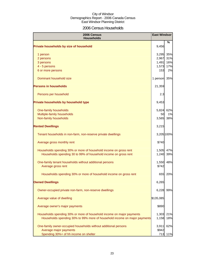## 2006 Census Households

| 2006 Census<br><b>Households</b>                                          | <b>East Windsor</b> |           |
|---------------------------------------------------------------------------|---------------------|-----------|
| Private households by size of household                                   | 9,456               | ℅         |
| 1 person                                                                  | 3,295 35%           |           |
| 2 persons                                                                 | 2,967               | 31%       |
| 3 persons                                                                 | 1,491               | 16%       |
| 4 - 5 persons                                                             | 1,573               | 17%       |
| 6 or more persons                                                         | 153                 | 2%        |
| Dominant household size                                                   | 1 person 35%        |           |
| <b>Persons in households</b>                                              | 21,359              |           |
| Persons per household                                                     | 2.3                 |           |
| Private households by household type                                      | 9,453               |           |
| One-family households                                                     | 5,824 62%           |           |
| Multiple-family households                                                | 50                  | 1%        |
| Non-family households                                                     | 3,565               | 38%       |
| <b>Rented Dwellings</b>                                                   | 3,215               |           |
| Tenant households in non-farm, non-reserve private dwellings              | 3,205 100%          |           |
| Average gross monthly rent                                                | \$740               |           |
| Households spending 30% or more of household income on gross rent         | 1,505               | 47%       |
| Households spending 30 to 99% of household income on gross rent           | 1,240               | 39%       |
| One-family tenant households without additional persons                   | 1,550               | 48%       |
| Average gross rent                                                        | \$742               |           |
| Households spending 30% or more of household income on gross rent         | 655                 | 20%       |
| <b>Owned Dwellings</b>                                                    | 6,265               |           |
| Owner-occupied private non-farm, non-reserve dwellings                    | 6,228               | 99%       |
| Average value of dwelling                                                 | \$135,085           |           |
| Average owner's major payments                                            | \$890               |           |
| Households spending 30% or more of household income on major payments     |                     | 1,303 21% |
| Households spending 30% to 99% more of household income on major payments | 1,158               | 18%       |
| One-family owner-occupied households without additional persons           | 3,911               | 62%       |
| Average major payments                                                    | \$942               |           |
| Spending 30%+ of hh income on shelter                                     | 713                 | 11%       |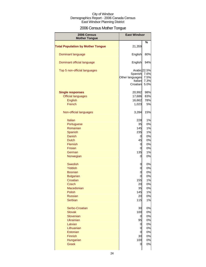## 2006 Census Mother Tongue

| 2006 Census<br><b>Mother Tongue</b>      | <b>East Windsor</b>                                               |                              |
|------------------------------------------|-------------------------------------------------------------------|------------------------------|
|                                          |                                                                   | %                            |
| <b>Total Population by Mother Tongue</b> | 21,359                                                            |                              |
| Dominant language                        | English                                                           | 80%                          |
| Dominant official language               | English                                                           | 94%                          |
| Top 5 non-official languages             | Arabic 22.5%<br>Spanish<br>Other languages<br>Italian<br>Croatian | 7.6%<br>7.5%<br>7.3%<br>5.0% |
| <b>Single responses</b>                  | 20,992                                                            | 98%                          |
| <b>Official languages</b>                | 17,686                                                            | 83%                          |
| <b>English</b>                           | 16,662                                                            | 78%                          |
|                                          |                                                                   |                              |
| French                                   | 1,023                                                             | 5%                           |
| Non-official languages                   | 3,284                                                             | 15%                          |
| Italian                                  | 228                                                               | 1%                           |
| Portuguese                               | 35                                                                | 0%                           |
|                                          |                                                                   | 1%                           |
| Romanian                                 | 145                                                               |                              |
| Spanish                                  | 235                                                               | 1%                           |
| <b>Danish</b>                            | 0                                                                 | 0%                           |
| <b>Dutch</b>                             | 45                                                                | 0%                           |
| Flemish                                  | 0                                                                 | 0%                           |
| Frisian                                  | 0                                                                 | 0%                           |
| German                                   | 135                                                               | 1%                           |
| Norwegian                                | 0                                                                 | 0%                           |
| <b>Swedish</b>                           | 0                                                                 | 0%                           |
| Yiddish                                  | 0                                                                 | 0%                           |
| <b>Bosnian</b>                           | 0                                                                 | 0%                           |
| <b>Bulgarian</b>                         | 0                                                                 | 0%                           |
| Croatian                                 | 155                                                               | 1%                           |
| Czech                                    | 20                                                                | U%                           |
| Macedonian                               | 35                                                                | 0%                           |
| Polish                                   | 145                                                               | 1%                           |
| <b>Russian</b>                           | 20                                                                | 0%                           |
| Serbian                                  | 115                                                               | 1%                           |
| Serbo-Croatian                           | 30                                                                | 0%                           |
| <b>Slovak</b>                            | 100                                                               | 0%                           |
| Slovenian                                | 0                                                                 | 0%                           |
| <b>Ukrainian</b>                         | 95                                                                | 0%                           |
| Latvian                                  | 0                                                                 | 0%                           |
| Lithuanian                               | 0                                                                 | 0%                           |
| Estonian                                 |                                                                   |                              |
|                                          | 0                                                                 | 0%                           |
| Finnish                                  | 30                                                                | 0%                           |
| Hungarian                                | 100                                                               | 0%                           |
| <b>Greek</b>                             | 0                                                                 | 0%                           |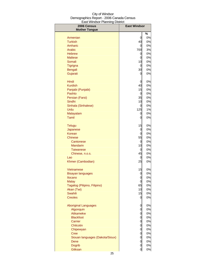| 2006 Census<br><b>Mother Tongue</b> | <b>East Windsor</b> |          |
|-------------------------------------|---------------------|----------|
|                                     |                     | $\%$     |
| Armenian                            | 0                   | 0%       |
| <b>Turkish</b>                      | 40                  | 0%       |
| Amharic                             | 0                   | 0%       |
| <b>Arabic</b>                       | 700                 | 3%       |
| <b>Hebrew</b>                       | 0                   | 0%       |
| <b>Maltese</b>                      | 0                   | 0%       |
| Somali                              | 10                  | 0%       |
| Tigrigna                            | 0                   | 0%<br>0% |
| <b>Bengali</b><br>Gujarati          | 30<br>0             | 0%       |
|                                     |                     |          |
| Hindi                               | 0                   | 0%       |
| <b>Kurdish</b>                      | 40                  | 0%       |
| Panjabi (Punjabi)                   | 15                  | 0%       |
| Pashto                              | 0                   | 0%       |
| Persian (Farsi)<br>Sindhi           | 35                  | 0%<br>0% |
| Sinhala (Sinhalese)                 | 10<br>0             | 0%       |
| Urdu                                | 125                 | 1%       |
| Malayalam                           | 0                   | 0%       |
| Tamil                               | 0                   | 0%       |
| <b>Telugu</b>                       | 15                  | 0%       |
| Japanese                            | 0                   | 0%       |
| Korean                              | 0                   | 0%       |
| Chinese                             | 55                  | 0%       |
| Cantonese                           | 0                   | 0%       |
| Mandarin                            | 10                  | 0%       |
| Taiwanese                           | 0                   | 0%       |
| Chinese, n.o.s.                     | 45                  | 0%       |
| Lao                                 | 0                   | 0%       |
| Khmer (Cambodian)                   | 25                  | 0%       |
| Vietnamese                          | 15                  | 0%       |
| <b>Bisayan languages</b>            | 0                   | 0%       |
| Ilocano                             | 0                   | 0%       |
| <b>Malay</b>                        | 0                   | 0%       |
| Tagalog (Pilipino, Filipino)        | 65<br>10            | 0%<br>0% |
| Akan (Twi)<br><b>Swahili</b>        | 15                  | 0%       |
| <b>Creoles</b>                      | 0                   | 0%       |
| <b>Aboriginal Languages</b>         |                     | 0%       |
| Algonquin                           | 0<br>0              | 0%       |
| Atikamekw                           | 0                   | 0%       |
| <b>Blackfoot</b>                    | 0                   | 0%       |
| Carrier                             | 0                   | 0%       |
| Chilcotin                           | 0                   | 0%       |
| Chipewyan                           | 0                   | 0%       |
| <b>Cree</b>                         | 0                   | 0%       |
| Siouan languages (Dakota/Sioux)     | 0                   | 0%       |
| Dene                                | 0                   | 0%       |
| <b>Dogrib</b>                       | 0                   | 0%       |
| Gitksan                             | $\overline{0}$      | 0%       |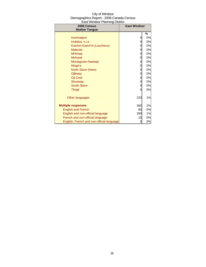| City of Windsor                          |
|------------------------------------------|
| Demographics Report - 2006 Canada Census |
| East Windsor Planning District           |

| Laot williasof Flammig District<br>2006 Census | <b>East Windsor</b> |    |
|------------------------------------------------|---------------------|----|
| <b>Mother Tongue</b>                           |                     |    |
|                                                |                     | %  |
| Inuinnagtun                                    | 0                   | 0% |
| Inuktitut, n.i.e.                              | 0                   | 0% |
| Kutchin-Gwich'in (Loucheux)                    | 0                   | 0% |
| <b>Malecite</b>                                | 0                   | 0% |
| Mi'kmag                                        | 0                   | 0% |
| <b>Mohawk</b>                                  | 0                   | 0% |
| Montagnais-Naskapi                             | 0                   | 0% |
| Nisga'a                                        | 0                   | 0% |
| North Slave (Hare)                             | 0                   | 0% |
| Ojibway                                        | 0                   | 0% |
| Oji-Cree                                       | 0                   | 0% |
| Shuswap                                        | 0                   | 0% |
| <b>South Slave</b>                             | 0                   | 0% |
| <b>Tlingit</b>                                 | 0                   | 0% |
| Other languages                                | 233                 | 1% |
| <b>Multiple responses</b>                      | 360                 | 2% |
| <b>English and French</b>                      | 80                  | 0% |
| English and non-official language              | 280                 | 1% |
| French and non-official language               | 10                  | 0% |
| English, French and non-official language      | 0                   | 0% |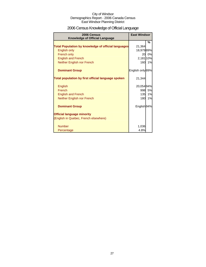## 2006 Census Knowledge of Official Language

| 2006 Census<br><b>Knowledge of Official Language</b>       | <b>East Windsor</b>    |    |
|------------------------------------------------------------|------------------------|----|
|                                                            |                        | %  |
| <b>Total Population by knowledge of official languages</b> | 21,364                 |    |
| English only                                               | 18,97989%              |    |
| French only                                                | 20                     | 0% |
| <b>English and French</b>                                  | 2,181 10%              |    |
| Neither English nor French                                 | 160                    | 1% |
| <b>Dominant Group</b>                                      | English only 89%       |    |
| Total population by first official language spoken         | 21,344                 |    |
| English                                                    | 20,05494%              |    |
| French                                                     | 998                    | 5% |
| <b>English and French</b>                                  | 135                    | 1% |
| Neither English nor French                                 | 180                    | 1% |
| <b>Dominant Group</b>                                      | English <sub>94%</sub> |    |
| <b>Official language minority</b>                          |                        |    |
| (English in Quebec, French elsewhere)                      |                        |    |
| <b>Number</b>                                              | 1,036                  |    |
| Percentage                                                 | 4.8%                   |    |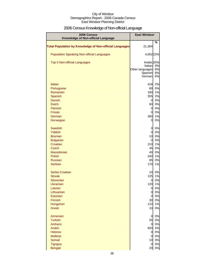## 2006 Census Knowledge of Non-official Language

| 2006 Census<br>Knowledge of Non-official Language              | <b>East Windsor</b>   |          |
|----------------------------------------------------------------|-----------------------|----------|
| <b>Total Population by Knowledge of Non-official Languages</b> | 21,364                | %        |
| <b>Population Speaking Non-official Languages</b>              | 4,652 22%             |          |
| Top 5 Non-official Languages                                   | Arabic 20%<br>Italian | 9%       |
|                                                                | Other languages       | 8%       |
|                                                                | Spanish<br>German     | 8%<br>6% |
| Italian                                                        | 418                   | 2%       |
| Portuguese                                                     | 80                    | 0%       |
| Romanian                                                       | 180                   | 1%       |
| Spanish                                                        | 355                   | 2%       |
| <b>Danish</b>                                                  | $\overline{O}$        | 0%       |
| <b>Dutch</b>                                                   | 60                    | 0%       |
| <b>Flemish</b>                                                 | $\overline{0}$        | 0%       |
| Frisian                                                        | $\overline{0}$        | 0%       |
| German                                                         | 260                   | 1%       |
| Norwegian                                                      | 0                     | 0%       |
| <b>Swedish</b>                                                 | 0                     | 0%       |
| <b>Yiddish</b>                                                 | $\overline{0}$        | 0%       |
| <b>Bosnian</b>                                                 | 10                    | 0%       |
| <b>Bulgarian</b>                                               | $\overline{0}$        | 0%       |
| Croatian                                                       | 210                   | 1%       |
| <b>Czech</b>                                                   | 45                    | 0%       |
| Macedonian                                                     | 40                    | 0%       |
| Polish                                                         | 240                   | 1%       |
| <b>Russian</b>                                                 | 65                    | 0%       |
| Serbian                                                        | 170                   | 1%       |
| Serbo-Croatian                                                 | 10                    | 0%       |
| <b>Slovak</b>                                                  | 125                   | 1%       |
| Slovenian<br><b>Ukrainian</b>                                  | 0                     | 0%       |
| Latvian                                                        | 120<br>0              | 1%<br>0% |
| Lithuanian                                                     | $\mathbf 0$           | 0%       |
| Estonian                                                       | $\overline{O}$        | 0%       |
| Finnish                                                        | 30                    | 0%       |
| Hungarian                                                      | 110                   | 1%       |
| <b>Greek</b>                                                   | 10                    | 0%       |
|                                                                |                       |          |
| Armenian                                                       | 0                     | 0%       |
| <b>Turkish</b>                                                 | 55                    | 0%       |
| Amharic                                                        | $\overline{0}$        | 0%       |
| Arabic                                                         | 920                   | 4%       |
| <b>Hebrew</b>                                                  | $\overline{0}$        | 0%       |
| <b>Maltese</b>                                                 | $\overline{0}$        | 0%       |
| Somali                                                         | 10                    | 0%       |
| Tigrigna                                                       | 0                     | 0%       |
| <b>Bengali</b>                                                 | 20                    | 0%       |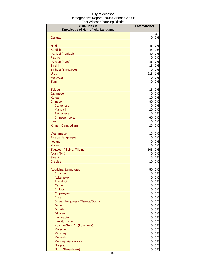| %<br>Gujarati<br>0<br>0%<br>Hindi<br>45<br>0%<br>45<br><b>Kurdish</b><br>0%<br>40<br>0%<br>Panjabi (Punjabi)<br>Pashto<br>$\overline{0}$<br>0%<br>35<br>0%<br>Persian (Farsi)<br>15<br>0%<br>Sindhi<br>0%<br>Sinhala (Sinhalese)<br>$\overline{0}$<br>215<br>1%<br>Urdu<br>0%<br>Malayalam<br>$\overline{0}$<br><b>Tamil</b><br>0<br>0%<br>15<br>0%<br>Telugu<br>0%<br>$\overline{0}$<br>Japanese<br><b>Korean</b><br>10<br>0%<br>80<br>0%<br><b>Chinese</b><br>0%<br>$\overline{0}$<br>Cantonese<br>0%<br>20<br>Mandarin<br>0%<br>$\overline{0}$<br><b>Taiwanese</b><br>60<br>0%<br>Chinese, n.o.s.<br>0%<br>10<br>Lao<br>25<br>Khmer (Cambodian)<br>0%<br>15<br>0%<br>Vietnamese<br>0%<br>0<br><b>Bisayan languages</b><br>0%<br>Ilocano<br>0<br>0<br>0%<br><b>Malay</b><br>105<br>0%<br>Tagalog (Pilipino, Filipino)<br>0%<br>Akan (Twi)<br>0<br>Swahili<br>15<br>0%<br><b>Creoles</b><br>10<br>0%<br><b>Aboriginal Languages</b><br>50<br>0%<br>Algonquin<br>0<br>0%<br><b>Atikamekw</b><br>$\overline{0}$<br>0%<br><b>Blackfoot</b><br>$\overline{0}$<br>0%<br>$\overline{0}$<br>0%<br>Carrier<br>0%<br>Chilcotin<br>$\overline{0}$<br>0%<br>Chipewyan<br>$\overline{0}$<br>0%<br><b>Cree</b><br><sub>0</sub><br>0%<br>Siouan languages (Dakota/Sioux)<br><sub>0</sub><br><sub>0</sub><br>0%<br>Dene<br>0%<br><b>Dogrib</b><br>$\overline{0}$<br>Gitksan<br>$\overline{0}$<br>0%<br>$\overline{0}$<br>0%<br>Inuinnaqtun<br>$\overline{0}$<br>0%<br>Inuktitut, n.i.e.<br>Kutchin-Gwich'in (Loucheux)<br>$\overline{0}$<br>0%<br>$\overline{0}$<br>0%<br><b>Malecite</b><br>$\overline{0}$<br>0%<br>Mi'kmaq | 2006 Census                        | <b>East Windsor</b> |    |
|----------------------------------------------------------------------------------------------------------------------------------------------------------------------------------------------------------------------------------------------------------------------------------------------------------------------------------------------------------------------------------------------------------------------------------------------------------------------------------------------------------------------------------------------------------------------------------------------------------------------------------------------------------------------------------------------------------------------------------------------------------------------------------------------------------------------------------------------------------------------------------------------------------------------------------------------------------------------------------------------------------------------------------------------------------------------------------------------------------------------------------------------------------------------------------------------------------------------------------------------------------------------------------------------------------------------------------------------------------------------------------------------------------------------------------------------------------------------------------------------------------------------------------------------------------------------------------------------------------------|------------------------------------|---------------------|----|
|                                                                                                                                                                                                                                                                                                                                                                                                                                                                                                                                                                                                                                                                                                                                                                                                                                                                                                                                                                                                                                                                                                                                                                                                                                                                                                                                                                                                                                                                                                                                                                                                                | Knowledge of Non-official Language |                     |    |
|                                                                                                                                                                                                                                                                                                                                                                                                                                                                                                                                                                                                                                                                                                                                                                                                                                                                                                                                                                                                                                                                                                                                                                                                                                                                                                                                                                                                                                                                                                                                                                                                                |                                    |                     |    |
|                                                                                                                                                                                                                                                                                                                                                                                                                                                                                                                                                                                                                                                                                                                                                                                                                                                                                                                                                                                                                                                                                                                                                                                                                                                                                                                                                                                                                                                                                                                                                                                                                |                                    |                     |    |
|                                                                                                                                                                                                                                                                                                                                                                                                                                                                                                                                                                                                                                                                                                                                                                                                                                                                                                                                                                                                                                                                                                                                                                                                                                                                                                                                                                                                                                                                                                                                                                                                                |                                    |                     |    |
|                                                                                                                                                                                                                                                                                                                                                                                                                                                                                                                                                                                                                                                                                                                                                                                                                                                                                                                                                                                                                                                                                                                                                                                                                                                                                                                                                                                                                                                                                                                                                                                                                |                                    |                     |    |
|                                                                                                                                                                                                                                                                                                                                                                                                                                                                                                                                                                                                                                                                                                                                                                                                                                                                                                                                                                                                                                                                                                                                                                                                                                                                                                                                                                                                                                                                                                                                                                                                                |                                    |                     |    |
|                                                                                                                                                                                                                                                                                                                                                                                                                                                                                                                                                                                                                                                                                                                                                                                                                                                                                                                                                                                                                                                                                                                                                                                                                                                                                                                                                                                                                                                                                                                                                                                                                |                                    |                     |    |
|                                                                                                                                                                                                                                                                                                                                                                                                                                                                                                                                                                                                                                                                                                                                                                                                                                                                                                                                                                                                                                                                                                                                                                                                                                                                                                                                                                                                                                                                                                                                                                                                                |                                    |                     |    |
|                                                                                                                                                                                                                                                                                                                                                                                                                                                                                                                                                                                                                                                                                                                                                                                                                                                                                                                                                                                                                                                                                                                                                                                                                                                                                                                                                                                                                                                                                                                                                                                                                |                                    |                     |    |
|                                                                                                                                                                                                                                                                                                                                                                                                                                                                                                                                                                                                                                                                                                                                                                                                                                                                                                                                                                                                                                                                                                                                                                                                                                                                                                                                                                                                                                                                                                                                                                                                                |                                    |                     |    |
|                                                                                                                                                                                                                                                                                                                                                                                                                                                                                                                                                                                                                                                                                                                                                                                                                                                                                                                                                                                                                                                                                                                                                                                                                                                                                                                                                                                                                                                                                                                                                                                                                |                                    |                     |    |
|                                                                                                                                                                                                                                                                                                                                                                                                                                                                                                                                                                                                                                                                                                                                                                                                                                                                                                                                                                                                                                                                                                                                                                                                                                                                                                                                                                                                                                                                                                                                                                                                                |                                    |                     |    |
|                                                                                                                                                                                                                                                                                                                                                                                                                                                                                                                                                                                                                                                                                                                                                                                                                                                                                                                                                                                                                                                                                                                                                                                                                                                                                                                                                                                                                                                                                                                                                                                                                |                                    |                     |    |
|                                                                                                                                                                                                                                                                                                                                                                                                                                                                                                                                                                                                                                                                                                                                                                                                                                                                                                                                                                                                                                                                                                                                                                                                                                                                                                                                                                                                                                                                                                                                                                                                                |                                    |                     |    |
|                                                                                                                                                                                                                                                                                                                                                                                                                                                                                                                                                                                                                                                                                                                                                                                                                                                                                                                                                                                                                                                                                                                                                                                                                                                                                                                                                                                                                                                                                                                                                                                                                |                                    |                     |    |
|                                                                                                                                                                                                                                                                                                                                                                                                                                                                                                                                                                                                                                                                                                                                                                                                                                                                                                                                                                                                                                                                                                                                                                                                                                                                                                                                                                                                                                                                                                                                                                                                                |                                    |                     |    |
|                                                                                                                                                                                                                                                                                                                                                                                                                                                                                                                                                                                                                                                                                                                                                                                                                                                                                                                                                                                                                                                                                                                                                                                                                                                                                                                                                                                                                                                                                                                                                                                                                |                                    |                     |    |
|                                                                                                                                                                                                                                                                                                                                                                                                                                                                                                                                                                                                                                                                                                                                                                                                                                                                                                                                                                                                                                                                                                                                                                                                                                                                                                                                                                                                                                                                                                                                                                                                                |                                    |                     |    |
|                                                                                                                                                                                                                                                                                                                                                                                                                                                                                                                                                                                                                                                                                                                                                                                                                                                                                                                                                                                                                                                                                                                                                                                                                                                                                                                                                                                                                                                                                                                                                                                                                |                                    |                     |    |
|                                                                                                                                                                                                                                                                                                                                                                                                                                                                                                                                                                                                                                                                                                                                                                                                                                                                                                                                                                                                                                                                                                                                                                                                                                                                                                                                                                                                                                                                                                                                                                                                                |                                    |                     |    |
|                                                                                                                                                                                                                                                                                                                                                                                                                                                                                                                                                                                                                                                                                                                                                                                                                                                                                                                                                                                                                                                                                                                                                                                                                                                                                                                                                                                                                                                                                                                                                                                                                |                                    |                     |    |
|                                                                                                                                                                                                                                                                                                                                                                                                                                                                                                                                                                                                                                                                                                                                                                                                                                                                                                                                                                                                                                                                                                                                                                                                                                                                                                                                                                                                                                                                                                                                                                                                                |                                    |                     |    |
|                                                                                                                                                                                                                                                                                                                                                                                                                                                                                                                                                                                                                                                                                                                                                                                                                                                                                                                                                                                                                                                                                                                                                                                                                                                                                                                                                                                                                                                                                                                                                                                                                |                                    |                     |    |
|                                                                                                                                                                                                                                                                                                                                                                                                                                                                                                                                                                                                                                                                                                                                                                                                                                                                                                                                                                                                                                                                                                                                                                                                                                                                                                                                                                                                                                                                                                                                                                                                                |                                    |                     |    |
|                                                                                                                                                                                                                                                                                                                                                                                                                                                                                                                                                                                                                                                                                                                                                                                                                                                                                                                                                                                                                                                                                                                                                                                                                                                                                                                                                                                                                                                                                                                                                                                                                |                                    |                     |    |
|                                                                                                                                                                                                                                                                                                                                                                                                                                                                                                                                                                                                                                                                                                                                                                                                                                                                                                                                                                                                                                                                                                                                                                                                                                                                                                                                                                                                                                                                                                                                                                                                                |                                    |                     |    |
|                                                                                                                                                                                                                                                                                                                                                                                                                                                                                                                                                                                                                                                                                                                                                                                                                                                                                                                                                                                                                                                                                                                                                                                                                                                                                                                                                                                                                                                                                                                                                                                                                |                                    |                     |    |
|                                                                                                                                                                                                                                                                                                                                                                                                                                                                                                                                                                                                                                                                                                                                                                                                                                                                                                                                                                                                                                                                                                                                                                                                                                                                                                                                                                                                                                                                                                                                                                                                                |                                    |                     |    |
|                                                                                                                                                                                                                                                                                                                                                                                                                                                                                                                                                                                                                                                                                                                                                                                                                                                                                                                                                                                                                                                                                                                                                                                                                                                                                                                                                                                                                                                                                                                                                                                                                |                                    |                     |    |
|                                                                                                                                                                                                                                                                                                                                                                                                                                                                                                                                                                                                                                                                                                                                                                                                                                                                                                                                                                                                                                                                                                                                                                                                                                                                                                                                                                                                                                                                                                                                                                                                                |                                    |                     |    |
|                                                                                                                                                                                                                                                                                                                                                                                                                                                                                                                                                                                                                                                                                                                                                                                                                                                                                                                                                                                                                                                                                                                                                                                                                                                                                                                                                                                                                                                                                                                                                                                                                |                                    |                     |    |
|                                                                                                                                                                                                                                                                                                                                                                                                                                                                                                                                                                                                                                                                                                                                                                                                                                                                                                                                                                                                                                                                                                                                                                                                                                                                                                                                                                                                                                                                                                                                                                                                                |                                    |                     |    |
|                                                                                                                                                                                                                                                                                                                                                                                                                                                                                                                                                                                                                                                                                                                                                                                                                                                                                                                                                                                                                                                                                                                                                                                                                                                                                                                                                                                                                                                                                                                                                                                                                |                                    |                     |    |
|                                                                                                                                                                                                                                                                                                                                                                                                                                                                                                                                                                                                                                                                                                                                                                                                                                                                                                                                                                                                                                                                                                                                                                                                                                                                                                                                                                                                                                                                                                                                                                                                                |                                    |                     |    |
|                                                                                                                                                                                                                                                                                                                                                                                                                                                                                                                                                                                                                                                                                                                                                                                                                                                                                                                                                                                                                                                                                                                                                                                                                                                                                                                                                                                                                                                                                                                                                                                                                |                                    |                     |    |
|                                                                                                                                                                                                                                                                                                                                                                                                                                                                                                                                                                                                                                                                                                                                                                                                                                                                                                                                                                                                                                                                                                                                                                                                                                                                                                                                                                                                                                                                                                                                                                                                                |                                    |                     |    |
|                                                                                                                                                                                                                                                                                                                                                                                                                                                                                                                                                                                                                                                                                                                                                                                                                                                                                                                                                                                                                                                                                                                                                                                                                                                                                                                                                                                                                                                                                                                                                                                                                |                                    |                     |    |
|                                                                                                                                                                                                                                                                                                                                                                                                                                                                                                                                                                                                                                                                                                                                                                                                                                                                                                                                                                                                                                                                                                                                                                                                                                                                                                                                                                                                                                                                                                                                                                                                                |                                    |                     |    |
|                                                                                                                                                                                                                                                                                                                                                                                                                                                                                                                                                                                                                                                                                                                                                                                                                                                                                                                                                                                                                                                                                                                                                                                                                                                                                                                                                                                                                                                                                                                                                                                                                |                                    |                     |    |
|                                                                                                                                                                                                                                                                                                                                                                                                                                                                                                                                                                                                                                                                                                                                                                                                                                                                                                                                                                                                                                                                                                                                                                                                                                                                                                                                                                                                                                                                                                                                                                                                                |                                    |                     |    |
|                                                                                                                                                                                                                                                                                                                                                                                                                                                                                                                                                                                                                                                                                                                                                                                                                                                                                                                                                                                                                                                                                                                                                                                                                                                                                                                                                                                                                                                                                                                                                                                                                |                                    |                     |    |
|                                                                                                                                                                                                                                                                                                                                                                                                                                                                                                                                                                                                                                                                                                                                                                                                                                                                                                                                                                                                                                                                                                                                                                                                                                                                                                                                                                                                                                                                                                                                                                                                                |                                    |                     |    |
|                                                                                                                                                                                                                                                                                                                                                                                                                                                                                                                                                                                                                                                                                                                                                                                                                                                                                                                                                                                                                                                                                                                                                                                                                                                                                                                                                                                                                                                                                                                                                                                                                |                                    |                     |    |
|                                                                                                                                                                                                                                                                                                                                                                                                                                                                                                                                                                                                                                                                                                                                                                                                                                                                                                                                                                                                                                                                                                                                                                                                                                                                                                                                                                                                                                                                                                                                                                                                                |                                    |                     |    |
|                                                                                                                                                                                                                                                                                                                                                                                                                                                                                                                                                                                                                                                                                                                                                                                                                                                                                                                                                                                                                                                                                                                                                                                                                                                                                                                                                                                                                                                                                                                                                                                                                |                                    |                     |    |
|                                                                                                                                                                                                                                                                                                                                                                                                                                                                                                                                                                                                                                                                                                                                                                                                                                                                                                                                                                                                                                                                                                                                                                                                                                                                                                                                                                                                                                                                                                                                                                                                                |                                    |                     |    |
|                                                                                                                                                                                                                                                                                                                                                                                                                                                                                                                                                                                                                                                                                                                                                                                                                                                                                                                                                                                                                                                                                                                                                                                                                                                                                                                                                                                                                                                                                                                                                                                                                |                                    |                     |    |
|                                                                                                                                                                                                                                                                                                                                                                                                                                                                                                                                                                                                                                                                                                                                                                                                                                                                                                                                                                                                                                                                                                                                                                                                                                                                                                                                                                                                                                                                                                                                                                                                                | <b>Mohawk</b>                      | 10                  | 0% |
| $\overline{0}$<br>0%<br>Montagnais-Naskapi<br>Nisga'a<br>0%<br>0                                                                                                                                                                                                                                                                                                                                                                                                                                                                                                                                                                                                                                                                                                                                                                                                                                                                                                                                                                                                                                                                                                                                                                                                                                                                                                                                                                                                                                                                                                                                               |                                    |                     |    |
| North Slave (Hare)<br>$0\%$<br>$\overline{0}$                                                                                                                                                                                                                                                                                                                                                                                                                                                                                                                                                                                                                                                                                                                                                                                                                                                                                                                                                                                                                                                                                                                                                                                                                                                                                                                                                                                                                                                                                                                                                                  |                                    |                     |    |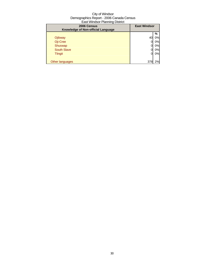| ີ<br>2006 Census<br>Knowledge of Non-official Language | <b>East Windsor</b> |    |
|--------------------------------------------------------|---------------------|----|
|                                                        |                     | %  |
| Ojibway                                                | 40                  | 0% |
| Oji-Cree                                               |                     | 0% |
| Shuswap                                                |                     | 0% |
| <b>South Slave</b>                                     |                     | 0% |
| <b>Tlingit</b>                                         | 0                   | 0% |
|                                                        |                     |    |
| Other languages                                        | 378                 | 2% |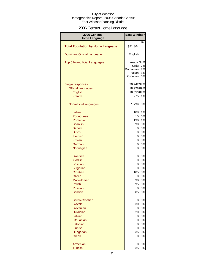## 2006 Census Home Language

| 2006 Census                              | <b>East Windsor</b> |          |
|------------------------------------------|---------------------|----------|
| <b>Home Language</b>                     |                     |          |
| <b>Total Population by Home Language</b> | \$21,364            | %        |
| <b>Dominant Official Language</b>        | English             |          |
| <b>Top 5 Non-official Languages</b>      | Arabic 34%          |          |
|                                          | Urdu<br>Romanian    | 7%       |
|                                          | Italian             | 7%<br>6% |
|                                          | Croatian            | 6%       |
| Single responses                         | 20,74297%           |          |
| <b>Official languages</b>                | 18,92889%           |          |
| English                                  | 18,65387%           |          |
| French                                   | 275                 | 1%       |
| Non-official languages                   | 1,799               | 8%       |
| <b>Italian</b>                           | 108                 | 1%       |
| Portuguese                               | 15                  | 0%       |
| Romanian                                 | 130                 | 1%       |
| Spanish                                  | 90                  | 0%       |
| <b>Danish</b>                            | 0                   | 0%       |
| <b>Dutch</b>                             | 0                   | 0%       |
| Flemish                                  | 0                   | 0%       |
| <b>Frisian</b>                           | 0                   | 0%       |
| German                                   | $\overline{0}$      | 0%       |
| Norwegian                                | $\overline{0}$      | 0%       |
| <b>Swedish</b>                           | $\overline{O}$      | 0%       |
| Yiddish                                  | 0                   | 0%       |
| <b>Bosnian</b>                           | $\mathsf{d}$        | 0%       |
| <b>Bulgarian</b>                         | $\overline{0}$      | 0%       |
| Croatian                                 | 105                 | 0%       |
| <b>Czech</b>                             | 0                   | 0%       |
| Macedonian                               | 30                  | 0%       |
| Polish                                   | 95                  | 0%       |
| <b>Russian</b><br><b>Serbian</b>         | 0<br>85             | 0%<br>0% |
| Serbo-Croatian                           | $\overline{O}$      | 0%       |
| <b>Slovak</b>                            | 30                  | 0%       |
| Slovenian                                | $\overline{0}$      | 0%       |
| <b>Ukrainian</b>                         | 20                  | 0%       |
| Latvian                                  | 0                   | 0%       |
| Lithuanian                               | 0                   | 0%       |
| Estonian                                 | 0                   | 0%       |
| Finnish                                  | $\overline{O}$      | 0%       |
| Hungarian                                | 35                  | 0%       |
| <b>Greek</b>                             | 0                   | 0%       |
| Armenian                                 | 0                   | 0%       |
| <b>Turkish</b>                           | 35                  | 0%       |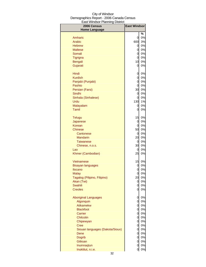| -aoi vviriaooi i laililing<br>יטו ויטו ש<br>2006 Census | <b>East Windsor</b>  |          |
|---------------------------------------------------------|----------------------|----------|
| <b>Home Language</b>                                    |                      | ℅        |
| Amharic                                                 | 0                    | 0%       |
| Arabic                                                  | 600                  | 3%       |
| <b>Hebrew</b>                                           | $\overline{0}$       | 0%       |
| <b>Maltese</b>                                          | 0                    | 0%       |
| Somali                                                  | 0                    | 0%       |
| Tigrigna                                                | 0                    | 0%       |
| <b>Bengali</b>                                          | 10                   | 0%       |
| Gujarati                                                | 0                    | 0%       |
| Hindi                                                   | 0                    | 0%       |
| <b>Kurdish</b>                                          | 0                    | 0%       |
| Panjabi (Punjabi)                                       | $\overline{0}$       | 0%       |
| Pashto                                                  | $\overline{0}$       | 0%       |
| Persian (Farsi)                                         | 30                   | 0%       |
| Sindhi                                                  | 0                    | 0%       |
| Sinhala (Sinhalese)                                     | 0                    | 0%       |
| Urdu                                                    | 130                  | 1%       |
| Malayalam                                               | 0                    | 0%       |
| <b>Tamil</b>                                            | 0                    | 0%       |
| <b>Telugu</b>                                           | 15                   | 0%       |
| Japanese                                                | $\overline{0}$       | 0%       |
| Korean                                                  | $\overline{0}$       | 0%       |
| <b>Chinese</b>                                          | 50                   | 0%       |
| Cantonese                                               | $\overline{0}$       | 0%       |
| <b>Mandarin</b>                                         | 20                   | 0%       |
| <b>Taiwanese</b>                                        | $\overline{0}$<br>30 | 0%<br>0% |
| Chinese, n.o.s.<br>Lao                                  | 0                    | 0%       |
| Khmer (Cambodian)                                       | 25                   | 0%       |
| Vietnamese                                              | 15                   | 0%       |
| <b>Bisayan languages</b>                                | 0                    | 0%       |
| Ilocano                                                 | 0                    | 0%       |
| <b>Malay</b>                                            | 0                    | 0%       |
| Tagalog (Pilipino, Filipino)                            | 20                   | 0%       |
| Akan (Twi)                                              | $\overline{0}$       | 0%       |
| Swahili                                                 | 0                    | 0%       |
| <b>Creoles</b>                                          | 0                    | 0%       |
| <b>Aboriginal Languages</b>                             | 0                    | 0%       |
| Algonquin                                               | 0                    | 0%       |
| Atikamekw                                               | 0                    | 0%       |
| <b>Blackfoot</b>                                        | 0                    | 0%       |
| Carrier                                                 | 0                    | 0%       |
| <b>Chilcotin</b><br>Chipewyan                           | 0<br>0               | 0%<br>0% |
| <b>Cree</b>                                             | 0                    | 0%       |
| Siouan languages (Dakota/Sioux)                         | $\overline{O}$       | 0%       |
| Dene                                                    | $\overline{O}$       | 0%       |
| <b>Dogrib</b>                                           | $\overline{O}$       | 0%       |
| <b>Gitksan</b>                                          | $\overline{0}$       | 0%       |
| Inuinnaqtun                                             | $\mathbf 0$          | 0%       |
| Inuktitut, n.i.e.                                       | $\overline{O}$       | 0%       |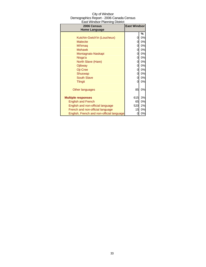| 2006 Census<br><b>Home Language</b>       | <b>East Windsor</b> |    |
|-------------------------------------------|---------------------|----|
|                                           |                     | %  |
| Kutchin-Gwich'in (Loucheux)               | 0                   | 0% |
| <b>Malecite</b>                           | 0                   | 0% |
| Mi'kmag                                   | 0                   | 0% |
| <b>Mohawk</b>                             | 0                   | 0% |
| Montagnais-Naskapi                        | 0                   | 0% |
| Nisga'a                                   | 0                   | 0% |
| North Slave (Hare)                        | 0                   | 0% |
| Ojibway                                   | 0                   | 0% |
| Oji-Cree                                  | 0                   | 0% |
| Shuswap                                   | 0                   | 0% |
| <b>South Slave</b>                        | 0                   | 0% |
| <b>Tlingit</b>                            | 0                   | 0% |
| Other languages                           | 85                  | 0% |
| <b>Multiple responses</b>                 | 615                 | 3% |
| <b>English and French</b>                 | 65                  | 0% |
| English and non-official language         | 520                 | 2% |
| French and non-official language          | 15                  | 0% |
| English, French and non-official language | 0                   | 0% |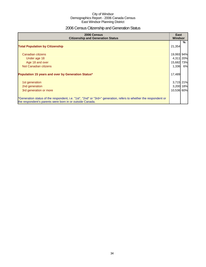## 2006 Census Citizenship and Generation Status

| 2006 Census<br><b>Citizenship and Generation Status</b>                                                                                                                       | East<br><b>Windsor</b> |    |
|-------------------------------------------------------------------------------------------------------------------------------------------------------------------------------|------------------------|----|
| <b>Total Population by Citizenship</b>                                                                                                                                        | 21,354                 | %  |
| Canadian citizens                                                                                                                                                             | 19,993 94%             |    |
| Under age 18                                                                                                                                                                  | 4,311 20%              |    |
| Age 18 and over                                                                                                                                                               | 15,682 73%             |    |
| Not Canadian citizens                                                                                                                                                         | 1,336                  | 6% |
| Population 15 years and over by Generation Status*                                                                                                                            | 17,489                 |    |
| 1st generation                                                                                                                                                                | 3,715 21%              |    |
| 2nd generation                                                                                                                                                                | 3,200 18%              |    |
| 3rd generation or more                                                                                                                                                        | 10,536 60%             |    |
| *Generation status of the respondent, i.e. "1st", "2nd" or "3rd+" generation, refers to whether the respondent or<br>the respondent's parents were born in or outside Canada. |                        |    |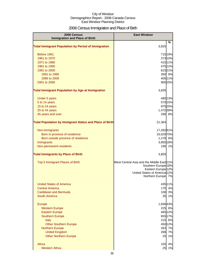## 2006 Census Immigration and Place of Birth

| 2006 Census                                                    | <b>East Windsor</b>                                           |    |
|----------------------------------------------------------------|---------------------------------------------------------------|----|
| <b>Immigration and Place of Birth</b>                          |                                                               |    |
| <b>Total Immigrant Population by Period of Immigration</b>     | 3,825                                                         | %  |
|                                                                |                                                               |    |
| Before 1961                                                    | 715 19%                                                       |    |
| 1961 to 1970                                                   | 37310%                                                        |    |
| 1971 to 1980                                                   | 415 11%                                                       |    |
| 1981 to 1990                                                   | 475 12%                                                       |    |
| 1991 to 2000                                                   | 81521%                                                        |    |
| 1991 to 1995                                                   | 350 9%                                                        |    |
| 1996 to 2000                                                   | 40511%                                                        |    |
| 2001 to 2006                                                   | 965 25%                                                       |    |
| <b>Total Immigrant Population by Age at Immigration</b>        | 3,835                                                         |    |
|                                                                |                                                               |    |
| Under 5 years                                                  | 480 13%                                                       |    |
| 5 to 14 years<br>15 to 24 years                                | 570 15%<br>975 25%                                            |    |
| 25 to 44 years                                                 | 1,472 38%                                                     |    |
| 45 years and over                                              | 290 8%                                                        |    |
|                                                                |                                                               |    |
| <b>Total Population by Immigrant Status and Place of Birth</b> | 21,364                                                        |    |
| Non-immigrants                                                 | 17,28281%                                                     |    |
| Born in province of residence                                  | 16,029 75%                                                    |    |
| Born outside province of residence                             | 1,278 6%                                                      |    |
| Immigrants                                                     | 3,855 18%                                                     |    |
| Non-permanent residents                                        | 195                                                           | 1% |
| <b>Total Immigrants by Place of Birth</b>                      | 3,855                                                         |    |
| Top 5 Immigrant Places of Birth                                | West Central Asia and the Middle East 21%                     |    |
|                                                                | Southern Europe <sup>18%</sup>                                |    |
|                                                                | Eastern Europe <sup>12%</sup><br>United States of America 12% |    |
|                                                                | Northern Europe 7%                                            |    |
|                                                                |                                                               |    |
| <b>United States of America</b>                                | 435 11%                                                       |    |
| <b>Central America</b>                                         | 170                                                           | 4% |
| Caribbean and Bermuda                                          | 108                                                           | 3% |
| South America                                                  | 35                                                            | 1% |
| <b>Europe</b>                                                  | 1,65643%                                                      |    |
| <b>Western Europe</b>                                          | 225                                                           | 6% |
| <b>Eastern Europe</b>                                          | 465 12%                                                       |    |
| <b>Southern Europe</b>                                         | 655 17%                                                       |    |
| <b>Italy</b>                                                   | 215                                                           | 6% |
| <b>Other Southern Europe</b>                                   | 450 12%                                                       |    |
| <b>Northern Europe</b>                                         | 263                                                           | 7% |
| <b>United Kingdom</b>                                          | 268                                                           | 7% |
| <b>Other Northern Europe</b>                                   | 25                                                            | 1% |
| Africa                                                         | 155                                                           | 4% |
| <b>Western Africa</b>                                          | 25                                                            | 1% |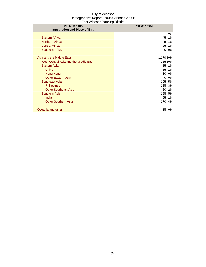| 2006 Census                           | <b>East Windsor</b> |         |
|---------------------------------------|---------------------|---------|
| <b>Immigration and Place of Birth</b> |                     |         |
|                                       |                     | %       |
| <b>Eastern Africa</b>                 | 45                  | 1%      |
| <b>Northern Africa</b>                | 45                  | 1%      |
| <b>Central Africa</b>                 | 25                  | 1%      |
| <b>Southern Africa</b>                | 0                   | 0%      |
|                                       |                     |         |
| Asia and the Middle East              | 1,170 30%           |         |
| West Central Asia and the Middle East |                     | 765 20% |
| Eastern Asia                          | 55                  | 1%      |
| China                                 | 35                  | 1%      |
| Hong Kong                             | 10                  | 0%      |
| <b>Other Eastern Asia</b>             | 0                   | 0%      |
| <b>Southeast Asia</b>                 | 195                 | 5%      |
| <b>Philippines</b>                    | 125                 | 3%      |
| <b>Other Southeast Asia</b>           | 60                  | 2%      |
| <b>Southern Asia</b>                  | 195                 | 5%      |
| India                                 | 25                  | 1%      |
| <b>Other Southern Asia</b>            | 170                 | 4%      |
|                                       |                     |         |
| Oceania and other                     | 15                  | 0%      |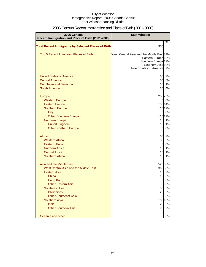| 2006 Census<br>Recent Immigration and Place of Birth (2001-2006)                                                                                                                                                                                                                                                                                        | <b>East Windsor</b>                                                                                                                                              |                                                                                                          |
|---------------------------------------------------------------------------------------------------------------------------------------------------------------------------------------------------------------------------------------------------------------------------------------------------------------------------------------------------------|------------------------------------------------------------------------------------------------------------------------------------------------------------------|----------------------------------------------------------------------------------------------------------|
|                                                                                                                                                                                                                                                                                                                                                         |                                                                                                                                                                  | %                                                                                                        |
| <b>Total Recent Immigrants by Selected Places of Birth</b>                                                                                                                                                                                                                                                                                              | 955                                                                                                                                                              |                                                                                                          |
| Top 5 Recent Immigrant Places of Birth                                                                                                                                                                                                                                                                                                                  | West Central Asia and the Middle East 37%<br>Eastern Europe <sup>13%</sup><br>Southern Europe <sup>12%</sup><br>Southern Asia 10%<br>United States of America 7% |                                                                                                          |
| <b>United States of America</b><br><b>Central America</b><br>Caribbean and Bermuda<br><b>South America</b>                                                                                                                                                                                                                                              | 65<br>55<br>10<br>35                                                                                                                                             | 7%<br>6%<br>1%<br>4%                                                                                     |
| Europe<br><b>Western Europe</b><br><b>Eastern Europe</b><br><b>Southern Europe</b><br>Italy<br><b>Other Southern Europe</b><br><b>Northern Europe</b><br><b>United Kingdom</b><br><b>Other Northern Europe</b><br>Africa<br><b>Western Africa</b><br><b>Eastern Africa</b><br><b>Northern Africa</b><br><b>Central Africa</b><br><b>Southern Africa</b> | 0<br>0<br>10<br>10<br>$\overline{0}$<br>65<br>30<br>$\mathbf 0$<br>10<br>10<br>10                                                                                | 250 26%<br>0%<br>13014%<br>115 12%<br>0%<br>11012%<br>1%<br>1%<br>0%<br>7%<br>3%<br>0%<br>1%<br>1%<br>1% |
| Asia and the Middle East<br>West Central Asia and the Middle East<br>Eastern Asia<br>China<br><b>Hong Kong</b><br><b>Other Eastern Asia</b><br><b>Southeast Asia</b><br>Philippines<br><b>Other Southeast Asia</b><br><b>Southern Asia</b><br>India<br><b>Other Southern Asia</b>                                                                       | 15<br>15<br>0<br>$\overline{0}$<br>30<br>20<br>$\overline{0}$<br>20<br>90                                                                                        | 52555%<br>360 38%<br>2%<br>2%<br>0%<br>0%<br>3%<br>2%<br>0%<br>100 10%<br>2%<br>9%                       |
| Oceania and other                                                                                                                                                                                                                                                                                                                                       | 0                                                                                                                                                                | 0%                                                                                                       |

## 2006 Census Recent Immigration and Place of Birth (2001-2006)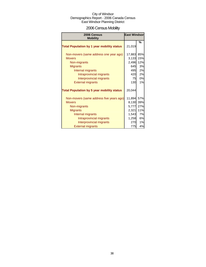## 2006 Census Mobility

| 2006 Census<br><b>Mobility</b>                    | <b>East Windsor</b> |     |
|---------------------------------------------------|---------------------|-----|
| <b>Total Population by 1 year mobility status</b> | 21,019              | %   |
|                                                   |                     |     |
| Non-movers (same address one year ago)            | 17,883              | 85% |
| <b>Movers</b>                                     | 3,133               | 15% |
| Non-migrants                                      | 2,496               | 12% |
| <b>Migrants</b>                                   | 645                 | 3%  |
| Internal migrants                                 | 495                 | 2%  |
| Intraprovincial migrants                          | 420                 | 2%  |
| Interprovincial migrants                          | 75                  | 0%  |
| <b>External migrants</b>                          | <b>130</b>          | 1%  |
| <b>Total Population by 5 year mobility status</b> | 20,044              |     |
| Non-movers (same address five years ago)          | 11,894              | 57% |
| <b>Movers</b>                                     | 8,130               | 39% |
| Non-migrants                                      | 5,777               | 27% |
| <b>Migrants</b>                                   | 2,321               | 11% |
| Internal migrants                                 | 1,543               | 7%  |
| Intraprovincial migrants                          | 1,258               | 6%  |
| Interprovincial migrants                          | 270                 | 1%  |
| <b>External migrants</b>                          | 775                 | 4%  |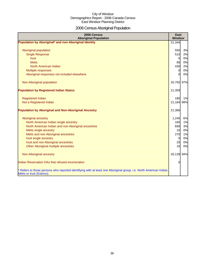# 2006 Census Aboriginal Population

| 2006 Census<br><b>Aboriginal Population</b>                                                                                                                                                                                                                                                 | East<br>Windsor                                                |                                              |
|---------------------------------------------------------------------------------------------------------------------------------------------------------------------------------------------------------------------------------------------------------------------------------------------|----------------------------------------------------------------|----------------------------------------------|
| Population by Aboriginal* and non-Aboriginal Identity                                                                                                                                                                                                                                       | 21,344                                                         |                                              |
| Aboriginal population<br><b>Single Response</b><br><b>Inuit</b><br><b>Metis</b><br>North American Indian<br>Multiple responses<br>Aboriginal responses not included elsewhere                                                                                                               | 550<br>515<br>$\overline{0}$<br>85<br>430<br>0<br>0            | 3%<br>2%<br>0%<br>0%<br>2%<br>0%<br>0%       |
| Non-Aboriginal population                                                                                                                                                                                                                                                                   | 20,792 97%                                                     |                                              |
| <b>Population by Registered Indian Status</b>                                                                                                                                                                                                                                               | 21,359                                                         |                                              |
| <b>Registered Indian</b><br>Not a Registered Indian                                                                                                                                                                                                                                         | 180<br>21,184 99%                                              | 1%                                           |
| <b>Population by Aboriginal and Non-Aboriginal Ancestry</b>                                                                                                                                                                                                                                 | 21,366                                                         |                                              |
| Aboriginal ancestry<br>North American Indian single ancestry<br>North American Indian and non-Aboriginal ancestries<br>Métis single ancestry<br>Métis and non-Aboriginal ancestries<br>Inuit single ancestry<br>Inuit and non-Aboriginal ancestries<br>Other Aboriginal multiple ancestries | 1,245<br>165<br>690<br>10<br>270<br>$\overline{0}$<br>25<br>10 | 6%<br>1%<br>3%<br>0%<br>1%<br>0%<br>0%<br>0% |
| Non-Aboriginal ancestry                                                                                                                                                                                                                                                                     | 20,139 94%                                                     |                                              |
| Indian Reservation DAs that refused enumeration                                                                                                                                                                                                                                             | 0                                                              |                                              |
| * Refers to those persons who reported identifying with at least one Aboriginal group, i.e. North American Indian,<br>Métis or Inuit (Eskimo).                                                                                                                                              |                                                                |                                              |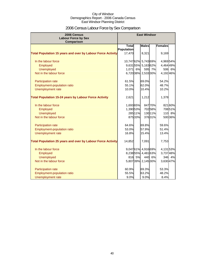## 2006 Census Labour Force by Sex Comparison

| 2006 Census<br><b>Labour Force by Sex</b>                          |                    |         | <b>East Windsor</b> |         |                |        |
|--------------------------------------------------------------------|--------------------|---------|---------------------|---------|----------------|--------|
| <b>Comparison</b>                                                  |                    |         |                     |         |                |        |
|                                                                    | <b>Total</b>       |         | <b>Males</b>        |         | <b>Females</b> |        |
|                                                                    | Population         |         |                     |         |                |        |
| <b>Total Population 15 years and over by Labour Force Activity</b> | 17,470             |         | 8,321               |         | 9,169          |        |
| In the labour force                                                | 10,74762% 5,74369% |         |                     |         | 4,969 54%      |        |
| Employed                                                           |                    |         | 9,63155% 5,16362%   |         | 4,464 49%      |        |
| <b>Unemployed</b>                                                  | 1,071              | 6%      |                     | 595 7%  | 506            | 6%     |
| Not in the labour force                                            |                    |         | 6,72038% 2,53330%   |         | 4,192 46%      |        |
| Participation rate                                                 | 61.5%              |         | 69.0%               |         | 54.2%          |        |
| Employment-population ratio                                        | 55.1%              |         | 62.0%               |         | 48.7%          |        |
| Unemployment rate                                                  | 10.0%              |         | 10.4%               |         | 10.2%          |        |
| <b>Total Population 15-24 years by Labour Force Activity</b>       | 2,621              |         | 1,212               |         | 1,378          |        |
| In the labour force                                                | 1,69365%           |         |                     | 84770%  |                | 82160% |
| Employed                                                           | 1,390 53%          |         |                     | 70258%  |                | 70851% |
| <b>Unemployed</b>                                                  |                    | 285 11% |                     | 130 11% |                | 110 8% |
| Not in the labour force                                            |                    | 87533%  |                     | 37631%  |                | 50036% |
| Participation rate                                                 | 64.6%              |         | 69.8%               |         | 59.6%          |        |
| Employment-population ratio                                        | 53.0%              |         | 57.9%               |         | 51.4%          |        |
| Unemployment rate                                                  | 16.8%              |         | 15.4%               |         | 13.4%          |        |
| <b>Total Population 25 years and over by Labour Force Activity</b> | 14,852             |         | 7,091               |         | 7,753          |        |
| In the labour force                                                |                    |         | 9,04761% 4,91669%   |         | 4,13153%       |        |
| Employed                                                           |                    |         | 8,23855% 4,48163%   |         | 3,73748%       |        |
| <b>Unemployed</b>                                                  | 816                | 5%      |                     | 440 6%  | 346            | 4%     |
| Not in the labour force                                            |                    |         | 5,80739% 2,14530%   |         | 3,630 47%      |        |
| Participation rate                                                 | 60.9%              |         | 69.3%               |         | 53.3%          |        |
| <b>Employment-population ratio</b>                                 | 55.5%              |         | 63.2%               |         | 48.2%          |        |
| Unemployment rate                                                  | 9.0%               |         | 9.0%                |         | 8.4%           |        |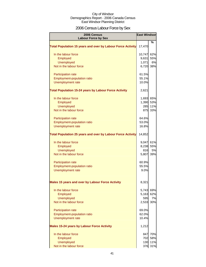## 2006 Census Labour Force by Sex

| 2006 Census<br><b>Labour Force by Sex</b>                          | <b>East Windsor</b> |           |
|--------------------------------------------------------------------|---------------------|-----------|
|                                                                    |                     | %         |
| <b>Total Population 15 years and over by Labour Force Activity</b> | 17,470              |           |
| In the labour force                                                | 10,747              | 62%       |
| Employed                                                           | 9,631               | 55%       |
| <b>Unemployed</b>                                                  | 1,071               | 6%        |
| Not in the labour force                                            | 6,720 38%           |           |
| <b>Participation rate</b>                                          | 61.5%               |           |
| Employment-population ratio                                        | 55.1%               |           |
| Unemployment rate                                                  | 10.0%               |           |
| <b>Total Population 15-24 years by Labour Force Activity</b>       | 2,621               |           |
| In the labour force                                                | 1,693 65%           |           |
| Employed                                                           | 1,390 53%           |           |
| <b>Unemployed</b>                                                  | 285                 | 11%       |
| Not in the labour force                                            | 875                 | 33%       |
| <b>Participation rate</b>                                          | 64.6%               |           |
| Employment-population ratio                                        | 53.0%               |           |
| <b>Unemployment rate</b>                                           | 16.8%               |           |
| <b>Total Population 25 years and over by Labour Force Activity</b> | 14,852              |           |
| In the labour force                                                | 9,047 61%           |           |
| Employed                                                           | 8,238 55%           |           |
| <b>Unemployed</b>                                                  | 816                 | <b>5%</b> |
| Not in the labour force                                            | 5,807               | 39%       |
| <b>Participation rate</b>                                          | 60.9%               |           |
| Employment-population ratio                                        | 55.5%               |           |
| <b>Unemployment rate</b>                                           | 9.0%                |           |
| <b>Males 15 years and over by Labour Force Activity</b>            | 8,321               |           |
| In the labour force                                                | 5,743               | 69%       |
| Employed                                                           | 5,163               | 62%       |
| <b>Unemployed</b>                                                  | 595                 | 7%        |
| Not in the labour force                                            | 2,533               | 30%       |
| <b>Participation rate</b>                                          | 69.0%               |           |
| Employment-population ratio                                        | 62.0%               |           |
| <b>Unemployment rate</b>                                           | 10.4%               |           |
| <b>Males 15-24 years by Labour Force Activity</b>                  | 1,212               |           |
| In the labour force                                                |                     | 847 70%   |
| Employed                                                           |                     | 702 58%   |
| <b>Unemployed</b>                                                  |                     | 130 11%   |
| Not in the labour force                                            |                     | 376 31%   |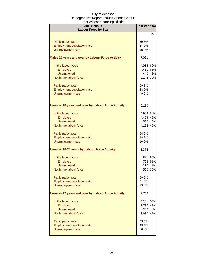| 2006 Census<br><b>Labour Force by Sex</b>                 | <b>East Windsor</b> |         |
|-----------------------------------------------------------|---------------------|---------|
|                                                           |                     | %       |
|                                                           | 69.8%               |         |
| <b>Participation rate</b><br>Employment-population ratio  | 57.9%               |         |
| Unemployment rate                                         | 15.4%               |         |
|                                                           |                     |         |
| <b>Males 25 years and over by Labour Force Activity</b>   | 7,091               |         |
| In the labour force                                       | 4,916 69%           |         |
| Employed                                                  | 4,481               | 63%     |
| <b>Unemployed</b>                                         | 440                 | 6%      |
| Not in the labour force                                   | 2,145 30%           |         |
| <b>Participation rate</b>                                 | 69.3%               |         |
| Employment-population ratio                               | 63.2%               |         |
| Unemployment rate                                         | 9.0%                |         |
|                                                           |                     |         |
| <b>Females 15 years and over by Labour Force Activity</b> | 9,169               |         |
| In the labour force                                       | 4,969 54%           |         |
| Employed                                                  | 4,464               | 49%     |
| <b>Unemployed</b>                                         | 506                 | 6%      |
| Not in the labour force                                   | 4,192               | 46%     |
|                                                           |                     |         |
| Participation rate                                        | 54.2%               |         |
| Employment-population ratio                               | 48.7%               |         |
| <b>Unemployment rate</b>                                  | 10.2%               |         |
| <b>Females 15-24 years by Labour Force Activity</b>       | 1,378               |         |
| In the labour force                                       |                     | 821 60% |
| Employed                                                  |                     | 708 51% |
| <b>Unemployed</b>                                         | 110                 | 8%      |
| Not in the labour force                                   | 500                 | 36%     |
| <b>Participation rate</b>                                 | 59.6%               |         |
| Employment-population ratio                               | 51.4%               |         |
| Unemployment rate                                         | 13.4%               |         |
| <b>Females 25 years and over by Labour Force Activity</b> | 7,753               |         |
| In the labour force                                       | 4,131               | 53%     |
| Employed                                                  | 3,737               | 48%     |
| <b>Unemployed</b>                                         | 346                 | 4%      |
| Not in the labour force                                   | 3,630               | 47%     |
| Participation rate                                        | 53.3%               |         |
| Employment-population ratio                               | 48.2%               |         |
| <b>Unemployment rate</b>                                  | 8.4%                |         |
|                                                           |                     |         |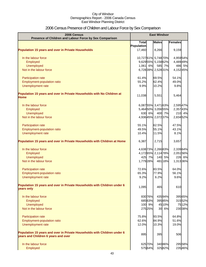## 2006 Census Presence of Children and Labour Force by Sex Comparison

| 2006 Census<br>Presence of Children and Labour Force by Sex Comparison                                          | <b>East Windsor</b> |         |              |         |           |
|-----------------------------------------------------------------------------------------------------------------|---------------------|---------|--------------|---------|-----------|
|                                                                                                                 | <b>Total</b>        |         | <b>Males</b> |         | Females   |
|                                                                                                                 | Population          |         |              |         |           |
| <b>Population 15 years and over in Private Households</b>                                                       | 17,460              |         | 8,266        |         | 9,159     |
| In the labour force                                                                                             | 10,72761% 5,74870%  |         |              |         | 4,95954%  |
| Employed                                                                                                        | 9,62955% 5,15862%   |         |              |         | 4,48949%  |
| Unemployed                                                                                                      | 1,061 6%            |         |              | 585 7%  | 486 5%    |
| Not in the labour force                                                                                         | 6,72839% 2,52831%   |         |              |         | 4,15245%  |
| Participation rate                                                                                              | 61.4%               |         | 69.5%        |         | 54.1%     |
| Employment-population ratio                                                                                     | 55.2%               |         | 62.4%        |         | 49.0%     |
| Unemployment rate                                                                                               | 9.9%                |         | 10.2%        |         | 9.8%      |
| Population 15 years and over in Private Households with No Children at<br><b>Home</b>                           | 11,038              |         | 5,551        |         | 5,464     |
| In the labour force                                                                                             | 6,08755% 3,47163%   |         |              |         | 2,595 47% |
| Employed                                                                                                        | 5,46450% 3,05655%   |         |              |         | 2,35743%  |
| <b>Unemployed</b>                                                                                               |                     | 630 6%  |              | 400 7%  | 210 4%    |
| Not in the labour force                                                                                         | 4,93645% 2,07237%   |         |              |         | 2,834 52% |
|                                                                                                                 |                     |         |              |         |           |
| Participation rate                                                                                              | 55.1%               |         | 62.5%        |         | 47.5%     |
| Employment-population ratio                                                                                     | 49.5%               |         | 55.1%        |         | 43.1%     |
| Unemployment rate                                                                                               | 10.4%               |         | 11.5%        |         | 8.1%      |
| Population 15 years and over in Private Households with Children at Home                                        | 6,387               |         | 2,715        |         | 3,657     |
| In the labour force                                                                                             | 4,638 73% 2,266 83% |         |              |         | 2,339 64% |
| Employed                                                                                                        | 4,17265% 2,11478%   |         |              |         | 2,051 56% |
| <b>Unemployed</b>                                                                                               |                     | 425 7%  |              | 140 5%  | 226 6%    |
| Not in the labour force                                                                                         | 1,779 28%           |         |              | 481 18% | 1,313 36% |
| Participation rate                                                                                              | 72.6%               |         | 83.5%        |         | 64.0%     |
| Employment-population ratio                                                                                     | 65.3%               |         | 77.9%        |         | 56.1%     |
| Unemployment rate                                                                                               | 9.2%                |         | 6.2%         |         | 9.6%      |
| Population 15 years and over in Private Households with Children under 6<br>years only                          | 1,095               |         | 465          |         | 610       |
| In the labour force                                                                                             |                     | 83076%  |              | 43594%  | 395 65%   |
| Employed                                                                                                        |                     | 685 63% |              | 39585%  | 31552%    |
| <b>Unemployed</b>                                                                                               |                     | 100 9%  |              | 45 10%  | 7512%     |
| Not in the labour force                                                                                         |                     | 275 25% |              | 30 6%   | 230 38%   |
| Participation rate                                                                                              | 75.8%               |         | 93.5%        |         | 64.8%     |
| Employment-population ratio                                                                                     | 62.6%               |         | 84.9%        |         | 51.6%     |
| Unemployment rate                                                                                               | 12.0%               |         | 10.3%        |         | 19.0%     |
| Population 15 years and over in Private Households with Children under 6<br>years and Children 6 years and over | 895                 |         | 395          |         | 506       |
| In the labour force                                                                                             |                     | 625 70% |              | 34086%  | 295 58%   |
| Employed                                                                                                        |                     | 57564%  |              | 32582%  | 23546%    |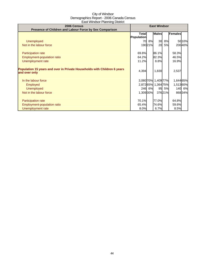| 2006 Census<br>Presence of Children and Labour Force by Sex Comparison                    |                                   | <b>East Windsor</b> |                     |           |           |        |
|-------------------------------------------------------------------------------------------|-----------------------------------|---------------------|---------------------|-----------|-----------|--------|
|                                                                                           | <b>Total</b><br><b>Population</b> |                     | <b>Males</b>        |           | Females   |        |
| <b>Unemployed</b>                                                                         | 70                                | 8%                  | 30                  | 8%        |           | 5010%  |
| Not in the labour force                                                                   |                                   | 19021%              | 20                  | <b>5%</b> |           | 20040% |
| Participation rate                                                                        | 69.8%                             |                     | 86.1%               |           | 58.3%     |        |
| Employment-population ratio                                                               | 64.2%                             |                     | 82.3%               |           | 46.5%     |        |
| Unemployment rate                                                                         | 11.2%                             |                     | 8.8%                |           | 16.9%     |        |
| Population 15 years and over in Private Households with Children 6 years<br>and over only | 4,394                             |                     | 1,830               |           | 2,537     |        |
| In the labour force                                                                       |                                   |                     | 3,080 70% 1,409 77% |           | 1,644 65% |        |
| <b>Employed</b>                                                                           |                                   |                     | 2,87265% 1,36475%   |           | 1,51360%  |        |
| <b>Unemployed</b>                                                                         |                                   | 246 6%              | 95                  | 5%        |           | 140 6% |
| Not in the labour force                                                                   | 1,309 30%                         |                     |                     | 37621%    |           | 86834% |
| <b>Participation rate</b>                                                                 | 70.1%                             |                     | 77.0%               |           | 64.8%     |        |
| Employment-population ratio                                                               | 65.4%                             |                     | 74.6%               |           | 59.6%     |        |
| Unemployment rate                                                                         | 8.0%                              |                     | 6.7%                |           | 8.5%      |        |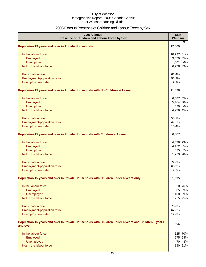## 2006 Census Presence of Children and Labour Force by Sex

| 2006 Census<br>Presence of Children and Labour Force by Sex                                                     | East<br>Windsor |         |
|-----------------------------------------------------------------------------------------------------------------|-----------------|---------|
|                                                                                                                 |                 | %       |
| <b>Population 15 years and over in Private Households</b>                                                       | 17,460          |         |
| In the labour force                                                                                             | 10,727 61%      |         |
| Employed                                                                                                        | 9,629 55%       |         |
| Unemployed                                                                                                      | 1,061           | 6%      |
| Not in the labour force                                                                                         | 6,728 39%       |         |
| Participation rate                                                                                              | 61.4%           |         |
| Employment-population ratio                                                                                     | 55.2%           |         |
| Unemployment rate                                                                                               | 9.9%            |         |
| Population 15 years and over in Private Households with No Children at Home                                     | 11,038          |         |
| In the labour force                                                                                             | 6,087 55%       |         |
| Employed                                                                                                        | 5,464           | 50%     |
| Unemployed                                                                                                      | 630             | 6%      |
| Not in the labour force                                                                                         | 4,936 45%       |         |
| Participation rate                                                                                              | 55.1%           |         |
| Employment-population ratio                                                                                     | 49.5%           |         |
| Unemployment rate                                                                                               | 10.4%           |         |
| Population 15 years and over in Private Households with Children at Home                                        | 6,387           |         |
| In the labour force                                                                                             | 4,638 73%       |         |
| Employed                                                                                                        | 4,172 65%       |         |
| Unemployed                                                                                                      | 425             | 7%      |
| Not in the labour force                                                                                         | 1,779 28%       |         |
| Participation rate                                                                                              | 72.6%           |         |
| Employment-population ratio                                                                                     | 65.3%           |         |
| Unemployment rate                                                                                               | 9.2%            |         |
| Population 15 years and over in Private Households with Children under 6 years only                             | 1,095           |         |
| In the labour force                                                                                             |                 | 830 76% |
| Employed                                                                                                        |                 | 685 63% |
| Unemployed                                                                                                      | 100             | 9%      |
| Not in the labour force                                                                                         |                 | 275 25% |
| Participation rate                                                                                              | 75.8%           |         |
| Employment-population ratio                                                                                     | 62.6%           |         |
| Unemployment rate                                                                                               | 12.0%           |         |
| Population 15 years and over in Private Households with Children under 6 years and Children 6 years<br>and over | 895             |         |
| In the labour force                                                                                             |                 | 625 70% |
| Employed                                                                                                        |                 | 575 64% |
| Unemployed                                                                                                      | 70              | 8%      |
| Not in the labour force                                                                                         |                 | 190 21% |
|                                                                                                                 |                 |         |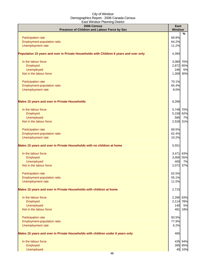| $-0.000$<br>2006 Census<br>Presence of Children and Labour Force by Sex                | East<br><b>Windsor</b> |
|----------------------------------------------------------------------------------------|------------------------|
|                                                                                        | %                      |
| Participation rate                                                                     | 69.8%                  |
| Employment-population ratio                                                            | 64.2%                  |
| Unemployment rate                                                                      | 11.2%                  |
| Population 15 years and over in Private Households with Children 6 years and over only | 4,394                  |
| In the labour force                                                                    | 3,080 70%              |
| Employed                                                                               | 2,872 65%              |
| Unemployed                                                                             | 246<br>6%              |
| Not in the labour force                                                                | 1,309 30%              |
| Participation rate                                                                     | 70.1%                  |
| Employment-population ratio                                                            | 65.4%                  |
| Unemployment rate                                                                      | 8.0%                   |
| <b>Males 15 years and over in Private Households</b>                                   | 8,266                  |
| In the labour force                                                                    | 5,748 70%              |
| Employed                                                                               | 5,158 62%              |
| Unemployed                                                                             | 585<br>7%              |
| Not in the labour force                                                                | 2,528 31%              |
| Participation rate                                                                     | 69.5%                  |
| Employment-population ratio                                                            | 62.4%                  |
| Unemployment rate                                                                      | 10.2%                  |
| Males 15 years and over in Private Households with no children at home                 | 5,551                  |
| In the labour force                                                                    | 3,471 63%              |
| Employed                                                                               | 3,056 55%              |
| Unemployed                                                                             | 400<br>7%              |
| Not in the labour force                                                                | 2,072 37%              |
| <b>Participation rate</b>                                                              | 62.5%                  |
| Employment-population ratio                                                            | 55.1%                  |
| Unemployment rate                                                                      | 11.5%                  |
| Males 15 years and over in Private Households with children at home                    | 2,715                  |
| In the labour force                                                                    | 2,266 83%              |
| Employed                                                                               | 2,114 78%              |
| Unemployed                                                                             | 140<br>5%              |
| Not in the labour force                                                                | 481 18%                |
| Participation rate                                                                     | 83.5%                  |
| Employment-population ratio                                                            | 77.9%                  |
| Unemployment rate                                                                      | 6.2%                   |
| Males 15 years and over in Private Households with children under 6 years only         | 465                    |
| In the labour force                                                                    | 435 94%                |
| Employed                                                                               | 395 85%                |
| Unemployed                                                                             | 45 10%                 |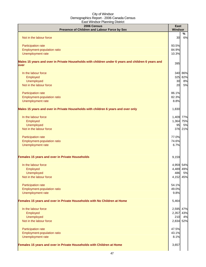| 2006 Census<br>Presence of Children and Labour Force by Sex                                                | <b>East</b><br>Windsor |         |
|------------------------------------------------------------------------------------------------------------|------------------------|---------|
| Not in the labour force                                                                                    | 30                     | %<br>6% |
|                                                                                                            |                        |         |
| Participation rate                                                                                         | 93.5%                  |         |
| Employment-population ratio                                                                                | 84.9%                  |         |
| Unemployment rate                                                                                          | 10.3%                  |         |
| Males 15 years and over in Private Households with children under 6 years and children 6 years and<br>over | 395                    |         |
| In the labour force                                                                                        |                        | 340 86% |
| Employed                                                                                                   |                        | 325 82% |
| Unemployed                                                                                                 | 30                     | 8%      |
| Not in the labour force                                                                                    | 20                     | 5%      |
| Participation rate                                                                                         | 86.1%                  |         |
| Employment-population ratio                                                                                | 82.3%                  |         |
| Unemployment rate                                                                                          | 8.8%                   |         |
| Males 15 years and over in Private Households with children 6 years and over only                          | 1,830                  |         |
| In the labour force                                                                                        | 1,409 77%              |         |
| Employed                                                                                                   | 1,364 75%              |         |
| <b>Unemployed</b>                                                                                          | 95                     | 5%      |
| Not in the labour force                                                                                    |                        | 376 21% |
| Participation rate                                                                                         | 77.0%                  |         |
| Employment-population ratio                                                                                | 74.6%                  |         |
| Unemployment rate                                                                                          | 6.7%                   |         |
| Females 15 years and over in Private Households                                                            | 9,159                  |         |
| In the labour force                                                                                        | 4,959 54%              |         |
| Employed                                                                                                   | 4,489 49%              |         |
| Unemployed                                                                                                 | 486                    | 5%      |
| Not in the labour force                                                                                    | 4,152 45%              |         |
| Participation rate                                                                                         | 54.1%                  |         |
| Employment-population ratio                                                                                | 49.0%                  |         |
| Unemployment rate                                                                                          | 9.8%                   |         |
| Females 15 years and over in Private Households with No Children at Home                                   | 5,464                  |         |
| In the labour force                                                                                        | 2,595 47%              |         |
| Employed                                                                                                   | 2,357 43%              |         |
| <b>Unemployed</b>                                                                                          | 210                    | 4%      |
| Not in the labour force                                                                                    | 2,834 52%              |         |
| Participation rate                                                                                         | 47.5%                  |         |
| Employment-population ratio                                                                                | 43.1%                  |         |
| Unemployment rate                                                                                          | 8.1%                   |         |
| Females 15 years and over in Private Households with Children at Home                                      | 3,657                  |         |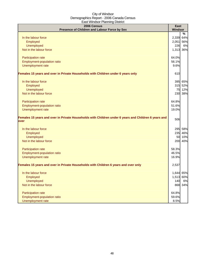| 2006 Census                                                                                                  | <b>East</b>    |         |
|--------------------------------------------------------------------------------------------------------------|----------------|---------|
| Presence of Children and Labour Force by Sex                                                                 | <b>Windsor</b> |         |
|                                                                                                              |                | %       |
| In the labour force                                                                                          | 2,339          | 64%     |
| Employed                                                                                                     | 2,051          | 56%     |
| Unemployed                                                                                                   | 226            | 6%      |
| Not in the labour force                                                                                      | 1,313          | 36%     |
| Participation rate                                                                                           | 64.0%          |         |
| <b>Employment-population ratio</b>                                                                           | 56.1%          |         |
| Unemployment rate                                                                                            | 9.6%           |         |
| Females 15 years and over in Private Households with Children under 6 years only                             | 610            |         |
| In the labour force                                                                                          |                | 395 65% |
| Employed                                                                                                     |                | 315 52% |
| Unemployed                                                                                                   |                | 75 12%  |
| Not in the labour force                                                                                      |                | 230 38% |
| Participation rate                                                                                           | 64.8%          |         |
| Employment-population ratio                                                                                  | 51.6%          |         |
| Unemployment rate                                                                                            | 19.0%          |         |
| Females 15 years and over in Private Households with Children under 6 years and Children 6 years and<br>over | 506            |         |
| In the labour force                                                                                          |                | 295 58% |
| Employed                                                                                                     |                | 235 46% |
| Unemployed                                                                                                   |                | 50 10%  |
| Not in the labour force                                                                                      |                | 200 40% |
| Participation rate                                                                                           | 58.3%          |         |
| Employment-population ratio                                                                                  | 46.5%          |         |
| Unemployment rate                                                                                            | 16.9%          |         |
| Females 15 years and over in Private Households with Children 6 years and over only                          | 2,537          |         |
| In the labour force                                                                                          | 1,644 65%      |         |
| Employed                                                                                                     | 1,513 60%      |         |
| Unemployed                                                                                                   | 140            | 6%      |
| Not in the labour force                                                                                      |                | 868 34% |
| Participation rate                                                                                           | 64.8%          |         |
| Employment-population ratio                                                                                  | 59.6%          |         |
| Unemployment rate                                                                                            | 8.5%           |         |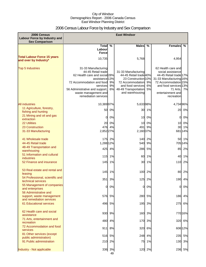## 2006 Census Labour Force by Industry and Sex Comparison

| 2006 Census<br><b>Labour Force by Industry and</b><br><b>Sex Comparison</b> | <b>East Windsor</b>                                                                                                                                                                                                     |                |                                                                                                                                                          |                |                                                                                                                                                                                              |               |
|-----------------------------------------------------------------------------|-------------------------------------------------------------------------------------------------------------------------------------------------------------------------------------------------------------------------|----------------|----------------------------------------------------------------------------------------------------------------------------------------------------------|----------------|----------------------------------------------------------------------------------------------------------------------------------------------------------------------------------------------|---------------|
|                                                                             | Total                                                                                                                                                                                                                   | %              | <b>Males</b>                                                                                                                                             | $\%$           | <b>Females</b>                                                                                                                                                                               | %             |
|                                                                             | Labourl<br><b>Force</b>                                                                                                                                                                                                 |                |                                                                                                                                                          |                |                                                                                                                                                                                              |               |
| <b>Total Labour Force 15 years</b>                                          |                                                                                                                                                                                                                         |                |                                                                                                                                                          |                |                                                                                                                                                                                              |               |
| and over by Industry*                                                       | 10,735                                                                                                                                                                                                                  |                | 5,768                                                                                                                                                    |                | 4,954                                                                                                                                                                                        |               |
| <b>Top 5 Industries</b>                                                     | 31-33 Manufacturing<br>44-45 Retail trade<br>62 Health care and social 28%<br>assistance 13%<br>72 Accommodation and food<br>services<br>56 Administrative and support,<br>waste management and<br>remediation services | 9%<br>9%<br>6% | 31-33 Manufacturing<br>44-45 Retail trade 40%<br>23 Construction 10%<br>72 Accommodation<br>and food services<br>48-49 Transportation<br>and warehousing | 9%<br>6%<br>5% | 62 Health care and<br>social assistance<br>44-45 Retail trade 17%<br>31-33 Manufacturing 16%<br>72 Accommodation 15%<br>and food services 13%<br>71 Arts.<br>entertainment and<br>recreation | 7%            |
| <b>All industries</b>                                                       | 10,38997%                                                                                                                                                                                                               |                | 5,63398%                                                                                                                                                 |                | 4,734 96%                                                                                                                                                                                    |               |
| 11 Agriculture, forestry,                                                   | 50                                                                                                                                                                                                                      | 0%             |                                                                                                                                                          | 30 1%          | 20                                                                                                                                                                                           | 0%            |
| fishing and hunting<br>21 Mining and oil and gas                            |                                                                                                                                                                                                                         |                |                                                                                                                                                          |                |                                                                                                                                                                                              |               |
| extraction                                                                  | 0                                                                                                                                                                                                                       | 0%             | 10                                                                                                                                                       | 0%             | 0                                                                                                                                                                                            | 0%            |
| 22 Utilities                                                                | 20                                                                                                                                                                                                                      | 0%             | 10                                                                                                                                                       | 0%             | 10                                                                                                                                                                                           | 0%            |
| 23 Construction<br>31-33 Manufacturing                                      | 476<br>2,852 27%                                                                                                                                                                                                        | 4%             | 491<br>2,160 37%                                                                                                                                         | 9%             | 30                                                                                                                                                                                           | 1%<br>681 14% |
|                                                                             |                                                                                                                                                                                                                         |                |                                                                                                                                                          |                |                                                                                                                                                                                              |               |
| 41 Wholesale trade                                                          |                                                                                                                                                                                                                         | 175 2%         | 140                                                                                                                                                      | 2%             |                                                                                                                                                                                              | 50 1%         |
| 44-45 Retail trade                                                          | 1,288 12%                                                                                                                                                                                                               |                | 540                                                                                                                                                      | 9%             |                                                                                                                                                                                              | 705 14%       |
| 48-49 Transportation and<br>warehousing                                     | 425                                                                                                                                                                                                                     | 4%             | 286                                                                                                                                                      | 5%             | 85                                                                                                                                                                                           | 2%            |
| 51 Information and cultural                                                 | 115                                                                                                                                                                                                                     | 1%             | 60                                                                                                                                                       | 1%             | 40                                                                                                                                                                                           | 1%            |
| industries<br>52 Finance and insurance                                      | 145                                                                                                                                                                                                                     | 1%             | 30                                                                                                                                                       | 1%             | 110                                                                                                                                                                                          | 2%            |
|                                                                             |                                                                                                                                                                                                                         |                |                                                                                                                                                          |                |                                                                                                                                                                                              |               |
| 53 Real estate and rental and                                               | 145                                                                                                                                                                                                                     | 1%             | 100                                                                                                                                                      | 2%             | 80                                                                                                                                                                                           | 2%            |
| leasing<br>54 Professional, scientific and                                  |                                                                                                                                                                                                                         |                |                                                                                                                                                          |                |                                                                                                                                                                                              |               |
| technical services                                                          | 351                                                                                                                                                                                                                     | 3%             | 125                                                                                                                                                      | 2%             |                                                                                                                                                                                              | 190 4%        |
| 55 Management of companies                                                  | $\overline{0}$                                                                                                                                                                                                          | 0%             | <sub>0</sub>                                                                                                                                             | 0%             | 0                                                                                                                                                                                            | 0%            |
| and enterprises<br>56 Administrative and                                    |                                                                                                                                                                                                                         |                |                                                                                                                                                          |                |                                                                                                                                                                                              |               |
| support, waste management                                                   | 576                                                                                                                                                                                                                     | 5%             | 280                                                                                                                                                      | 5%             | 186                                                                                                                                                                                          | 4%            |
| and remediation services<br>61 Educational services                         | 496                                                                                                                                                                                                                     | 5%             | 195                                                                                                                                                      | 3%             |                                                                                                                                                                                              | 6%            |
|                                                                             |                                                                                                                                                                                                                         |                |                                                                                                                                                          |                | 275                                                                                                                                                                                          |               |
| 62 Health care and social<br>assistance                                     | 930                                                                                                                                                                                                                     | 9%             | 160                                                                                                                                                      | 3%             |                                                                                                                                                                                              | 770 16%       |
| 71 Arts, entertainment and<br>recreation                                    | 480                                                                                                                                                                                                                     | 4%             | 170                                                                                                                                                      | 3%             | 320                                                                                                                                                                                          | 6%            |
| 72 Accommodation and food                                                   |                                                                                                                                                                                                                         |                |                                                                                                                                                          |                |                                                                                                                                                                                              |               |
| services                                                                    | 911                                                                                                                                                                                                                     | 8%             | 320                                                                                                                                                      | 6%             |                                                                                                                                                                                              | 606 12%       |
| 81 Other services (except<br>public administration)                         | 516                                                                                                                                                                                                                     | 5%             | 248                                                                                                                                                      | 4%             | 235                                                                                                                                                                                          | 5%            |
| 91 Public administration                                                    | 210                                                                                                                                                                                                                     | 2%             | 75                                                                                                                                                       | 1%             | 130                                                                                                                                                                                          | 3%            |
|                                                                             |                                                                                                                                                                                                                         |                |                                                                                                                                                          |                |                                                                                                                                                                                              |               |
| Industry - Not applicable                                                   |                                                                                                                                                                                                                         | 336 3%         |                                                                                                                                                          | 120 2%         |                                                                                                                                                                                              | 236 5%        |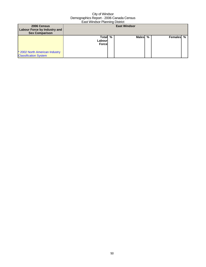| 2006 Census<br><b>Labour Force by Industry and</b><br><b>Sex Comparison</b> |                                   |   | <b>East Windsor</b> |   |           |  |
|-----------------------------------------------------------------------------|-----------------------------------|---|---------------------|---|-----------|--|
| * 2002 North American Industry<br><b>Classification System</b>              | Totall<br>Labourl<br><b>Force</b> | % | <b>Males</b>        | % | Females % |  |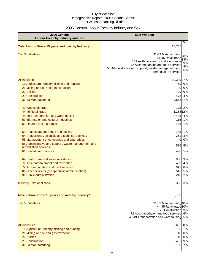## 2006 Census Labour Force by Industry and Sex

| 2006 Census<br><b>Labour Force by Industry and Sex</b>                                                                                                                                                                                              | <b>East Windsor</b>                                                                                                                                                                                                                    |
|-----------------------------------------------------------------------------------------------------------------------------------------------------------------------------------------------------------------------------------------------------|----------------------------------------------------------------------------------------------------------------------------------------------------------------------------------------------------------------------------------------|
| Total Labour Force 15 years and over by Industry*                                                                                                                                                                                                   | $\%$<br>10,735                                                                                                                                                                                                                         |
| <b>Top 5 Industries</b>                                                                                                                                                                                                                             | 31-33 Manufacturing<br>28%<br>44-45 Retail trade<br>13%<br>62 Health care and social assistance<br>9%<br>72 Accommodation and food services<br>9%<br>56 Administrative and support, waste management and<br>6%<br>remediation services |
| <b>All industries</b><br>11 Agriculture, forestry, fishing and hunting<br>21 Mining and oil and gas extraction<br>22 Utilities<br>23 Construction<br>31-33 Manufacturing                                                                            | 10,38997%<br>50 0%<br>0%<br>0<br>0%<br>20<br>476 4%<br>2,852 27%                                                                                                                                                                       |
| 41 Wholesale trade<br>44-45 Retail trade<br>48-49 Transportation and warehousing<br>51 Information and cultural industries<br>52 Finance and insurance                                                                                              | 175 2%<br>1,288 12%<br>425 4%<br>1%<br>115<br>145<br>1%                                                                                                                                                                                |
| 53 Real estate and rental and leasing<br>54 Professional, scientific and technical services<br>55 Management of companies and enterprises<br>56 Administrative and support, waste management and<br>remediation services<br>61 Educational services | 145<br>1%<br>351<br>3%<br>0%<br>0<br>576<br>5%<br>496<br>5%                                                                                                                                                                            |
| 62 Health care and social assistance<br>71 Arts, entertainment and recreation<br>72 Accommodation and food services<br>81 Other services (except public administration)<br>91 Public administration                                                 | 930 9%<br>480<br>4%<br>911<br>8%<br>5%<br>516<br>210<br>2%                                                                                                                                                                             |
| Industry - Not applicable<br>Male Labour Force 15 years and over by Industry*                                                                                                                                                                       | 336 3%                                                                                                                                                                                                                                 |
| <b>Top 5 Industries</b>                                                                                                                                                                                                                             | 5,768<br>31-33 Manufacturing 40%<br>44-45 Retail trade 10%<br>23 Construction 9%<br>72 Accommodation and food services<br>6%<br>48-49 Transportation and warehousing 5%                                                                |
| <b>All industries</b><br>11 Agriculture, forestry, fishing and hunting<br>21 Mining and oil and gas extraction<br><b>22 Utilities</b><br>23 Construction<br>31-33 Manufacturing                                                                     | 5,63398%<br>30 1%<br>10 0%<br>10 0%<br>491 9%<br>2,160 37%                                                                                                                                                                             |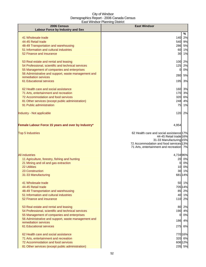| 2006 Census                                                                 | <b>East Windsor</b>                                                |
|-----------------------------------------------------------------------------|--------------------------------------------------------------------|
| <b>Labour Force by Industry and Sex</b>                                     | %                                                                  |
| 41 Wholesale trade                                                          | 140 2%                                                             |
| 44-45 Retail trade                                                          | 9%<br>540                                                          |
| 48-49 Transportation and warehousing                                        | 5%<br>286                                                          |
| 51 Information and cultural industries                                      | 60<br>1%                                                           |
| 52 Finance and insurance                                                    | 30 1%                                                              |
| 53 Real estate and rental and leasing                                       | 100 2%                                                             |
| 54 Professional, scientific and technical services                          | 125 2%                                                             |
| 55 Management of companies and enterprises                                  | 0%<br>0                                                            |
| 56 Administrative and support, waste management and<br>remediation services | 280<br>5%                                                          |
| 61 Educational services                                                     | 195<br>3%                                                          |
| 62 Health care and social assistance                                        |                                                                    |
| 71 Arts, entertainment and recreation                                       | 160 3%<br>170 3%                                                   |
| 72 Accommodation and food services                                          | 6%<br>320                                                          |
| 81 Other services (except public administration)                            | 248<br>4%                                                          |
| 91 Public administration                                                    | 75<br>1%                                                           |
| Industry - Not applicable                                                   | 120 2%                                                             |
|                                                                             |                                                                    |
| Female Labour Force 15 years and over by Industry*                          | 4,954                                                              |
| <b>Top 5 Industries</b>                                                     | 62 Health care and social assistance 17%<br>44-45 Retail trade 16% |
|                                                                             | 31-33 Manufacturing 15%                                            |
|                                                                             | 72 Accommodation and food services 13%                             |
|                                                                             | 71 Arts, entertainment and recreation 7%                           |
| <b>All industries</b>                                                       | 4,734 96%                                                          |
| 11 Agriculture, forestry, fishing and hunting                               | 20 0%                                                              |
| 21 Mining and oil and gas extraction                                        | 0%<br>0                                                            |
| <b>22 Utilities</b>                                                         | 10 0%                                                              |
| 23 Construction                                                             | 30 1%<br>681 14%                                                   |
| 31-33 Manufacturing                                                         |                                                                    |
| 41 Wholesale trade                                                          | 50 1%                                                              |
| 44-45 Retail trade                                                          | 705 14%                                                            |
| 48-49 Transportation and warehousing                                        | 85 2%                                                              |
| 51 Information and cultural industries<br>52 Finance and insurance          | 40 1%<br>110 2%                                                    |
|                                                                             |                                                                    |
| 53 Real estate and rental and leasing                                       | 80 2%                                                              |
| 54 Professional, scientific and technical services                          | 190 4%                                                             |
| 55 Management of companies and enterprises                                  | 0%<br>$\overline{0}$                                               |
| 56 Administrative and support, waste management and<br>remediation services | 4%<br>186                                                          |
| 61 Educational services                                                     | 275<br>6%                                                          |
| 62 Health care and social assistance                                        | 77016%                                                             |
| 71 Arts, entertainment and recreation                                       | 320 6%                                                             |
| 72 Accommodation and food services                                          | 606 12%                                                            |
| 81 Other services (except public administration)                            | 235 5%                                                             |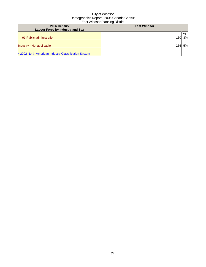| 2006 Census<br><b>Labour Force by Industry and Sex</b> | <b>East Windsor</b> |    |
|--------------------------------------------------------|---------------------|----|
|                                                        |                     |    |
|                                                        |                     | %  |
| 91 Public administration                               | 130                 | 3% |
|                                                        |                     |    |
| Industry - Not applicable                              | 236                 | 5% |
|                                                        |                     |    |
| * 2002 North American Industry Classification System   |                     |    |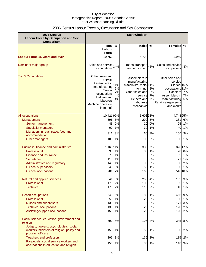## 2006 Census Labour Force by Occupation and Sex Comparison

| 2006 Census<br><b>Labour Force by Occupation and Sex</b><br><b>Comparison</b>                                                                                                                             | <b>East Windsor</b>                                                                                                                                   |                                  |                                                                                                                                                       |                                        |                                                                                                                                                                        |                                                  |
|-----------------------------------------------------------------------------------------------------------------------------------------------------------------------------------------------------------|-------------------------------------------------------------------------------------------------------------------------------------------------------|----------------------------------|-------------------------------------------------------------------------------------------------------------------------------------------------------|----------------------------------------|------------------------------------------------------------------------------------------------------------------------------------------------------------------------|--------------------------------------------------|
|                                                                                                                                                                                                           | <b>Total</b>                                                                                                                                          | $\frac{0}{0}$                    | <b>Males</b>                                                                                                                                          | %                                      | <b>Females</b>                                                                                                                                                         | %                                                |
|                                                                                                                                                                                                           | Labour<br><b>Force</b>                                                                                                                                |                                  |                                                                                                                                                       |                                        |                                                                                                                                                                        |                                                  |
| <b>Labour Force 15 years and over</b>                                                                                                                                                                     | 10,752                                                                                                                                                |                                  | 5,728                                                                                                                                                 |                                        | 4,969                                                                                                                                                                  |                                                  |
|                                                                                                                                                                                                           |                                                                                                                                                       |                                  |                                                                                                                                                       |                                        |                                                                                                                                                                        |                                                  |
| Dominant major group                                                                                                                                                                                      | Sales and service 34%<br>occupations                                                                                                                  |                                  | Trades, transport 46%<br>and equipment                                                                                                                |                                        | Sales and service 44%<br>occupations                                                                                                                                   |                                                  |
| <b>Top 5 Occupations</b>                                                                                                                                                                                  | Other sales and<br>service<br>Assemblers in<br>manufacturing<br>Clerical<br>occupations<br>Helpers and<br>labourers<br>Machine operators<br>in manuf. | 11%<br>9%<br>7%<br>4%<br>4%      | Assemblers in<br>manufacturing<br>Machinists, metal <sup>11%</sup><br>forming,<br>Other sales and<br>service<br>Helpers and<br>labourers<br>Mechanics | 8%<br>8%<br>7%<br>7%                   | Other sales and<br>service<br>Clerical <sub>16%</sub><br>occupations <sup>11%</sup><br>Cashiers<br>Assemblers in<br>manufacturing<br>Retail salespersons<br>and clerks | 7%<br>7%<br>5%                                   |
| All occupations                                                                                                                                                                                           | 10,42197%                                                                                                                                             |                                  | 5,60898%                                                                                                                                              |                                        | 4,744 95%                                                                                                                                                              |                                                  |
| Management                                                                                                                                                                                                | 596                                                                                                                                                   | 6%                               | 290                                                                                                                                                   | 5%                                     | 281                                                                                                                                                                    | 6%                                               |
| Senior management                                                                                                                                                                                         | 45                                                                                                                                                    | 0%                               | 20                                                                                                                                                    | 0%                                     | 25                                                                                                                                                                     | 1%                                               |
| <b>Specialist managers</b>                                                                                                                                                                                | 90                                                                                                                                                    | 1%                               | 30                                                                                                                                                    | 1%                                     | 40                                                                                                                                                                     | 1%                                               |
| Managers in retail trade, food and                                                                                                                                                                        | 311                                                                                                                                                   | 3%                               | 160                                                                                                                                                   | 3%                                     | 166                                                                                                                                                                    | 3%                                               |
| accommodation                                                                                                                                                                                             |                                                                                                                                                       |                                  |                                                                                                                                                       |                                        |                                                                                                                                                                        |                                                  |
| Other managers                                                                                                                                                                                            | 100                                                                                                                                                   | 1%                               | 90                                                                                                                                                    | 2%                                     | 50                                                                                                                                                                     | 1%                                               |
| Business, finance and administrative<br>Professional<br><b>Finance and insurance</b><br><b>Secretaries</b><br>Administrative and regulatory<br><b>Clerical supervisors</b><br><b>Clerical occupations</b> | 1,169 11%<br>95<br>75<br>115<br>145<br>40<br>701                                                                                                      | 1%<br>1%<br>1%<br>1%<br>0%<br>7% | 388<br>35<br>0<br>0<br>90<br>50<br>163                                                                                                                | 7%<br>1%<br>0%<br>0%<br>2%<br>1%<br>3% | 20<br>65<br>71<br>80<br>30                                                                                                                                             | 826 17%<br>0%<br>1%<br>1%<br>2%<br>1%<br>516 10% |
|                                                                                                                                                                                                           |                                                                                                                                                       |                                  |                                                                                                                                                       |                                        |                                                                                                                                                                        |                                                  |
| Natural and applied sciences                                                                                                                                                                              | 341                                                                                                                                                   | 3%                               |                                                                                                                                                       | 255 4%                                 |                                                                                                                                                                        | 135 3%                                           |
| Professional<br><b>Technical</b>                                                                                                                                                                          | 170<br>170                                                                                                                                            | 2%<br>2%                         | 1061<br>110                                                                                                                                           | 2%<br>2%                               | 65<br>40                                                                                                                                                               | 1%<br>1%                                         |
|                                                                                                                                                                                                           |                                                                                                                                                       |                                  |                                                                                                                                                       |                                        |                                                                                                                                                                        |                                                  |
| <b>Health occupations</b>                                                                                                                                                                                 | 540                                                                                                                                                   | 5%                               | 80                                                                                                                                                    | 1%                                     |                                                                                                                                                                        | 465 9%                                           |
| Professional                                                                                                                                                                                              | 55                                                                                                                                                    | 1%                               | 20                                                                                                                                                    | 0%                                     |                                                                                                                                                                        | 50 1%                                            |
| <b>Nurses and supervisors</b>                                                                                                                                                                             | 130                                                                                                                                                   | 1%                               | 15                                                                                                                                                    | 0%                                     | 171                                                                                                                                                                    | 3%                                               |
| <b>Technical occupations</b>                                                                                                                                                                              | 130                                                                                                                                                   | 1%                               | 20                                                                                                                                                    | 0%                                     | 120                                                                                                                                                                    | 2%                                               |
| Assisting/support occupations                                                                                                                                                                             | 150                                                                                                                                                   | 1%                               | 20                                                                                                                                                    | 0%                                     | 120                                                                                                                                                                    | 2%                                               |
| Social science, education, government and<br>religion                                                                                                                                                     | 590                                                                                                                                                   | 5%                               | 195                                                                                                                                                   | 3%                                     | 385                                                                                                                                                                    | 8%                                               |
| Judges, lawyers, psychologists, social<br>workers, ministers of religion, policy and<br>program officers                                                                                                  | 150                                                                                                                                                   | 1%                               | 50                                                                                                                                                    | 1%                                     | 80                                                                                                                                                                     | 2%                                               |
| <b>Teachers and professors</b>                                                                                                                                                                            | 295                                                                                                                                                   | 3%                               | 135                                                                                                                                                   | 2%                                     | 115                                                                                                                                                                    | 2%                                               |
| Paralegals, social service workers and<br>occupations in education and religion                                                                                                                           | 150                                                                                                                                                   | 1%                               | 35                                                                                                                                                    | 1%                                     |                                                                                                                                                                        | 140 3%                                           |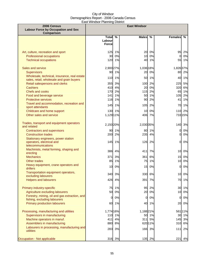| 2006 Census<br><b>Labour Force by Occupation and Sex</b>                                  |                 |        | <b>East Windsor</b> |               |                |               |
|-------------------------------------------------------------------------------------------|-----------------|--------|---------------------|---------------|----------------|---------------|
| <b>Comparison</b>                                                                         | Total %         |        | <b>Males</b>        | $\frac{0}{0}$ | <b>Females</b> | $\frac{9}{6}$ |
|                                                                                           | Labour          |        |                     |               |                |               |
|                                                                                           | <b>Force</b>    |        |                     |               |                |               |
| Art, culture, recreation and sport                                                        | 125             | 1%     | 20                  | 0%            | 95             | 2%            |
| Professional occupations                                                                  | 30              | 0%     | 10                  | 0%            | <sub>0</sub>   | 0%            |
| <b>Technical occupations</b>                                                              | 120             | 1%     | 40                  | 1%            | 55             | 1%            |
| Sales and service                                                                         | 2,900 27%       |        | 1,036 18%           |               | 1,826 37%      |               |
| <b>Supervisors</b>                                                                        | 90              | 1%     | 20                  | 0%            | 80             | 2%            |
| Wholesale, technical, insurance, real estate<br>sales, retail, wholesale and grain buyers | $110$           | 1%     | 50                  | 1%            | 40             | 1%            |
| Retail salespersons and clerks                                                            | 355             | 3%     | 100                 | 2%            | 225            | 5%            |
| <b>Cashiers</b>                                                                           | 410             | 4%     | 20                  | 0%            | 320            | 6%            |
| Chefs and cooks                                                                           | 170             | 2%     | 115                 | 2%            |                | 65 1%         |
| Food and beverage service                                                                 | $141$           | 1%     | 50                  | 1%            | 105            | 2%            |
| <b>Protective services</b>                                                                | 116             | 1%     | 90                  | 2%            | 41             | 1%            |
| Travel and accommodation, recreation and<br>sport attendants                              | 145             | 1%     | 105                 | 2%            | 70             | 1%            |
| Childcare and home support                                                                |                 | 130 1% | 10                  | 0%            |                | 110 2%        |
| Other sales and service                                                                   | 1,129 11%       |        | 406                 | 7%            |                | 733 15%       |
| Trades, transport and equipment operators<br>and related                                  | 2,150 20%       |        | 2,030 35%           |               | 140            | 3%            |
| <b>Contractors and supervisors</b>                                                        | 90              | 1%     | 80                  | 1%            | $\overline{O}$ | 0%            |
| <b>Construction trades</b>                                                                | 200             | 2%     | 235                 | 4%            | $\mathbf{0}$   | 0%            |
| Stationary engineers, power station<br>operators, electrical and<br>telecommunications    | 145             | 1%     | 126                 | 2%            | 0              | 0%            |
| Machinists, metal forming, shaping and<br>erecting                                        | 386             | 4%     | 411                 | 7%            | 10             | 0%            |
| <b>Mechanics</b>                                                                          | 371             | 3%     | 361                 | 6%            | 15             | 0%            |
| Other trades                                                                              | 85              | 1%     | 75                  | 1%            | 10             | $0\%$         |
| Heavy equipment, crane operators and                                                      |                 |        |                     |               |                |               |
| drillers                                                                                  | 10 <sup>1</sup> | 0%     | 15                  | 0%            | $\mathbf{0}$   | 0%            |
| Transportation equipment operators,<br>excluding labourers                                |                 | 340 3% |                     | 330 6%        |                | 10 0%         |
| <b>Helpers and labourers</b>                                                              | 426             | 4%     | 391                 | 7%            | 70             | 1%            |
| Primary industry-specific                                                                 | 75              | 1%     | 95                  | 2%            | 30             | 1%            |
| Agriculture excluding labourers                                                           | 50              | 0%     | 20                  | 0%            | 10             | 0%            |
| Forestry, mining, oil and gas extraction, and                                             | $\overline{0}$  | 0%     | 0                   | 0%            | $\mathbf{0}$   | $0\%$         |
| fishing, excluding labourers                                                              |                 |        |                     |               |                |               |
| <b>Primary production labourers</b>                                                       |                 | 60 1%  | 40                  | 1%            | 20             | 0%            |
| Processing, manufacturing and utilities                                                   | 1,774 16%       |        | 1,188 21%           |               |                | 561 11%       |
| Supervisors in manufacturing                                                              |                 | 110 1% |                     | 50 1%         |                | 30 1%         |
| Machine operators in manuf.                                                               | 411             | 4%     | 311                 | 5%            |                | 145 3%        |
| Assemblers in manufacturing                                                               | 880             | 8%     |                     | 62011%        | 310            | 6%            |
| Labourers in processing, manufacturing and<br>utilities                                   | 283             | 3%     | 166                 | 3%            | 111            | 2%            |
| Occupation - Not applicable                                                               | 316             | 3%     | 135                 | 2%            | 221            | 4%            |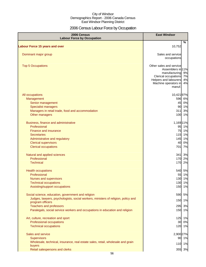## 2006 Census Labour Force by Occupation

| 2006 Census<br><b>Labour Force by Occupation</b>                                                               | <b>East Windsor</b>                                                                                                                                                   |
|----------------------------------------------------------------------------------------------------------------|-----------------------------------------------------------------------------------------------------------------------------------------------------------------------|
| <b>Labour Force 15 years and over</b>                                                                          | $\%$<br>10,752                                                                                                                                                        |
|                                                                                                                |                                                                                                                                                                       |
| Dominant major group                                                                                           | Sales and service<br>occupations                                                                                                                                      |
| <b>Top 5 Occupations</b>                                                                                       | Other sales and service<br>Assemblers in 11%<br>manufacturing 9%<br>Clerical occupations<br>7%<br>Helpers and labourers<br>4%<br>Machine operators in<br>4%<br>manuf. |
| All occupations                                                                                                | 10,421 97%                                                                                                                                                            |
| Management                                                                                                     | 596 6%                                                                                                                                                                |
| Senior management                                                                                              | 45<br>0%                                                                                                                                                              |
| <b>Specialist managers</b>                                                                                     | 90 1%                                                                                                                                                                 |
| Managers in retail trade, food and accommodation                                                               | 311<br>3%<br>100 1%                                                                                                                                                   |
| Other managers                                                                                                 |                                                                                                                                                                       |
| Business, finance and administrative                                                                           | 1,169 11%                                                                                                                                                             |
| Professional                                                                                                   | 95 1%                                                                                                                                                                 |
| <b>Finance and insurance</b>                                                                                   | 75<br>1%                                                                                                                                                              |
| <b>Secretaries</b>                                                                                             | 115 1%                                                                                                                                                                |
| Administrative and regulatory                                                                                  | 145 1%                                                                                                                                                                |
| <b>Clerical supervisors</b>                                                                                    | 40 0%                                                                                                                                                                 |
| <b>Clerical occupations</b>                                                                                    | 701<br>7%                                                                                                                                                             |
| Natural and applied sciences                                                                                   | 341<br>3%                                                                                                                                                             |
| Professional                                                                                                   | 170 2%                                                                                                                                                                |
| <b>Technical</b>                                                                                               | 170<br>2%                                                                                                                                                             |
| <b>Health occupations</b>                                                                                      | 540 5%                                                                                                                                                                |
| Professional                                                                                                   | 55 1%                                                                                                                                                                 |
| <b>Nurses and supervisors</b>                                                                                  | 130 1%                                                                                                                                                                |
| <b>Technical occupations</b>                                                                                   | 130 1%                                                                                                                                                                |
| Assisting/support occupations                                                                                  | 150 1%                                                                                                                                                                |
| Social science, education, government and religion                                                             | 590 5%                                                                                                                                                                |
| Judges, lawyers, psychologists, social workers, ministers of religion, policy and                              | 150 1%                                                                                                                                                                |
| program officers                                                                                               |                                                                                                                                                                       |
| <b>Teachers and professors</b><br>Paralegals, social service workers and occupations in education and religion | 3%<br>295<br>150 1%                                                                                                                                                   |
|                                                                                                                |                                                                                                                                                                       |
| Art, culture, recreation and sport                                                                             | 125 1%                                                                                                                                                                |
| Professional occupations                                                                                       | 0%<br>30                                                                                                                                                              |
| <b>Technical occupations</b>                                                                                   | 120 1%                                                                                                                                                                |
| Sales and service                                                                                              | 2,900 27%                                                                                                                                                             |
| <b>Supervisors</b>                                                                                             | 90 1%                                                                                                                                                                 |
| Wholesale, technical, insurance, real estate sales, retail, wholesale and grain                                | 110 1%                                                                                                                                                                |
| buyers                                                                                                         |                                                                                                                                                                       |
| Retail salespersons and clerks                                                                                 | 355 3%                                                                                                                                                                |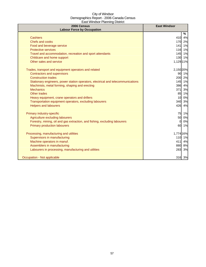| 2006 Census<br><b>Labour Force by Occupation</b>                                 | <b>East Windsor</b> |
|----------------------------------------------------------------------------------|---------------------|
|                                                                                  | %                   |
| <b>Cashiers</b>                                                                  | 410<br>4%           |
| Chefs and cooks                                                                  | 170 2%              |
| Food and beverage service                                                        | 1%<br>141           |
| <b>Protective services</b>                                                       | 1%<br>116           |
| Travel and accommodation, recreation and sport attendants                        | 145<br>1%           |
| Childcare and home support                                                       | 1%<br>130           |
| Other sales and service                                                          | 1,129 11%           |
| Trades, transport and equipment operators and related                            | 2,150 20%           |
| <b>Contractors and supervisors</b>                                               | 90<br>1%            |
| <b>Construction trades</b>                                                       | 200<br>2%           |
| Stationary engineers, power station operators, electrical and telecommunications | 145 1%              |
| Machinists, metal forming, shaping and erecting                                  | 386 4%              |
| <b>Mechanics</b>                                                                 | 371 3%              |
| Other trades                                                                     | 1%<br>85            |
| Heavy equipment, crane operators and drillers                                    | 0%<br>10            |
| Transportation equipment operators, excluding labourers                          | 3%<br>340           |
| <b>Helpers and labourers</b>                                                     | 426<br>4%           |
| Primary industry-specific                                                        | 75 1%               |
| Agriculture excluding labourers                                                  | 50<br>0%            |
| Forestry, mining, oil and gas extraction, and fishing, excluding labourers       | 0%<br>$\Omega$      |
| <b>Primary production labourers</b>                                              | 1%<br>60            |
| Processing, manufacturing and utilities                                          | 1,774 16%           |
| Supervisors in manufacturing                                                     | 110<br>1%           |
| Machine operators in manuf.                                                      | 411<br>4%           |
| Assemblers in manufacturing                                                      | 8%<br>880           |
| Labourers in processing, manufacturing and utilities                             | 283<br>3%           |
| Occupation - Not applicable                                                      | 316 3%              |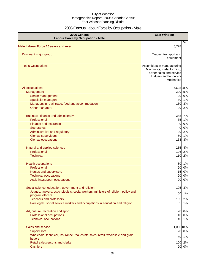## 2006 Census Labour Force by Occupation - Male

| 2006 Census<br><b>Labour Force by Occupation - Male</b>                                               | <b>East Windsor</b>                                                                                                        |    |
|-------------------------------------------------------------------------------------------------------|----------------------------------------------------------------------------------------------------------------------------|----|
| <b>Male Labour Force 15 years and over</b>                                                            | 5,728                                                                                                                      | %  |
|                                                                                                       |                                                                                                                            |    |
| Dominant major group                                                                                  | Trades, transport and<br>equipment                                                                                         |    |
| <b>Top 5 Occupations</b>                                                                              | Assemblers in manufacturing<br>Machinists, metal forming,<br>Other sales and service<br>Helpers and labourers<br>Mechanics |    |
| All occupations                                                                                       | 5,60898%                                                                                                                   |    |
| Management                                                                                            | 290 5%                                                                                                                     |    |
| Senior management                                                                                     | 20 0%                                                                                                                      |    |
| <b>Specialist managers</b>                                                                            | 30 1%                                                                                                                      |    |
| Managers in retail trade, food and accommodation                                                      | 160                                                                                                                        | 3% |
| Other managers                                                                                        | 90                                                                                                                         | 2% |
| Business, finance and administrative                                                                  | 388                                                                                                                        | 7% |
| Professional                                                                                          | 35                                                                                                                         | 1% |
| Finance and insurance                                                                                 | $\overline{0}$                                                                                                             | 0% |
| <b>Secretaries</b>                                                                                    | 0                                                                                                                          | 0% |
| Administrative and regulatory                                                                         | 90                                                                                                                         | 2% |
| <b>Clerical supervisors</b>                                                                           | 50                                                                                                                         | 1% |
| <b>Clerical occupations</b>                                                                           | 163                                                                                                                        | 3% |
| Natural and applied sciences                                                                          | 255 4%                                                                                                                     |    |
| Professional                                                                                          | 106 2%                                                                                                                     |    |
| <b>Technical</b>                                                                                      | 110                                                                                                                        | 2% |
| <b>Health occupations</b>                                                                             | 80 1%                                                                                                                      |    |
| Professional                                                                                          | 20                                                                                                                         | 0% |
| Nurses and supervisors                                                                                | 15                                                                                                                         | 0% |
| <b>Technical occupations</b>                                                                          | 20                                                                                                                         | 0% |
| Assisting/support occupations                                                                         | 20                                                                                                                         | 0% |
| Social science, education, government and religion                                                    | 195                                                                                                                        | 3% |
| Judges, lawyers, psychologists, social workers, ministers of religion, policy and<br>program officers | 50                                                                                                                         | 1% |
| <b>Teachers and professors</b>                                                                        | 135                                                                                                                        | 2% |
| Paralegals, social service workers and occupations in education and religion                          | 35 1%                                                                                                                      |    |
| Art, culture, recreation and sport                                                                    | 20                                                                                                                         | 0% |
| Professional occupations                                                                              | 10 0%                                                                                                                      |    |
| <b>Technical occupations</b>                                                                          | 40 1%                                                                                                                      |    |
| Sales and service                                                                                     | 1,036 18%                                                                                                                  |    |
| <b>Supervisors</b>                                                                                    | 20 0%                                                                                                                      |    |
| Wholesale, technical, insurance, real estate sales, retail, wholesale and grain                       | 50 1%                                                                                                                      |    |
| buyers<br>Retail salespersons and clerks                                                              | 100 2%                                                                                                                     |    |
| <b>Cashiers</b>                                                                                       | 20 0%                                                                                                                      |    |
|                                                                                                       |                                                                                                                            |    |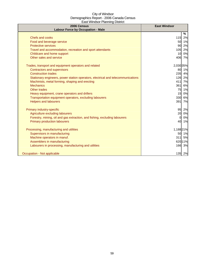| 2006 Census<br><b>Labour Force by Occupation - Male</b>                          | <b>East Windsor</b>  |
|----------------------------------------------------------------------------------|----------------------|
|                                                                                  | $\%$                 |
| <b>Chefs and cooks</b>                                                           | 115<br>2%            |
| Food and beverage service                                                        | 1%<br>50             |
| <b>Protective services</b>                                                       | 2%<br>90             |
| Travel and accommodation, recreation and sport attendants                        | 2%<br>105            |
| Childcare and home support                                                       | 0%<br>10             |
| Other sales and service                                                          | 7%<br>406            |
| Trades, transport and equipment operators and related                            | 2,030 35%            |
| <b>Contractors and supervisors</b>                                               | 80<br>1%             |
| <b>Construction trades</b>                                                       | 235<br>4%            |
| Stationary engineers, power station operators, electrical and telecommunications | 126<br>2%            |
| Machinists, metal forming, shaping and erecting                                  | 7%<br>411            |
| <b>Mechanics</b>                                                                 | 6%<br><b>361</b>     |
| Other trades                                                                     | 75<br>1%             |
| Heavy equipment, crane operators and drillers                                    | 15<br>0%             |
| Transportation equipment operators, excluding labourers                          | 6%<br>330            |
| <b>Helpers and labourers</b>                                                     | 391<br>7%            |
| Primary industry-specific                                                        | 95<br>2%             |
| Agriculture excluding labourers                                                  | 20<br>0%             |
| Forestry, mining, oil and gas extraction, and fishing, excluding labourers       | 0%<br>$\overline{0}$ |
| <b>Primary production labourers</b>                                              | 40<br>1%             |
| Processing, manufacturing and utilities                                          | 1,188 21%            |
| Supervisors in manufacturing                                                     | 50<br>1%             |
| Machine operators in manuf.                                                      | 311<br>5%            |
| Assemblers in manufacturing                                                      | 620 11%              |
| Labourers in processing, manufacturing and utilities                             | 166<br>3%            |
| Occupation - Not applicable                                                      | 135 2%               |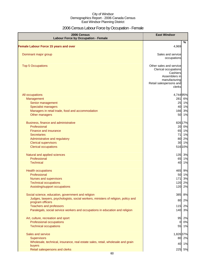## 2006 Census Labour Force by Occupation - Female

| 2006 Census<br><b>Labour Force by Occupation - Female</b>                                             | <b>East Windsor</b>                                                                           |      |
|-------------------------------------------------------------------------------------------------------|-----------------------------------------------------------------------------------------------|------|
| <b>Female Labour Force 15 years and over</b>                                                          | 4,969                                                                                         | $\%$ |
|                                                                                                       |                                                                                               |      |
| Dominant major group                                                                                  | Sales and service<br>occupations                                                              |      |
| <b>Top 5 Occupations</b>                                                                              | Other sales and service<br>Clerical occupations<br>Cashiers<br>Assemblers in<br>manufacturing |      |
|                                                                                                       | Retail salespersons and<br>clerks                                                             |      |
| All occupations                                                                                       | 4,744 95%                                                                                     |      |
| Management                                                                                            | 281                                                                                           | 6%   |
| Senior management                                                                                     | 25 1%                                                                                         |      |
| <b>Specialist managers</b>                                                                            | 40 1%                                                                                         |      |
| Managers in retail trade, food and accommodation                                                      | 166                                                                                           | 3%   |
| Other managers                                                                                        | 50 1%                                                                                         |      |
| Business, finance and administrative                                                                  | 826 17%                                                                                       |      |
| Professional                                                                                          | 20 0%                                                                                         |      |
| Finance and insurance                                                                                 | 65 1%                                                                                         |      |
| <b>Secretaries</b>                                                                                    | 71 1%                                                                                         |      |
| Administrative and regulatory                                                                         | 80                                                                                            | 2%   |
| <b>Clerical supervisors</b>                                                                           | 30 1%                                                                                         |      |
| <b>Clerical occupations</b>                                                                           | 516 10%                                                                                       |      |
| Natural and applied sciences                                                                          | 135 3%                                                                                        |      |
| Professional                                                                                          | 65 1%                                                                                         |      |
| <b>Technical</b>                                                                                      | 40 1%                                                                                         |      |
| <b>Health occupations</b>                                                                             | 465                                                                                           | 9%   |
| Professional                                                                                          | 50 1%                                                                                         |      |
| <b>Nurses and supervisors</b>                                                                         | 171                                                                                           | 3%   |
| <b>Technical occupations</b>                                                                          | 120 2%                                                                                        |      |
| Assisting/support occupations                                                                         | 120                                                                                           | 2%   |
| Social science, education, government and religion                                                    | 385                                                                                           | 8%   |
| Judges, lawyers, psychologists, social workers, ministers of religion, policy and<br>program officers | 80                                                                                            | 2%   |
| <b>Teachers and professors</b>                                                                        | 115                                                                                           | 2%   |
| Paralegals, social service workers and occupations in education and religion                          | 140 3%                                                                                        |      |
|                                                                                                       |                                                                                               |      |
| Art, culture, recreation and sport                                                                    | 95 2%                                                                                         |      |
| <b>Professional occupations</b>                                                                       | 0                                                                                             | 0%   |
| <b>Technical occupations</b>                                                                          | 55 1%                                                                                         |      |
| Sales and service                                                                                     | 1,826 37%                                                                                     |      |
| <b>Supervisors</b>                                                                                    | 80 2%                                                                                         |      |
| Wholesale, technical, insurance, real estate sales, retail, wholesale and grain                       | 40 1%                                                                                         |      |
| buyers                                                                                                |                                                                                               |      |
| Retail salespersons and clerks                                                                        | 225 5%                                                                                        |      |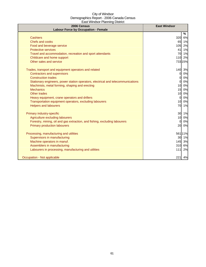| 2006 Census<br><b>Labour Force by Occupation - Female</b>                        | <b>East Windsor</b>   |
|----------------------------------------------------------------------------------|-----------------------|
|                                                                                  | %                     |
| <b>Cashiers</b>                                                                  | 320<br>6%             |
| <b>Chefs and cooks</b>                                                           | 65 1%                 |
| Food and beverage service                                                        | 105<br>2%             |
| <b>Protective services</b>                                                       | 1%<br>41              |
| Travel and accommodation, recreation and sport attendants                        | 70 1%                 |
| Childcare and home support                                                       | 2%<br>110             |
| Other sales and service                                                          | 733 15%               |
| Trades, transport and equipment operators and related                            | 140<br>3%             |
| <b>Contractors and supervisors</b>                                               | 0%<br>0               |
| <b>Construction trades</b>                                                       | 0%<br>$\mathbf{0}$    |
| Stationary engineers, power station operators, electrical and telecommunications | 0%<br>$\mathbf{0}$    |
| Machinists, metal forming, shaping and erecting                                  | 0%<br>10              |
| <b>Mechanics</b>                                                                 | 15<br>0%              |
| Other trades                                                                     | 10<br>0%              |
| Heavy equipment, crane operators and drillers                                    | 0%<br>0               |
| Transportation equipment operators, excluding labourers                          | 10 <sup>1</sup><br>0% |
| <b>Helpers and labourers</b>                                                     | 70 1%                 |
| Primary industry-specific                                                        | 30 1%                 |
| Agriculture excluding labourers                                                  | 0%<br>10              |
| Forestry, mining, oil and gas extraction, and fishing, excluding labourers       | 0%<br>$\Omega$        |
| <b>Primary production labourers</b>                                              | 20<br>0%              |
| Processing, manufacturing and utilities                                          | 561 11%               |
| Supervisors in manufacturing                                                     | 30 1%                 |
| Machine operators in manuf.                                                      | 145<br>3%             |
| Assemblers in manufacturing                                                      | 310<br>6%             |
| Labourers in processing, manufacturing and utilities                             | 2%<br>$111$           |
| Occupation - Not applicable                                                      | 221<br>4%             |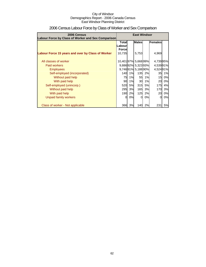| 2006 Census                                        | <b>East Windsor</b>                     |    |                   |           |          |    |  |
|----------------------------------------------------|-----------------------------------------|----|-------------------|-----------|----------|----|--|
| Labour Force by Class of Worker and Sex Comparison |                                         |    |                   |           |          |    |  |
|                                                    | <b>Males</b><br>Females<br><b>Total</b> |    |                   |           |          |    |  |
|                                                    | Labourl                                 |    |                   |           |          |    |  |
|                                                    | <b>Force</b>                            |    |                   |           |          |    |  |
| Labour Force 15 years and over by Class of Worker  | 10,735                                  |    | 5,753             |           | 4,969    |    |  |
|                                                    |                                         |    |                   |           |          |    |  |
| All classes of worker                              | 10,40197% 5,66899%                      |    |                   |           | 4,73995% |    |  |
| Paid workers                                       |                                         |    | 9,88692% 5,32393% |           | 4,53991% |    |  |
| <b>Employees</b>                                   |                                         |    | 9,74691% 5,18890% |           | 4,52491% |    |  |
| Self-employed (incorporated)                       | 140                                     | 1% | 135 <sup>1</sup>  | 2%        | 35       | 1% |  |
| Without paid help                                  | 75                                      | 1% | 55                | 1%        | 15       | 0% |  |
| With paid help                                     | 90                                      | 1% | 30                | 1%        | 20       | 0% |  |
| Self-employed (unincorp.)                          | 520                                     | 5% | 315               | <b>5%</b> | 175      | 4% |  |
| Without paid help                                  | 295                                     | 3% | 165               | 3%        | 170I     | 3% |  |
| With paid help                                     | 190                                     | 2% | 125               | 2%        | 20       | 0% |  |
| Unpaid family workers                              | 0                                       | 0% | ΩI                | 0%        | $\Omega$ | 0% |  |
|                                                    |                                         |    |                   |           |          |    |  |
| Class of worker - Not applicable                   | 366                                     | 3% | 140               | 2%        | 231      | 5% |  |

## 2006 Census Labour Force by Class of Worker and Sex Comparison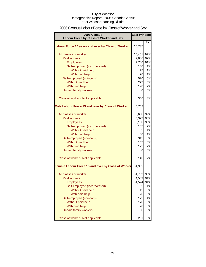## 2006 Census Labour Force by Class of Worker and Sex

| 2006 Census                                        | <b>East Windsor</b> |     |  |
|----------------------------------------------------|---------------------|-----|--|
| Labour Force by Class of Worker and Sex            |                     |     |  |
| Labour Force 15 years and over by Class of Worker  | 10,735              | %   |  |
| All classes of worker                              | 10,401              | 97% |  |
| <b>Paid workers</b>                                | 9,886               | 92% |  |
| <b>Employees</b>                                   | 9,746               | 91% |  |
| Self-employed (incorporated)                       | 140                 | 1%  |  |
| Without paid help                                  | 75                  | 1%  |  |
| With paid help                                     | 90                  | 1%  |  |
| Self-employed (unincorp.)                          | 520                 | 5%  |  |
| Without paid help                                  | 295                 | 3%  |  |
| With paid help                                     | 190                 | 2%  |  |
| <b>Unpaid family workers</b>                       | 0                   | 0%  |  |
| Class of worker - Not applicable                   | 366                 | 3%  |  |
| Male Labour Force 15 and over by Class of Worker   | 5,753               |     |  |
| All classes of worker                              | 5,668               | 99% |  |
| <b>Paid workers</b>                                | 5,323               | 93% |  |
| <b>Employees</b>                                   | 5,188               | 90% |  |
| Self-employed (incorporated)                       | 135                 | 2%  |  |
| Without paid help                                  | 55                  | 1%  |  |
| With paid help                                     | 30                  | 1%  |  |
| Self-employed (unincorp.)                          | 315                 | 5%  |  |
| Without paid help                                  | <b>165</b>          | 3%  |  |
| With paid help                                     | 125                 | 2%  |  |
| <b>Unpaid family workers</b>                       | 0                   | 0%  |  |
| Class of worker - Not applicable                   | 140                 | 2%  |  |
| Female Labour Force 15 and over by Class of Worker | 4,969               |     |  |
| All classes of worker                              | 4,739 95%           |     |  |
| <b>Paid workers</b>                                | 4,539               | 91% |  |
| <b>Employees</b>                                   | 4,524               | 91% |  |
| Self-employed (incorporated)                       | 35                  | 1%  |  |
| Without paid help                                  | 15                  | 0%  |  |
| With paid help                                     | 20                  | 0%  |  |
| Self-employed (unincorp)                           | 175                 | 4%  |  |
| Without paid help                                  | 170                 | 3%  |  |
| With paid help                                     | 20                  | 0%  |  |
| <b>Unpaid family workers</b>                       | 0                   | 0%  |  |
| Class of worker - Not applicable                   | 231                 | 5%  |  |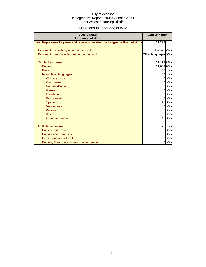## 2006 Census Language at Work

| 2006 Census<br><b>Language at Work</b>                                 | <b>East Windsor</b> |    |
|------------------------------------------------------------------------|---------------------|----|
| Total Population 15 years and over who worked by Language Used at Work | 11,239              |    |
|                                                                        |                     |    |
| Dominant official language used at work                                | English 99%         |    |
| Dominant non-official language used at work                            | Other languages 80% |    |
| <b>Single Responses</b>                                                | 11,11999%           |    |
| <b>English</b>                                                         | 11,00998%           |    |
| French                                                                 | 65                  | 1% |
| Non-official languages                                                 | 60                  | 1% |
| Chinese, n.o.s.                                                        | $\overline{0}$      | 0% |
| Cantonese                                                              | 0                   | 0% |
| Panjabi (Punjabi)                                                      | $\Omega$            | 0% |
| German                                                                 | $\Omega$            | 0% |
| Mandarin                                                               | 0                   | 0% |
| Portuguese                                                             | $\overline{0}$      | 0% |
| <b>Spanish</b>                                                         | 10                  | 0% |
| Vietnamese                                                             | 0                   | 0% |
| Korean                                                                 | 0                   | 0% |
| Italian                                                                | $\Omega$            | 0% |
| Other languages                                                        | 40                  | 0% |
| Multiple responses                                                     | 90                  | 1% |
| <b>English and French</b>                                              | 30                  | 0% |
| English and non-official                                               | 35                  | 0% |
| French and non-official                                                | $\Omega$            | 0% |
| English, French and non-official language                              | 0                   | 0% |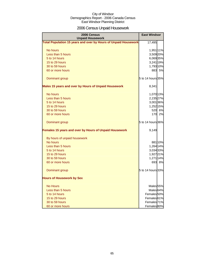## 2006 Census Unpaid Housework

| 2006 Census<br><b>Unpaid Housework</b>                                 | <b>East Windsor</b>    |  |  |  |
|------------------------------------------------------------------------|------------------------|--|--|--|
| <b>Total Population 15 years and over by Hours of Unpaid Housework</b> | 17,495                 |  |  |  |
| No hours                                                               | 1,951 11%              |  |  |  |
| Less than 5 hours                                                      | 3,509 20%              |  |  |  |
| 5 to 14 hours                                                          | 6,06935%               |  |  |  |
| 15 to 29 hours                                                         | 3,241 19%              |  |  |  |
| 30 to 59 hours                                                         | 1,793 10%              |  |  |  |
| 60 or more hours                                                       | 883 5%                 |  |  |  |
| Dominant group                                                         | 5 to 14 hours 35%      |  |  |  |
| Males 15 years and over by Hours of Unpaid Housework                   | 8,341                  |  |  |  |
| No hours                                                               | 1,070 13%              |  |  |  |
| Less than 5 hours                                                      | 2,235 27%              |  |  |  |
| 5 to 14 hours                                                          | 3,001 36%              |  |  |  |
| 15 to 29 hours                                                         | 1,252 15%              |  |  |  |
| 30 to 59 hours                                                         | 520 6%                 |  |  |  |
| 60 or more hours                                                       | 170<br>2%              |  |  |  |
| Dominant group                                                         | 5 to 14 hours 36%      |  |  |  |
| Females 15 years and over by Hours of Unpaid Housework                 | 9,149                  |  |  |  |
| By hours of unpaid housework                                           |                        |  |  |  |
| No hours                                                               | 881 10%                |  |  |  |
| Less than 5 hours                                                      | 1,264 14%              |  |  |  |
| 5 to 14 hours                                                          | 3,034 33%              |  |  |  |
| 15 to 29 hours                                                         | 1,927 21%              |  |  |  |
| 30 to 59 hours                                                         | 1,271 14%              |  |  |  |
| 60 or more hours                                                       | 693 8%                 |  |  |  |
| Dominant group                                                         | 5 to 14 hours 33%      |  |  |  |
| <b>Hours of Housework by Sex</b>                                       |                        |  |  |  |
| <b>No Hours</b>                                                        | Males 55%              |  |  |  |
| Less than 5 hours                                                      | Males <sup>64%</sup>   |  |  |  |
| 5 to 14 hours                                                          | Females <sup>50%</sup> |  |  |  |
| 15 to 29 hours                                                         | Females <sup>61%</sup> |  |  |  |
| 30 to 59 hours                                                         | Females <sup>71%</sup> |  |  |  |
| 60 or more hours                                                       | Females 80%            |  |  |  |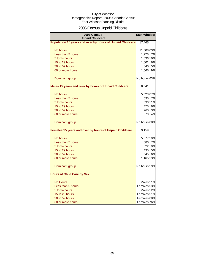## 2006 Census Unpaid Childcare

| 2006 Census<br><b>Unpaid Childcare</b>                    | <b>East Windsor</b>  |         |
|-----------------------------------------------------------|----------------------|---------|
| Population 15 years and over by hours of Unpaid Childcare | 17,465               |         |
| No hours                                                  | 11,008 63%           |         |
| Less than 5 hours                                         | 1,275 7%             |         |
| 5 to 14 hours                                             | 1,696 10%            |         |
| 15 to 29 hours                                            | 1,001 6%             |         |
| 30 to 59 hours                                            | 840                  | 5%      |
| 60 or more hours                                          | 1,565                | 9%      |
| Dominant group                                            | No hours 63%         |         |
| Males 15 years and over by hours of Unpaid Childcare      | 8,341                |         |
| No hours                                                  | 5,623 67%            |         |
| Less than 5 hours                                         |                      | 595 7%  |
| 5 to 14 hours                                             |                      | 890 11% |
| 15 to 29 hours                                            |                      | 475 6%  |
| 30 to 59 hours                                            | 260                  | 3%      |
| 60 or more hours                                          | 370                  | 4%      |
| Dominant group                                            | No hours 68%         |         |
| Females 15 years and over by hours of Unpaid Childcare    | 9,159                |         |
| No hours                                                  | 5,37759%             |         |
| Less than 5 hours                                         |                      | 680 7%  |
| 5 to 14 hours                                             |                      | 822 9%  |
| 15 to 29 hours                                            |                      | 495 5%  |
| 30 to 59 hours                                            | 545                  | 6%      |
| 60 or more hours                                          | 1,165 13%            |         |
| Dominant group                                            | No hours 59%         |         |
| <b>Hours of Child Care by Sex</b>                         |                      |         |
| <b>No Hours</b>                                           | Males 51%            |         |
| Less than 5 hours                                         | Females 53%          |         |
| 5 to 14 hours                                             | Males <sub>52%</sub> |         |
| 15 to 29 hours                                            | Females 51%          |         |
| 30 to 59 hours                                            | Females 68%          |         |
| 60 or more hours                                          | Females 76%          |         |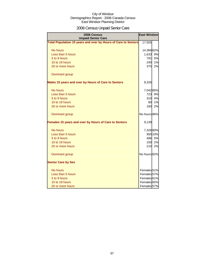## 2006 Census Unpaid Senior Care

| 2006 Census<br><b>Unpaid Senior Care</b>                       | <b>East Windsor</b> |         |
|----------------------------------------------------------------|---------------------|---------|
| Total Population 15 years and over by Hours of Care to Seniors | 17,505              |         |
| No hours                                                       | 14,36882%           |         |
| Less than 5 hours                                              | 1,633               | 9%      |
| 5 to 9 hours                                                   | 791                 | 5%      |
| 10 to 19 hours                                                 | 240                 | 1%      |
| 20 or more hours                                               | 375                 | 2%      |
| Dominant group                                                 |                     |         |
| Males 15 years and over by Hours of Care to Seniors            | 8,326               |         |
| No hours                                                       | 7,042 85%           |         |
| Less than 5 hours                                              | 723                 | 9%      |
| 5 to 9 hours                                                   | 310                 | 4%      |
| 10 to 19 hours                                                 | 80                  | 1%      |
| 20 or more hours                                               | 160                 | 2%      |
| Dominant group                                                 | No hours 86%        |         |
| Females 15 years and over by Hours of Care to Seniors          | 9,139               |         |
| No hours                                                       | 7,326 80%           |         |
| Less than 5 hours                                              |                     | 950 10% |
| 5 to 9 hours                                                   | 486                 | 5%      |
| 10 to 19 hours                                                 | 150                 | 2%      |
| 20 or more hours                                               | 215                 | 2%      |
| Dominant group                                                 | No hours 82%        |         |
| <b>Senior Care by Sex</b>                                      |                     |         |
| No hours                                                       | Females 51%         |         |
| Less than 5 hours                                              | Females 57%         |         |
| 5 to 9 hours                                                   | Females 61%         |         |
| 10 to 19 hours                                                 | Females 65%         |         |
| 20 or more hours                                               | Females 57%         |         |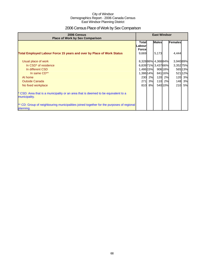## 2006 Census Place of Work by Sex Comparison

| 2006 Census<br><b>Place of Work by Sex Comparison</b>                                                 |                                         | <b>East Windsor</b> |                     |         |           |           |
|-------------------------------------------------------------------------------------------------------|-----------------------------------------|---------------------|---------------------|---------|-----------|-----------|
|                                                                                                       | <b>Total</b><br>Labourl<br><b>Force</b> |                     | <b>Males</b>        |         | Females   |           |
| Total Employed Labour Force 15 years and over by Place of Work Status                                 | 9,669                                   |                     | 5,173               |         | 4,444     |           |
| Usual place of work                                                                                   |                                         |                     | 8,328 86% 4,368 84% |         | 3,940 89% |           |
| In CSD <sup>*</sup> of residence                                                                      |                                         |                     | 6,83971% 3,43766%   |         | 3,35275%  |           |
| In different CSD                                                                                      | 1,486 15%                               |                     |                     | 906 18% |           | 565 13%   |
| In same CD**                                                                                          | 1,386 14%                               |                     |                     | 84116%  |           | 521 12%   |
| At home                                                                                               | 230                                     | 2%                  | 120                 | 2%      | 120       | 3%        |
| <b>Outside Canada</b>                                                                                 | 271                                     | 3%                  | 110                 | 2%      | 148       | 3%        |
| No fixed workplace                                                                                    | 810                                     | 8%                  |                     | 540 10% | 210       | <b>5%</b> |
| * CSD: Area that is a municipality or an area that is deemed to be equivalent to a<br>municipality.   |                                         |                     |                     |         |           |           |
| ** CD: Group of neighbouring municipalities joined together for the purposes of regional<br>planning. |                                         |                     |                     |         |           |           |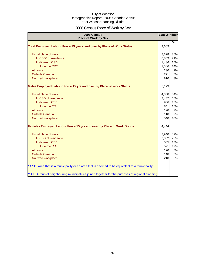## 2006 Census Place of Work by Sex

| 2006 Census<br><b>Place of Work by Sex</b>                                                         | <b>East Windsor</b> |               |
|----------------------------------------------------------------------------------------------------|---------------------|---------------|
| Total Employed Labour Force 15 years and over by Place of Work Status                              | 9,669               | $\frac{9}{6}$ |
| Usual place of work                                                                                | 8,328               | 86%           |
| In CSD <sup>*</sup> of residence                                                                   | 6,839               | 71%           |
| In different CSD                                                                                   | 1,486               | 15%           |
| In same CD**                                                                                       | 1,386               | 14%           |
| At home                                                                                            | 230                 | 2%            |
| <b>Outside Canada</b>                                                                              | 271                 | 3%            |
| No fixed workplace                                                                                 | 810                 | 8%            |
| Males Employed Labour Force 15 yrs and over by Place of Work Status                                | 5,173               |               |
| Usual place of work                                                                                | 4,368               | 84%           |
| In CSD of residence                                                                                | 3,437               | 66%           |
| In different CSD                                                                                   | 906                 | 18%           |
| In same CD                                                                                         | 841                 | 16%           |
| At home                                                                                            | 120                 | 2%            |
| <b>Outside Canada</b>                                                                              | 110                 | 2%            |
| No fixed workplace                                                                                 | 540                 | 10%           |
| Females Employed Labour Force 15 yrs and over by Place of Work Status                              | 4,444               |               |
| Usual place of work                                                                                | 3,940               | 89%           |
| In CSD of residence                                                                                | 3,352               | 75%           |
| In different CSD                                                                                   | 565                 | 13%           |
| In same CD                                                                                         | 521                 | 12%           |
| At home                                                                                            | 120                 | 3%            |
| <b>Outside Canada</b>                                                                              | 148                 | 3%            |
| No fixed workplace                                                                                 | 210                 | 5%            |
| * CSD: Area that is a municipality or an area that is deemed to be equivalent to a municipality.   |                     |               |
| ** CD: Group of neighbouring municipalities joined together for the purposes of regional planning. |                     |               |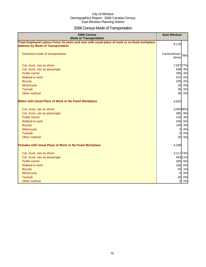## 2006 Census Mode of Transportation

| 2006 Census<br><b>Mode of Transportation</b>                                                                                      | <b>East Windsor</b>             |
|-----------------------------------------------------------------------------------------------------------------------------------|---------------------------------|
| Total Employed Labour Force 15 years and over with usual place of work or no fixed workplace<br>address by Mode of Transportation | 9,116                           |
| Dominant mode of transportation                                                                                                   | Car/truck/van-<br>78%<br>driver |
| Car, truck, van as driver                                                                                                         | 7,057 77%                       |
| Car, truck, van as passenger                                                                                                      | 848 9%                          |
| <b>Public transit</b>                                                                                                             | 395 4%                          |
| Walked to work                                                                                                                    | 515<br>6%                       |
| <b>Bicycle</b>                                                                                                                    | 205<br>2%                       |
| Motorcycle                                                                                                                        | 20<br>0%                        |
| <b>Taxicab</b>                                                                                                                    | 0%<br>30                        |
| Other method                                                                                                                      | 30<br>0%                        |
| <b>Males with Usual Place of Work or No Fixed Workplace</b>                                                                       | 4,923                           |
| Car, truck, van as driver                                                                                                         | 3,95580%                        |
| Car, truck, van as passenger                                                                                                      | 385 8%                          |
| <b>Public transit</b>                                                                                                             | 125 3%                          |
| Walked to work                                                                                                                    | 250 5%                          |
| <b>Bicycle</b>                                                                                                                    | 140<br>3%                       |
| Motorcycle                                                                                                                        | 0%<br>$\overline{0}$            |
| <b>Taxicab</b>                                                                                                                    | 0%<br>$\overline{0}$            |
| Other method                                                                                                                      | 20<br>0%                        |
| <b>Females with Usual Place of Work or No Fixed Workplace</b>                                                                     | 4,188                           |
| Car, truck, van as driver                                                                                                         | 3,117 74%                       |
| Car, truck, van as passenger                                                                                                      | 463 11%                         |
| <b>Public transit</b>                                                                                                             | 265 6%                          |
| Walked to work                                                                                                                    | 235 6%                          |
| <b>Bicycle</b>                                                                                                                    | 45 1%                           |
| Motorcycle                                                                                                                        | $\overline{0}$<br>0%            |
| <b>Taxicab</b>                                                                                                                    | 0%<br>20                        |
| Other method                                                                                                                      | 0%<br>$\overline{O}$            |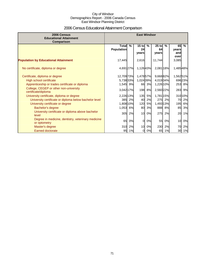## 2006 Census Educational Attainment Comparison

| 2006 Census<br><b>Educational Attainment</b><br>Comparison                 | <b>East Windsor</b>               |        |                        |    |                        |        |                    |               |
|----------------------------------------------------------------------------|-----------------------------------|--------|------------------------|----|------------------------|--------|--------------------|---------------|
|                                                                            | <b>Total</b><br><b>Population</b> | %      | $15$ to<br>24<br>vears | %  | $25$ to<br>64<br>years | $\%$   | 65<br>years<br>and | $\frac{9}{6}$ |
| <b>Population by Educational Attainment</b>                                | 17,445                            |        | 2,616                  |    | 11,744                 |        | over<br>3,085      |               |
| No certificate, diploma or degree                                          | 4,691 27%                         |        | 1,12643%               |    | 2,081 18%              |        | 1,48548%           |               |
| Certificate, diploma or degree                                             | 12,709 73%                        |        | 1,47857%               |    | 9,66882%               |        | 1,56251%           |               |
| High school certificate<br>Apprenticeship or trades certificate or diploma | 5,738 33%<br>1,545 9%             |        | 1,024 39%<br>66        | 3% | 4,019 34%<br>1,226 10% |        | 253                | 69623%<br>8%  |
| College, CEGEP or other non-university<br>certificate/diploma              | 3,042 17%                         |        | 198                    | 8% | 2,560 22%              |        | 283                | 9%            |
| University certificate, diploma or degree                                  | 2,226 13%                         |        | 135                    | 5% | 1,781 15%              |        |                    | 31010%        |
| University certificate or diploma below bachelor level                     |                                   | 385 2% | 40                     | 2% | 275                    | 2%     | 70                 | 2%            |
| University certificate or degree                                           | 1,808 10%                         |        | 120                    | 5% | 1,493 13%              |        | 195                | 6%            |
| Bachelor's degree                                                          | 1,053                             | 6%     | 80                     | 3% |                        | 888 8% | 85                 | 3%            |
| University certificate or diploma above bachelor<br>level                  | 305                               | 2%     | 10                     | 0% | 275                    | 2%     | <b>20</b>          | 1%            |
| Degree in medicine, dentistry, veterinary medicine<br>or optometry         | 65                                | 0%     | 0l                     | 0% | 55                     | 0%     | 10                 | 0%            |
| Master's degree                                                            |                                   | 310 2% | 10                     | 0% | 230                    | 2%     | 70                 | 2%            |
| <b>Earned doctorate</b>                                                    | 95                                | 1%     | $\overline{0}$         | 0% | 65                     | 1%     | 30                 | 1%            |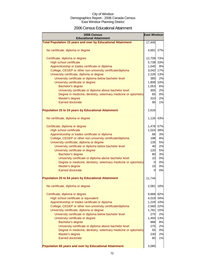### 2006 Census Educational Attainment

| 2006 Census<br><b>Educational Attainment</b>                        | <b>East Windsor</b> |     |
|---------------------------------------------------------------------|---------------------|-----|
| <b>Total Population 15 years and over by Educational Attainment</b> | 17,445              |     |
| No certificate, diploma or degree                                   | 4,691 27%           |     |
| Certificate, diploma or degree                                      | 12,709 73%          |     |
| <b>High school certificate</b>                                      | 5,738 33%           |     |
| Apprenticeship or trades certificate or diploma                     | 1,545               | 9%  |
| College, CEGEP or other non-university certificate/diploma          | 3,042               | 17% |
| University certificate, diploma or degree                           | 2,226 13%           |     |
| University certificate or diploma below bachelor level              | 385                 | 2%  |
| University certificate or degree                                    | 1,808               | 10% |
| Bachelor's degree                                                   | 1,053               | 6%  |
| University certificate or diploma above bachelor level              | 305                 | 2%  |
| Degree in medicine, dentistry, veterinary medicine or optometry     | 65                  | 0%  |
| Master's degree                                                     | 310                 | 2%  |
| <b>Earned doctorate</b>                                             | 95                  | 1%  |
| <b>Population 15 to 24 years by Educational Attainment</b>          | 2,616               |     |
| No certificate, diploma or degree                                   | 1,126 43%           |     |
| Certificate, diploma or degree                                      | 1,478 57%           |     |
| High school certificate                                             | 1,024 39%           |     |
| Apprenticeship or trades certificate or diploma                     | 66                  | 3%  |
| College, CEGEP or other non-university certificate/diploma          | 198                 | 8%  |
| University certificate, diploma or degree                           | 135                 | 5%  |
| University certificate or diploma below bachelor level              | 40                  | 2%  |
| University certificate or degree                                    | 120                 | 5%  |
| Bachelor's degree                                                   | 80                  | 3%  |
| University certificate or diploma above bachelor level              | 10                  | 0%  |
| Degree in medicine, dentistry, veterinary medicine or optometry     | 0                   | 0%  |
| Master's degree                                                     | 10                  | 0%  |
| <b>Earned doctorate</b>                                             | $\Omega$            | 0%  |
| <b>Population 25 to 64 years by Educational Attainment</b>          | 11,744              |     |
| No certificate, diploma or degree                                   | 2,081               | 18% |
| Certificate, diploma or degree                                      | 9,668 82%           |     |
| High school certificate or equivalent                               | 4,019 34%           |     |
| Apprenticeship or trades certificate or diploma                     | 1,226 10%           |     |
| College, CEGEP or other non-university certificate/diploma          | 2,560 22%           |     |
| University certificate, diploma or degree                           | 1,781               | 15% |
| University certificate or diploma below bachelor level              | 275                 | 2%  |
| University certificate or degree                                    | 1,493               | 13% |
| Bachelor's degree                                                   | 888                 | 8%  |
| University certificate or diploma above bachelor level              | 275                 | 2%  |
| Degree in medicine, dentistry, veterinary medicine or optometry     | 55                  | 0%  |
| Master's degree                                                     | 230                 | 2%  |
| <b>Earned doctorate</b>                                             | 65                  | 1%  |
| Population 65 years and over by Educational Attainment              | 3,085               |     |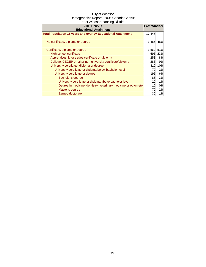| 2006 Census                                                         | <b>East Windsor</b> |     |
|---------------------------------------------------------------------|---------------------|-----|
| <b>Educational Attainment</b>                                       |                     |     |
| <b>Total Population 15 years and over by Educational Attainment</b> | 17,445              |     |
| No certificate, diploma or degree                                   | 1,485               | 48% |
| Certificate, diploma or degree                                      | 1,562               | 51% |
| High school certificate                                             | 696                 | 23% |
| Apprenticeship or trades certificate or diploma                     | 253                 | 8%  |
| College, CEGEP or other non-university certificate/diploma          | 283                 | 9%  |
| University certificate, diploma or degree                           | 310                 | 10% |
| University certificate or diploma below bachelor level              | 70                  | 2%  |
| University certificate or degree                                    | 195                 | 6%  |
| Bachelor's degree                                                   | 85                  | 3%  |
| University certificate or diploma above bachelor level              | 20                  | 1%  |
| Degree in medicine, dentistry, veterinary medicine or optometry     | 10                  | 0%  |
| Master's degree                                                     | 70                  | 2%  |
| <b>Earned doctorate</b>                                             | 30                  | 1%  |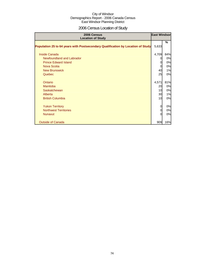# 2006 Census Location of Study

| 2006 Census<br><b>Location of Study</b>                                         | <b>East Windsor</b> |     |
|---------------------------------------------------------------------------------|---------------------|-----|
| Population 25 to 64 years with Postsecondary Qualification by Location of Study | 5,633               | %   |
| Inside Canada                                                                   | 4,709               | 84% |
| Newfoundland and Labrador                                                       | 0                   | 0%  |
| <b>Prince Edward Island</b>                                                     | 0                   | 0%  |
| Nova Scotia                                                                     | 0                   | 0%  |
| <b>New Brunswick</b>                                                            | 40                  | 1%  |
| Quebec                                                                          | 25                  | 0%  |
|                                                                                 |                     |     |
| Ontario                                                                         | 4,571               | 81% |
| Manitoba                                                                        | 20                  | 0%  |
| Saskatchewan                                                                    | 10                  | 0%  |
| Alberta                                                                         | 30                  | 1%  |
| <b>British Columbia</b>                                                         | 10                  | 0%  |
|                                                                                 |                     |     |
| <b>Yukon Territory</b>                                                          | 0                   | 0%  |
| <b>Northwest Territories</b>                                                    | 0                   | 0%  |
| <b>Nunavut</b>                                                                  | $\Omega$            | 0%  |
|                                                                                 |                     |     |
| <b>Outside of Canada</b>                                                        | 909                 | 16% |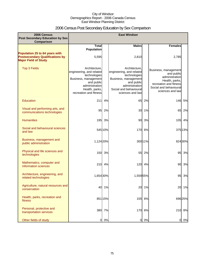# 2006 Census Post Secondary Education by Sex Comparison

| 2006 Census<br>Post Secondary Education by Sex                                                          |                                                                                                                                                               |         | <b>East Windsor</b>                                                                                                                                             |         |                                                                                                                                                |         |
|---------------------------------------------------------------------------------------------------------|---------------------------------------------------------------------------------------------------------------------------------------------------------------|---------|-----------------------------------------------------------------------------------------------------------------------------------------------------------------|---------|------------------------------------------------------------------------------------------------------------------------------------------------|---------|
| Comparison                                                                                              |                                                                                                                                                               |         |                                                                                                                                                                 |         |                                                                                                                                                |         |
|                                                                                                         | <b>Total</b><br><b>Population</b>                                                                                                                             |         | <b>Males</b>                                                                                                                                                    |         | <b>Females</b>                                                                                                                                 |         |
| Population 25 to 64 years with<br><b>Postsecondary Qualifications by</b><br><b>Major Field of Study</b> | 5,595                                                                                                                                                         |         | 2,810                                                                                                                                                           |         | 2,785                                                                                                                                          |         |
| <b>Top 3 Fields</b>                                                                                     | Architecture.<br>engineering, and related<br>technologies<br>Business, management<br>and public<br>administration<br>Health, parks,<br>recreation and fitness |         | Architecture.<br>engineering, and related<br>technologies<br>Business, management<br>and public<br>administration<br>Social and behavioural<br>sciences and law |         | Business, management<br>and public<br>administration<br>Health, parks,<br>recreation and fitness<br>Social and behavioural<br>sciences and law |         |
| Education                                                                                               | 211                                                                                                                                                           | 4%      | 65                                                                                                                                                              | 2%      |                                                                                                                                                | 146 5%  |
| Visual and performing arts, and<br>communications technologies                                          | 95                                                                                                                                                            | 2%      | 30                                                                                                                                                              | 1%      | 65                                                                                                                                             | 2%      |
| <b>Humanities</b>                                                                                       |                                                                                                                                                               | 195 3%  | 90                                                                                                                                                              | 3%      | 105                                                                                                                                            | 4%      |
| Social and behavioural sciences<br>and law                                                              |                                                                                                                                                               | 545 10% | 170                                                                                                                                                             | 6%      |                                                                                                                                                | 375 13% |
| Business, management and<br>public administration                                                       | 1,124 20%                                                                                                                                                     |         |                                                                                                                                                                 | 300 11% |                                                                                                                                                | 824 30% |
| Physical and life sciences and<br>technologies                                                          | 150                                                                                                                                                           | 3%      | 55                                                                                                                                                              | 2%      | 95                                                                                                                                             | 3%      |
| Mathematics, computer and<br>information sciences                                                       | 210                                                                                                                                                           | 4%      | 120                                                                                                                                                             | 4%      | 90                                                                                                                                             | 3%      |
| Architecture, engineering, and<br>related technologies                                                  | 1,654 30%                                                                                                                                                     |         | 1,559 55%                                                                                                                                                       |         | 95                                                                                                                                             | 3%      |
| Agriculture, natural resources and<br>conservation                                                      | 40                                                                                                                                                            | 1%      | 20                                                                                                                                                              | 1%      | 20                                                                                                                                             | 1%      |
| Health, parks, recreation and<br>fitness                                                                |                                                                                                                                                               | 851 15% |                                                                                                                                                                 | 155 6%  |                                                                                                                                                | 696 25% |
| Personal, protective and<br>transportation services                                                     |                                                                                                                                                               | 380 7%  |                                                                                                                                                                 | 170 6%  | 210                                                                                                                                            | 8%      |
| Other fields of study                                                                                   | $\overline{a}$                                                                                                                                                | 0%      | $\overline{0}$                                                                                                                                                  | 0%      | 0                                                                                                                                              | 0%      |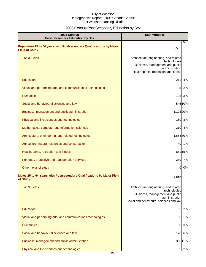# 2006 Census Post Secondary Education by Sex

| 2006 Census<br><b>Post Secondary Education by Sex</b>                                         | <b>East Windsor</b>                                                                                                                                    |
|-----------------------------------------------------------------------------------------------|--------------------------------------------------------------------------------------------------------------------------------------------------------|
| Population 25 to 64 years with Postsecondary Qualifications by Major<br><b>Field of Study</b> | %<br>5,595                                                                                                                                             |
| <b>Top 3 Fields</b>                                                                           | Architecture, engineering, and related<br>technologies<br>Business, management and public<br>administration<br>Health, parks, recreation and fitness   |
| Education                                                                                     | 211<br>4%                                                                                                                                              |
| Visual and performing arts, and communications technologies                                   | 95<br>2%                                                                                                                                               |
| <b>Humanities</b>                                                                             | 195<br>3%                                                                                                                                              |
| Social and behavioural sciences and law                                                       | 545 10%                                                                                                                                                |
| Business, management and public administration                                                | 1,124 20%                                                                                                                                              |
| Physical and life sciences and technologies                                                   | 150 3%                                                                                                                                                 |
| Mathematics, computer and information sciences                                                | 210<br>4%                                                                                                                                              |
| Architecture, engineering, and related technologies                                           | 1,654 30%                                                                                                                                              |
| Agriculture, natural resources and conservation                                               | 40<br>1%                                                                                                                                               |
| Health, parks, recreation and fitness                                                         | 851 15%                                                                                                                                                |
| Personal, protective and transportation services                                              | 380 7%                                                                                                                                                 |
| Other fields of study                                                                         | 0%<br>0                                                                                                                                                |
| Males 25 to 64 Years with Postsecondary Qualifications by Major Field<br>of Study             | 2,810                                                                                                                                                  |
| <b>Top 3 Fields</b>                                                                           | Architecture, engineering, and related<br>technologies<br>Business, management and public<br>administration<br>Social and behavioural sciences and law |
| Education                                                                                     | 2%<br>65                                                                                                                                               |
| Visual and performing arts, and communications technologies                                   | 1%<br>30                                                                                                                                               |
| <b>Humanities</b>                                                                             | 3%<br>90                                                                                                                                               |
| Social and behavioural sciences and law                                                       | 6%<br>170                                                                                                                                              |
| Business, management and public administration                                                | 300 11%                                                                                                                                                |
| Physical and life sciences and technologies                                                   | 55 2%                                                                                                                                                  |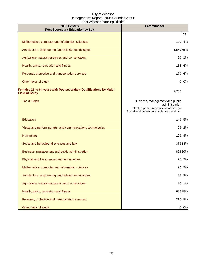| 2006 Census<br><b>Post Secondary Education by Sex</b>                                      | <b>East Windsor</b>                                                                                                                   |
|--------------------------------------------------------------------------------------------|---------------------------------------------------------------------------------------------------------------------------------------|
|                                                                                            | %                                                                                                                                     |
| Mathematics, computer and information sciences                                             | 120<br>4%                                                                                                                             |
| Architecture, engineering, and related technologies                                        | 1,559 55%                                                                                                                             |
| Agriculture, natural resources and conservation                                            | 1%<br>20                                                                                                                              |
| Health, parks, recreation and fitness                                                      | 155<br>6%                                                                                                                             |
| Personal, protective and transportation services                                           | 170<br>6%                                                                                                                             |
| Other fields of study                                                                      | 0%<br>0                                                                                                                               |
| Females 25 to 64 years with Postsecondary Qualifications by Major<br><b>Field of Study</b> | 2,785                                                                                                                                 |
| <b>Top 3 Fields</b>                                                                        | Business, management and public<br>administration<br>Health, parks, recreation and fitness<br>Social and behavioural sciences and law |
| Education                                                                                  | 146<br>5%                                                                                                                             |
| Visual and performing arts, and communications technologies                                | 65<br>2%                                                                                                                              |
| <b>Humanities</b>                                                                          | 105<br>4%                                                                                                                             |
| Social and behavioural sciences and law                                                    | 37513%                                                                                                                                |
| Business, management and public administration                                             | 824 30%                                                                                                                               |
| Physical and life sciences and technologies                                                | 95 3%                                                                                                                                 |
| Mathematics, computer and information sciences                                             | 90 3%                                                                                                                                 |
| Architecture, engineering, and related technologies                                        | 95<br>3%                                                                                                                              |
| Agriculture, natural resources and conservation                                            | 20<br>1%                                                                                                                              |
| Health, parks, recreation and fitness                                                      | 696 25%                                                                                                                               |
| Personal, protective and transportation services                                           | 8%<br>210                                                                                                                             |
| Other fields of study                                                                      | 0%<br>O                                                                                                                               |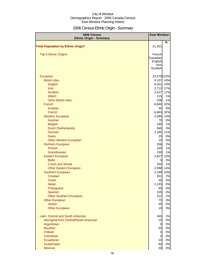# 2006 Census Ethnic Origin - Summary

| %<br><b>Total Population by Ethnic Origin*</b><br>21,351<br><b>Top 5 Ethnic Origins</b><br>French<br>Canadian<br>English<br>Irish<br>Scottish<br>23,579 110%<br>European<br>43%<br><b>British Isles</b><br>9,157<br>English<br>5,051<br>24%<br>17%<br><b>Irish</b><br>3,712<br>17%<br><b>Scottish</b><br>3,527<br>1%<br>Welsh<br>215 |
|--------------------------------------------------------------------------------------------------------------------------------------------------------------------------------------------------------------------------------------------------------------------------------------------------------------------------------------|
|                                                                                                                                                                                                                                                                                                                                      |
|                                                                                                                                                                                                                                                                                                                                      |
|                                                                                                                                                                                                                                                                                                                                      |
|                                                                                                                                                                                                                                                                                                                                      |
|                                                                                                                                                                                                                                                                                                                                      |
|                                                                                                                                                                                                                                                                                                                                      |
|                                                                                                                                                                                                                                                                                                                                      |
|                                                                                                                                                                                                                                                                                                                                      |
|                                                                                                                                                                                                                                                                                                                                      |
|                                                                                                                                                                                                                                                                                                                                      |
|                                                                                                                                                                                                                                                                                                                                      |
|                                                                                                                                                                                                                                                                                                                                      |
|                                                                                                                                                                                                                                                                                                                                      |
| 208<br>1%<br><b>Other British Isles</b>                                                                                                                                                                                                                                                                                              |
| 32%<br>French<br>6,840                                                                                                                                                                                                                                                                                                               |
| 0%<br>Acadian<br>35                                                                                                                                                                                                                                                                                                                  |
| French<br>32%<br>6,863                                                                                                                                                                                                                                                                                                               |
| <b>Western European</b><br>2,995<br>14%<br>Austrian<br>0%<br>70                                                                                                                                                                                                                                                                      |
| 1%<br><b>Belgian</b><br>180                                                                                                                                                                                                                                                                                                          |
| 3%<br>Dutch (Netherlands)<br>565                                                                                                                                                                                                                                                                                                     |
| German<br>2,345<br>11%                                                                                                                                                                                                                                                                                                               |
| <b>Swiss</b><br>0%<br>20                                                                                                                                                                                                                                                                                                             |
| 0%<br>10<br><b>Other Western European</b>                                                                                                                                                                                                                                                                                            |
| 2%<br>Northern European<br>356                                                                                                                                                                                                                                                                                                       |
| <b>Finnish</b><br>1%<br>165                                                                                                                                                                                                                                                                                                          |
| Scandinavian<br>1%<br>230                                                                                                                                                                                                                                                                                                            |
| Eastern European<br>2,827<br>13%                                                                                                                                                                                                                                                                                                     |
| <b>Baltic</b><br>0%<br>0                                                                                                                                                                                                                                                                                                             |
| 1%<br><b>Czech and Slovak</b><br>250                                                                                                                                                                                                                                                                                                 |
| <b>Other Eastern European</b><br>2,998<br>14%                                                                                                                                                                                                                                                                                        |
| 2,199<br>Southern European<br>10%                                                                                                                                                                                                                                                                                                    |
| Croatian<br>351<br>2%                                                                                                                                                                                                                                                                                                                |
| 45<br>0%<br>Greek<br>$5%$<br>1,133<br>Italian                                                                                                                                                                                                                                                                                        |
| 85<br>0%<br>Portuguese                                                                                                                                                                                                                                                                                                               |
| 105<br>0%<br>Spanish                                                                                                                                                                                                                                                                                                                 |
| <b>Other Southern European</b><br>512<br>2%                                                                                                                                                                                                                                                                                          |
| 0%<br><b>Other European</b><br>75                                                                                                                                                                                                                                                                                                    |
| 35<br>0%<br><b>Jewish</b>                                                                                                                                                                                                                                                                                                            |
| <b>Other European</b><br>0%<br>10                                                                                                                                                                                                                                                                                                    |
| 2%<br>Latin, Central and South American<br>345                                                                                                                                                                                                                                                                                       |
| Aboriginal from Central/South American<br>0%<br>10                                                                                                                                                                                                                                                                                   |
| 0%<br>Argentinian<br>$\overline{0}$                                                                                                                                                                                                                                                                                                  |
| <b>Brazilian</b><br>55<br>0%                                                                                                                                                                                                                                                                                                         |
| 0%<br>Chilean<br>$\overline{0}$                                                                                                                                                                                                                                                                                                      |
| $\overline{0}$<br>0%<br>Colombian                                                                                                                                                                                                                                                                                                    |
| 0%<br>Ecuadorian<br>10                                                                                                                                                                                                                                                                                                               |
| 0%<br>60<br>Guatemalan<br>30<br>0%<br>Mexican                                                                                                                                                                                                                                                                                        |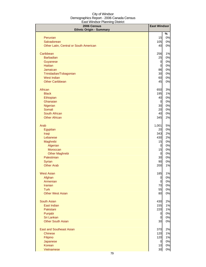| 2006 Census<br><b>Ethnic Origin - Summary</b> | <b>East Windsor</b>  |          |
|-----------------------------------------------|----------------------|----------|
|                                               |                      | %        |
| Peruvian                                      | 15                   | 0%       |
| Salvadorean                                   | 105                  | 0%       |
| Other Latin, Central or South American        | 40                   | 0%       |
| Caribbean                                     | 256                  | 1%       |
| <b>Barbadian</b>                              | 25                   | 0%       |
| Guyanese                                      | $\overline{0}$       | 0%       |
| <b>Haitian</b>                                | $\overline{O}$       | 0%       |
| Jamaican                                      | 86                   | 0%       |
| Trinidadian/Tobagonian                        | 30                   | 0%       |
| <b>West Indian</b>                            | 60                   | 0%       |
| <b>Other Caribbean</b>                        | 45                   | 0%       |
| African                                       | 650                  | 3%       |
| <b>Black</b>                                  | 195                  | 1%       |
| Ethiopian                                     | 40                   | 0%       |
| Ghanaian                                      | $\overline{0}$       | 0%       |
| Nigerian<br>Somali                            | 30<br>20             | 0%<br>0% |
| South African                                 | 40                   | 0%       |
| <b>Other African</b>                          | 345                  | 2%       |
|                                               |                      |          |
| Arab                                          | 1,001                | 5%       |
| Egyptian                                      | 20                   | 0%       |
| Iraqi                                         | 343                  | 2%       |
| Lebanese                                      | 430                  | 2%       |
| Maghrebi                                      | 15                   | 0%       |
| Algerian                                      | $\overline{0}$       | 0%       |
| Moroccan                                      | 15<br>$\overline{0}$ | 0%<br>0% |
| <b>Other Maghrebi</b><br>Palestinian          | 30                   | 0%       |
| Syrian                                        | 90                   | 0%       |
| <b>Other Arab</b>                             | 200                  | 1%       |
|                                               |                      |          |
| <b>West Asian</b>                             | 185                  | 1%       |
| Afghan                                        | $\overline{0}$       | 0%       |
| Armenian                                      | $\overline{0}$       | 0%       |
| <b>Iranian</b>                                | 70                   | 0%       |
| <b>Turk</b><br><b>Other West Asian</b>        | 55<br>80             | 0%       |
|                                               |                      | 0%       |
| <b>South Asian</b>                            | 430                  | 2%       |
| East Indian                                   | 155                  | 1%       |
| Pakistani                                     | 220                  | 1%       |
| Punjabi                                       | $\overline{0}$       | 0%       |
| Sri Lankan                                    | $\overline{0}$       | 0%       |
| <b>Other South Asian</b>                      | 30                   | 0%       |
| <b>East and Southeast Asian</b>               | 370                  | 2%       |
| <b>Chinese</b>                                | 120                  | 1%       |
| Filipino                                      | 120                  | 1%       |
| Japanese                                      | $\overline{0}$       | 0%       |
| Korean                                        | 10                   | 0%       |
| Vietnamese                                    | 30                   | 0%       |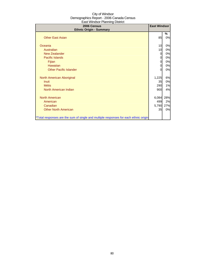| 2006 Census<br><b>Ethnic Origin - Summary</b>                                        | <b>East Windsor</b> |         |
|--------------------------------------------------------------------------------------|---------------------|---------|
| <b>Other East Asian</b>                                                              | 85                  | ℅<br>0% |
| Oceania                                                                              | 10                  | 0%      |
| Australian                                                                           | 10                  | 0%      |
| New Zealander                                                                        | 0                   | 0%      |
| <b>Pacific Islands</b>                                                               | 0                   | 0%      |
| Fijian                                                                               | 0                   | 0%      |
| <b>Hawaiian</b>                                                                      | 0                   | 0%      |
| <b>Other Pacific Islander</b>                                                        |                     | 0%      |
| North American Aboriginal                                                            | 1,225               | 6%      |
| <b>Inuit</b>                                                                         | 35                  | 0%      |
| <b>Métis</b>                                                                         | 290                 | 1%      |
| North American Indian                                                                | 900                 | 4%      |
| <b>North American</b>                                                                | 6,084               | 28%     |
| American                                                                             | 499                 | 2%      |
| Canadian                                                                             | 5,790               | 27%     |
| <b>Other North American</b>                                                          | 35                  | 0%      |
| *Total responses are the sum of single and multiple responses for each ethnic origin |                     |         |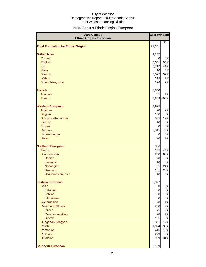# 2006 Census Ethnic Origin - European

| 2006 Census<br><b>Ethnic Origin - European</b> | <b>East Windsor</b> |            |
|------------------------------------------------|---------------------|------------|
|                                                |                     | $\%$       |
| <b>Total Population by Ethnic Origin*</b>      | 21,351              |            |
|                                                |                     |            |
| <b>British Isles</b><br>Cornish                | 9,157<br>0          | 0%         |
| English                                        | 5,051               | 55%        |
| Irish                                          | 3,712               | 41%        |
| <b>Manx</b>                                    | 10                  | 0%         |
| <b>Scottish</b>                                | 3,527               | 39%        |
| Welsh                                          | 215                 | 2%         |
| British Isles, n.i.e.                          | 198                 | 2%         |
|                                                |                     |            |
| <b>French</b>                                  | 6,840               |            |
| Acadian                                        | 35                  | 1%         |
| French                                         |                     | 6,863 100% |
|                                                |                     |            |
| <b>Western European</b>                        | 2,995               |            |
| Austrian                                       | 70                  | 2%         |
| <b>Belgian</b>                                 | 180                 | 6%         |
| Dutch (Netherlands)                            | 565                 | 19%        |
| Flemish                                        | 10                  | 0%         |
| Frisian                                        | $\overline{0}$      | 0%         |
| German                                         | 2,345               | 78%        |
| Luxembourger                                   | 0                   | 0%         |
| <b>Swiss</b>                                   | 20                  | 1%         |
| <b>Northern European</b>                       | 356                 |            |
| Finnish                                        | 165                 | 46%        |
| Scandinavian                                   | 230                 | 65%        |
| <b>Danish</b>                                  | 20                  | 6%         |
| Icelandic                                      | 10                  | 3%         |
| Norwegian                                      | 85                  | 24%        |
| <b>Swedish</b>                                 | 101                 | 28%        |
| Scandinavian, n.i.e.                           | 10                  | 3%         |
|                                                |                     |            |
| <b>Eastern European</b>                        | 2,827               |            |
| <b>Baltic</b>                                  | $\overline{0}$      | 0%         |
| Estonian                                       | $\mathbf 0$         | 0%         |
| Latvian                                        | $\mathbf 0$         | 0%         |
| Lithuanian                                     | $\mathbf 0$         | 0%         |
| <b>Byelorussian</b>                            | 20                  | 1%         |
| <b>Czech and Slovak</b>                        | 250                 | 9%         |
| <b>Czech</b>                                   | 75                  | 3%         |
| Czechoslovakian                                | 20                  | 1%         |
| <b>Slovak</b>                                  | 155                 | 5%         |
| Hungarian (Magyar)                             | 351                 | 12%        |
| Polish                                         | 1,024               | 36%        |
| Romanian<br><b>Russian</b>                     | 415<br>229          | 15%<br>8%  |
| <b>Ukrainian</b>                               | 959                 | 34%        |
|                                                |                     |            |
| <b>Southern European</b>                       | 2,199               |            |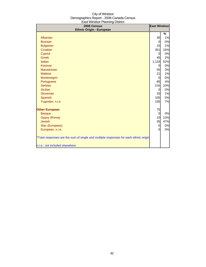| Laot williasof I farling District<br>2006 Census                                     | <b>East Windsor</b> |      |
|--------------------------------------------------------------------------------------|---------------------|------|
| <b>Ethnic Origin - European</b>                                                      |                     |      |
|                                                                                      |                     | $\%$ |
| Albanian                                                                             | 30                  | 1%   |
| <b>Bosnian</b>                                                                       | 0                   | 0%   |
| <b>Bulgarian</b>                                                                     | 15                  | 1%   |
| Croatian                                                                             | 351                 | 16%  |
| Cypriot                                                                              | 0                   | 0%   |
| <b>Greek</b>                                                                         | 45                  | 2%   |
| Italian                                                                              | 1,133               | 52%  |
| Kosovar                                                                              | 0                   | 0%   |
| Macedonian                                                                           | 55                  | 3%   |
| <b>Maltese</b>                                                                       | 21                  | 1%   |
| Montenegrin                                                                          | 0                   | 0%   |
| Portuguese                                                                           | 85                  | 4%   |
| <b>Serbian</b>                                                                       | 216                 | 10%  |
| <b>Sicilian</b>                                                                      | 0                   | 0%   |
| Slovenian                                                                            | 20                  | 1%   |
| Spanish                                                                              | 105                 | 5%   |
| Yugoslav, n.i.e.                                                                     | 155                 | 7%   |
|                                                                                      |                     |      |
| <b>Other European</b>                                                                | 75                  |      |
| <b>Basque</b>                                                                        | $\mathbf 0$         | 0%   |
| Gypsy (Roma)                                                                         | 10                  | 13%  |
| Jewish                                                                               | 35                  | 47%  |
| Slav (European)                                                                      | 0                   | 0%   |
| European, n.i.e.                                                                     | 0                   | 0%   |
|                                                                                      |                     |      |
| *Total responses are the sum of single and multiple responses for each ethnic origin |                     |      |
| n.i.e.: not included elsewhere                                                       |                     |      |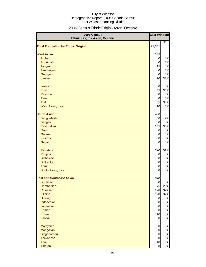# 2006 Census Ethnic Origin - Asian, Oceanic

| 2006 Census<br>Ethnic Origin - Asian, Oceanic |                | <b>East Windsor</b> |
|-----------------------------------------------|----------------|---------------------|
|                                               |                | %                   |
| <b>Total Population by Ethnic Origin*</b>     | 21,351         |                     |
| <b>West Asian</b>                             | 185            |                     |
| Afghan                                        | $\overline{0}$ | 0%                  |
| Armenian                                      | $\mathbf 0$    | 0%                  |
| Assyrian                                      | 15             | 8%                  |
| Azerbaijani                                   | $\mathbf 0$    | 0%                  |
| Georgian                                      | $\mathbf 0$    | 0%                  |
| Iranian                                       | 70             | 38%                 |
|                                               |                |                     |
| <b>Israeli</b>                                | $\overline{0}$ | 0%                  |
| <b>Kurd</b>                                   | 55             | 30%                 |
| Pashtun                                       | $\mathbf 0$    | 0%                  |
| <b>Tatar</b>                                  | $\overline{0}$ | 0%                  |
| <b>Turk</b>                                   | 55             | 30%                 |
| West Asian, n.i.e.                            | 10             | 5%                  |
|                                               |                |                     |
| <b>South Asian</b>                            | 430            |                     |
| Bangladeshi                                   | 30             | 7%                  |
| <b>Bengali</b>                                | $\overline{0}$ | 0%                  |
| East Indian                                   | 155            | 36%                 |
| Goan                                          | $\overline{0}$ | 0%                  |
| Gujarati                                      | $\overline{0}$ | 0%                  |
| Kashmiri                                      | 0              | 0%                  |
| Nepali                                        | $\overline{0}$ | 0%                  |
| Pakistani                                     | 220            | 51%                 |
| Punjabi                                       | $\mathbf 0$    | 0%                  |
| <b>Sinhalese</b>                              | 0              | 0%                  |
| Sri Lankan                                    | $\mathbf 0$    | 0%                  |
| Tamil                                         | $\mathbf 0$    | 0%                  |
| South Asian, n.i.e.                           | 0              | 0%                  |
| <b>East and Southeast Asian</b>               | 370            |                     |
| <b>Burmese</b>                                | 0              | 0%                  |
| Cambodian                                     | 75             | 20%                 |
| <b>Chinese</b>                                | 120            | 32%                 |
| Filipino                                      | 120            | 32%                 |
| Hmong                                         | $\overline{0}$ | 0%                  |
| Indonesian                                    | $\mathbf 0$    | 0%                  |
| Japanese                                      | $\overline{0}$ | 0%                  |
| <b>Khmer</b>                                  | $\mathbf 0$    | 0%                  |
| Korean                                        | 10             | 3%                  |
| Laotian                                       | $\mathbf 0$    | 0%                  |
| Malaysian                                     | $\overline{0}$ | 0%                  |
| Mongolian                                     | $\mathbf 0$    | 0%                  |
| Singaporean                                   | $\mathbf 0$    | 0%                  |
| <b>Taiwanese</b>                              | $\mathbf 0$    | 0%                  |
| Thai                                          | 10             | 3%                  |
| Tibetan                                       | $\mathbf 0$    | $0\%$               |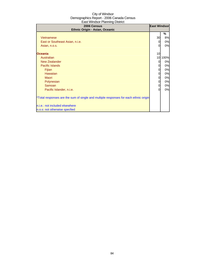| 2006 Census<br>Ethnic Origin - Asian, Oceanic                                        | <b>East Windsor</b> |      |
|--------------------------------------------------------------------------------------|---------------------|------|
|                                                                                      |                     | %    |
| <b>Vietnamese</b>                                                                    | 30                  | 8%   |
| East or Southeast Asian, n.i.e.                                                      | 0                   | 0%   |
| Asian, n.o.s.                                                                        | $\Omega$            | 0%   |
| <b>Oceania</b>                                                                       | 10                  |      |
| Australian                                                                           | 10                  | 100% |
| <b>New Zealander</b>                                                                 | 0                   | 0%   |
| <b>Pacific Islands</b>                                                               | 0                   | 0%   |
| Fijian                                                                               | 0                   | 0%   |
| Hawaiian                                                                             | $\overline{O}$      | 0%   |
| Maori                                                                                | 0                   | 0%   |
| Polynesian                                                                           | $\overline{0}$      | 0%   |
| Samoan                                                                               | $\overline{O}$      | 0%   |
| Pacific Islander, n.i.e.                                                             | $\Omega$            | 0%   |
| *Total responses are the sum of single and multiple responses for each ethnic origin |                     |      |
| n.i.e.: not included elsewhere                                                       |                     |      |
| n.o.s: not otherwise specfied                                                        |                     |      |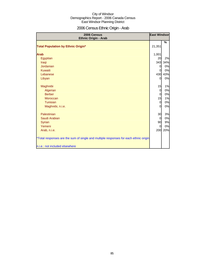# 2006 Census Ethnic Origin - Arab

| 2006 Census<br>Ethnic Origin - Arab                                                  | <b>East Windsor</b> |     |
|--------------------------------------------------------------------------------------|---------------------|-----|
|                                                                                      |                     | %   |
| <b>Total Population by Ethnic Origin*</b>                                            | 21,351              |     |
| <b>Arab</b>                                                                          | 1,001               |     |
| Egyptian                                                                             | 20                  | 2%  |
| Iraqi                                                                                | 343                 | 34% |
| Jordanian                                                                            | 0                   | 0%  |
| Kuwaiti                                                                              | <sub>0</sub>        | 0%  |
| Lebanese                                                                             | 430                 | 43% |
| Libyan                                                                               | $\Omega$            | 0%  |
| Maghrebi                                                                             | 15                  | 1%  |
| Algerian                                                                             | $\overline{0}$      | 0%  |
| <b>Berber</b>                                                                        | <sub>0</sub>        | 0%  |
| Moroccan                                                                             | 15                  | 1%  |
| Tunisian                                                                             | $\overline{0}$      | 0%  |
| Maghrebi, n.i.e.                                                                     | $\Omega$            | 0%  |
| Palestinian                                                                          | 30                  | 3%  |
| Saudi Arabian                                                                        | $\overline{0}$      | 0%  |
| <b>Syrian</b>                                                                        | 90                  | 9%  |
| Yemeni                                                                               | $\overline{0}$      | 0%  |
| Arab, n.i.e.                                                                         | 200                 | 20% |
| *Total responses are the sum of single and multiple responses for each ethnic origin |                     |     |
| n.i.e.: not included elsewhere                                                       |                     |     |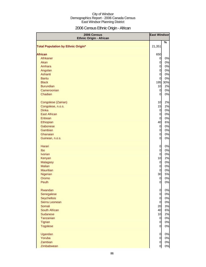# 2006 Census Ethnic Origin - African

| 2006 Census<br><b>Ethnic Origin - African</b> | <b>East Windsor</b> |     |
|-----------------------------------------------|---------------------|-----|
| <b>Total Population by Ethnic Origin*</b>     | 21,351              | %   |
|                                               |                     |     |
| <b>African</b>                                | 650                 |     |
| Afrikaner                                     | $\overline{0}$      | 0%  |
| Akan                                          | $\mathbf 0$         | 0%  |
| Amhara                                        | $\mathbf 0$         | 0%  |
| Angolan                                       | $\overline{O}$      | 0%  |
| Ashanti                                       | $\mathbf 0$         | 0%  |
| <b>Bantu</b>                                  | $\mathbf 0$         | 0%  |
| <b>Black</b>                                  | 195                 | 30% |
| <b>Burundian</b>                              | 10                  | 2%  |
| Cameroonian                                   | $\mathbf 0$         | 0%  |
| Chadian                                       | 0                   | 0%  |
| Congolese (Zairian)                           | 10                  | 2%  |
| Congolese, n.o.s.                             | 15                  | 2%  |
| <b>Dinka</b>                                  | $\overline{O}$      | 0%  |
| <b>East African</b>                           | $\mathbf 0$         | 0%  |
| Eritrean                                      | $\mathbf 0$         | 0%  |
| Ethiopian                                     | 40                  | 6%  |
| Gabonese                                      | $\overline{O}$      | 0%  |
| Gambian                                       | $\overline{0}$      | 0%  |
| Ghanaian                                      | $\overline{0}$      | 0%  |
| Guinean, n.o.s.                               | 0                   | 0%  |
| Harari                                        | $\mathbf 0$         | 0%  |
| Ibo                                           | $\overline{0}$      | 0%  |
| <b>Ivorian</b>                                | $\overline{O}$      | 0%  |
| Kenyan                                        | 10                  | 2%  |
| <b>Malagasy</b>                               | $\overline{O}$      | 0%  |
| <b>Malian</b>                                 | $\overline{O}$      | 0%  |
| <b>Mauritian</b>                              | 0                   | 0%  |
| Nigerian                                      | 30                  | 5%  |
| Oromo                                         | 0                   | 0%  |
| Peulh                                         | 0                   | 0%  |
| Rwandan                                       | $\overline{O}$      | 0%  |
| Senegalese                                    | $\overline{0}$      | 0%  |
| Seychellois                                   | $\overline{0}$      | 0%  |
| Sierra Leonean                                | $\overline{0}$      | 0%  |
| Somali                                        | 20                  | 3%  |
| South African                                 | 40                  | 6%  |
| <b>Sudanese</b>                               | 10                  | 2%  |
| Tanzanian                                     | $\overline{0}$      | 0%  |
| Tigrian                                       | $\overline{0}$      | 0%  |
| <b>Togolese</b>                               | $\overline{0}$      | 0%  |
| Ugandan                                       | $\mathbf 0$         | 0%  |
| Yoruba                                        | $\mathbf 0$         | 0%  |
| Zambian                                       | $\mathbf 0$         | 0%  |
| Zimbabwean                                    | 0                   | 0%  |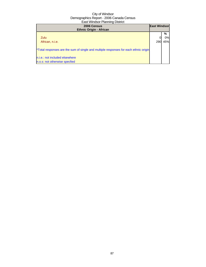| 2006 Census<br><b>Ethnic Origin - African</b>                                        | <b>East Windsor</b> |     |
|--------------------------------------------------------------------------------------|---------------------|-----|
|                                                                                      |                     | %   |
| Zulu                                                                                 |                     | 0%  |
| African, n.i.e.                                                                      | 290                 | 45% |
|                                                                                      |                     |     |
| *Total responses are the sum of single and multiple responses for each ethnic origin |                     |     |
|                                                                                      |                     |     |
| n.i.e.: not included elsewhere                                                       |                     |     |
| n.o.s: not otherwise specfied                                                        |                     |     |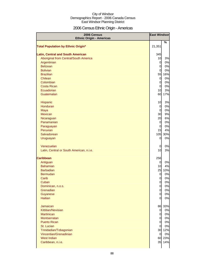# 2006 Census Ethnic Origin - Americas

| 2006 Census<br><b>Ethnic Origin - Americas</b> | <b>East Windsor</b>   |           |
|------------------------------------------------|-----------------------|-----------|
| <b>Total Population by Ethnic Origin*</b>      | 21,351                | %         |
|                                                |                       |           |
| <b>Latin, Central and South American</b>       | 345                   |           |
| Aboriginal from Central/South America          | 10                    | 3%        |
| Argentinian                                    | $\mathsf{Q}$          | 0%        |
| <b>Belizean</b>                                | $\mathsf{Q}$          | 0%        |
| <b>Bolivian</b>                                | $\overline{0}$        | 0%        |
| <b>Brazilian</b>                               | 55                    | 16%       |
| Chilean                                        | $\overline{0}$        | 0%        |
| Colombian                                      | $\overline{0}$        | 0%        |
| <b>Costa Rican</b>                             | $\overline{0}$        | 0%        |
| Ecuadorian<br>Guatemalan                       | 10<br>60              | 3%<br>17% |
|                                                |                       |           |
| Hispanic                                       | 10                    | 3%        |
| Honduran                                       | $\mathbf{0}$          | 0%        |
| Maya                                           | $\mathsf{Q}$          | 0%        |
| <b>Mexican</b>                                 | 30                    | 9%        |
| Nicaraguan                                     | 20                    | 6%        |
| Panamanian                                     | $\overline{0}$        | 0%        |
| Paraguayan                                     | $\overline{0}$        | 0%        |
| Peruvian                                       | 15                    | 4%        |
| Salvadorean                                    | 105                   | 30%       |
| Uruguayan                                      | <sub>0</sub>          | 0%        |
| Venezuelan                                     | $\mathbf 0$           | 0%        |
| Latin, Central or South American, n.i.e.       | 10                    | 3%        |
| <b>Caribbean</b>                               |                       |           |
| Antiguan                                       | 256<br>$\overline{0}$ | 0%        |
| <b>Bahamian</b>                                | 10                    | 4%        |
| <b>Barbadian</b>                               | 25                    | 10%       |
| <b>Bermudan</b>                                | $\overline{0}$        | 0%        |
| Carib                                          | 0                     | 0%        |
| Cuban                                          | $\Omega$              | 0%        |
| Dominican, n.o.s.                              | $\overline{0}$        | 0%        |
| Grenadian                                      | $\mathbf{0}$          | 0%        |
| Guyanese                                       | $\mathsf{d}$          | 0%        |
| <b>Haitian</b>                                 | $\Omega$              | 0%        |
| <b>Jamaican</b>                                |                       | 86 33%    |
| Kittitian/Nevisian                             | $\mathbf{0}$          | 0%        |
| <b>Martinican</b>                              | $\mathsf{Q}$          | 0%        |
| <b>Montserratan</b>                            | $\overline{0}$        | 0%        |
| <b>Puerto Rican</b>                            | $\overline{O}$        | 0%        |
| St. Lucian                                     | $\overline{0}$        | 0%        |
| Trinidadian/Tobagonian                         |                       | 30 12%    |
| Vincentian/Grenadinian                         | $\overline{O}$        | 0%        |
| West Indian                                    |                       | 60 23%    |
| Caribbean, n.i.e.                              | 35                    | 14%       |
|                                                |                       |           |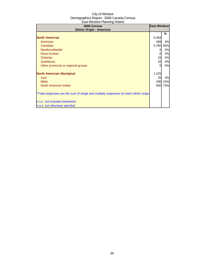| 2006 Census<br><b>Ethnic Origin - Americas</b>                                       | <b>East Windsor</b> |     |
|--------------------------------------------------------------------------------------|---------------------|-----|
|                                                                                      |                     | %   |
| <b>North American</b>                                                                | 6,084               |     |
| American                                                                             | 499                 | 8%  |
| Canadian                                                                             | 5,790               | 95% |
| Newfoundlander                                                                       | $\Omega$            | 0%  |
| Nova Scotian                                                                         | 0                   | 0%  |
| Ontarian                                                                             | 15                  | 0%  |
| Québécois                                                                            | 20                  | 0%  |
| Other provincial or regional groups                                                  | $\Omega$            | 0%  |
| <b>North American Aboriginal</b>                                                     | 1,225               |     |
| <b>Inuit</b>                                                                         | 35                  | 3%  |
| <b>Métis</b>                                                                         | 290                 | 24% |
| North American Indian                                                                | 900                 | 73% |
| *Total responses are the sum of single and multiple responses for each ethnic origin |                     |     |
| n.i.e.: not included elsewhere                                                       |                     |     |
| n.o.s: not otherwise specfied                                                        |                     |     |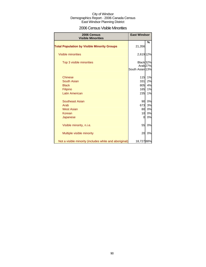### 2006 Census Visible Minorities

| 2006 Census<br><b>Visible Minorities</b>               | <b>East Windsor</b>  |                     |
|--------------------------------------------------------|----------------------|---------------------|
|                                                        |                      | %                   |
| <b>Total Population by Visible Minority Groups</b>     | 21,356               |                     |
| <b>Visible minorities</b>                              | 2,619 12%            |                     |
| Top 3 visible minorities                               | Black <sub>32%</sub> |                     |
|                                                        | South Asian 13%      | Arab <sub>27%</sub> |
|                                                        |                      |                     |
| <b>Chinese</b>                                         | 115                  | 1%                  |
| South Asian                                            | 331                  | 2%                  |
| <b>Black</b>                                           | 805                  | 4%                  |
| Filipino                                               | 165                  | 1%                  |
| <b>Latin American</b>                                  | 235                  | 1%                  |
| Southeast Asian                                        | 90                   | 0%                  |
| Arab                                                   | 673                  | 3%                  |
| <b>West Asian</b>                                      | 80                   | 0%                  |
| Korean                                                 | 10                   | 0%                  |
| Japanese                                               | 0                    | 0%                  |
| Visible minority, n.i.e.                               | 55                   | 0%                  |
| Multiple visible minority                              | 20                   | 0%                  |
| Not a visible minority (includes white and aboriginal) | 18,72788%            |                     |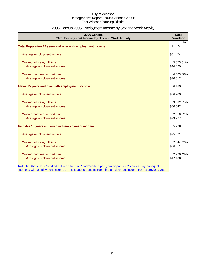# 2006 Census 2005 Employment Income by Sex and Work Activity

| 2006 Census<br>2005 Employment Income by Sex and Work Activity                                              | East<br><b>Windsor</b> |   |
|-------------------------------------------------------------------------------------------------------------|------------------------|---|
|                                                                                                             |                        | % |
| Total Population 15 years and over with employment income                                                   | 11,424                 |   |
| Average employment income                                                                                   | \$31,474               |   |
| Worked full year, full time                                                                                 | 5,873 51%              |   |
| Average employment income                                                                                   | \$44,829               |   |
| Worked part year or part time                                                                               | 4,363 38%              |   |
| Average employment income                                                                                   | \$20,012               |   |
| Males 15 years and over with employment income                                                              | 6,189                  |   |
| Average employment income                                                                                   | \$36,209               |   |
| Worked full year, full time                                                                                 | 3,382 55%              |   |
| Average employment income                                                                                   | \$50,542               |   |
| Worked part year or part time                                                                               | 2,010 32%              |   |
| Average employment income                                                                                   | \$23,227               |   |
| Females 15 years and over with employment income                                                            | 5,228                  |   |
| Average employment income                                                                                   | \$25,821               |   |
| Worked full year, full time                                                                                 | 2,444 47%              |   |
| Average employment income                                                                                   | \$36,951               |   |
| Worked part year or part time                                                                               | 2,270 43%              |   |
| Average employment income                                                                                   | \$17,100               |   |
| Note that the sum of "worked full year, full time" and "worked part year or part time" counts may not equal |                        |   |
| "persons with employment income". This is due to persons reporting employment income from a previous year.  |                        |   |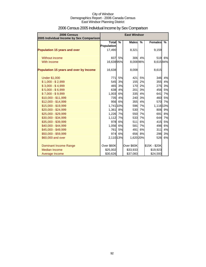| 2006 Census<br>2005 Individual Income by Sex Comparison |                                   |      | <b>East Windsor</b> |        |                |    |
|---------------------------------------------------------|-----------------------------------|------|---------------------|--------|----------------|----|
|                                                         | <b>Total</b><br><b>Population</b> | $\%$ | <b>Males</b>        | $\%$   | <b>Females</b> | %  |
| <b>Population 15 years and over</b>                     | 17,490                            |      | 8,321               |        | 9,159          |    |
| Without income                                          | 837                               | 5%   | 306                 | 4%     | 519            | 6% |
| With income                                             | 16,63895%                         |      | 8,00896%            |        | 8,61594%       |    |
| Population 15 years and over by Income                  | 16,638                            |      | 8,008               |        | 8,615          |    |
| <b>Under \$1,000</b>                                    | 771I                              | 5%   | 421                 | 5%     | 346            | 4% |
| $$1,000 - $2,999$                                       | 545                               | 3%   | 155                 | 2%     | 355            | 4% |
| $$3,000 - $4,999$                                       | 465                               | 3%   | 170                 | 2%     | 275            | 3% |
| $$5,000 - $6,999$                                       | 638                               | 4%   | 201                 | 3%     | 456            | 5% |
| $$7,000 - $9,999$                                       | 1,003                             | 6%   | 335                 | 4%     | 641            | 7% |
| \$10,000 - \$11,999                                     | 735                               | 4%   | 240                 | 3%     | 460            | 5% |
| \$12,000 - \$14,999                                     | 956                               | 6%   | 355                 | 4%     | 570            | 7% |
| \$15,000 - \$19,999                                     | 1,741 10%                         |      | 596                 | 7%     | 1,116 13%      |    |
| \$20,000 - \$24,999                                     | 1,361                             | 8%   | 530                 | 7%     | 806            | 9% |
| \$25,000 - \$29,999                                     | 1,226                             | 7%   | 550                 | 7%     | 691            | 8% |
| \$30,000 - \$34,999                                     | 1,112                             | 7%   | 533                 | 7%     | 644            | 7% |
| \$35,000 - \$39,999                                     | 978                               | 6%   | 511                 | 6%     | 415            | 5% |
| \$40,000 - \$44,999                                     | 1,056                             | 6%   | 581                 | 7%     | 496            | 6% |
| \$45,000 - \$49,999                                     | 761                               | 5%   | 491                 | 6%     | 311            | 4% |
| \$50,000 - \$59,999                                     | 974                               | 6%   |                     | 656 8% | 296            | 3% |
| \$60,000 and over                                       | 2,110 13%                         |      | 1,620 20%           |        | 526            | 6% |
| <b>Dominant Income Range</b>                            | Over \$60K                        |      | Over \$60K          |        | \$15K - \$20K  |    |
| Median Income                                           | \$25,002                          |      | \$33,933            |        | \$19,923       |    |
| Average Income                                          | \$30,626                          |      | \$37,083            |        | \$24,593       |    |

# 2006 Census 2005 Individual Income by Sex Comparison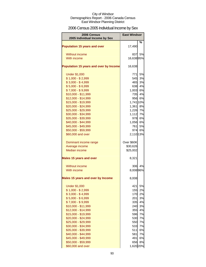# 2006 Census 2005 Individual Income by Sex

| 2006 Census<br>2005 Individual Income by Sex | <b>East Windsor</b> |    |
|----------------------------------------------|---------------------|----|
| <b>Population 15 years and over</b>          | 17,490              | %  |
| <b>Without income</b>                        | 837                 | 5% |
| With income                                  | 16,63895%           |    |
| Population 15 years and over by Income       | 16,638              |    |
| <b>Under \$1,000</b>                         | 771                 | 5% |
| $$1,000 - $2,999$                            | 545                 | 3% |
| $$3,000 - $4,999$                            | 465                 | 3% |
| $$5,000 - $6,999$                            | 638                 | 4% |
| $$7,000 - $9,999$                            | 1,003               | 6% |
| \$10,000 - \$11,999                          | 735                 | 4% |
| \$12,000 - \$14,999                          | 956                 | 6% |
| \$15,000 - \$19,999                          | 1,741 10%           |    |
| \$20,000 - \$24,999                          | 1,361               | 8% |
| \$25,000 - \$29,999                          | 1,226               | 7% |
| \$30,000 - \$34,999                          | 1,112               | 7% |
| \$35,000 - \$39,999                          | 978                 | 6% |
| \$40,000 - \$44,999                          | 1,056 6%            |    |
| \$45,000 - \$49,999                          | 761                 | 5% |
| \$50,000 - \$59,999                          | 974                 | 6% |
| \$60,000 and over                            | 2,110 13%           |    |
| Dominant income range                        | Over \$60K          |    |
| Average income                               | \$30,626            |    |
| <b>Median income</b>                         | \$25,002            |    |
| <b>Males 15 years and over</b>               | 8,321               |    |
| Without income                               | 306                 | 4% |
| With income                                  | 8,00896%            |    |
| Males 15 years and over by Income            | 8,008               |    |
| <b>Under \$1,000</b>                         | 421                 | 5% |
| $$1,000 - $2,999$                            | 155                 | 2% |
| $$3,000 - $4,999$                            | 170                 | 2% |
| $$5,000 - $6,999$                            | 201                 | 3% |
| $$7,000 - $9,999$                            | 335                 | 4% |
| \$10,000 - \$11,999                          | 240                 | 3% |
| \$12,000 - \$14,999                          | 355                 | 4% |
| \$15,000 - \$19,999                          | 596                 | 7% |
| \$20,000 - \$24,999                          | 530                 | 7% |
| \$25,000 - \$29,999                          | 550                 | 7% |
| \$30,000 - \$34,999                          | 533                 | 7% |
| \$35,000 - \$39,999                          | 511                 | 6% |
| \$40,000 - \$44,999                          | 581                 | 7% |
| \$45,000 - \$49,999                          | 491                 | 6% |
| \$50,000 - \$59,999                          | 656                 | 8% |
| \$60,000 and over                            | 1,620 20%           |    |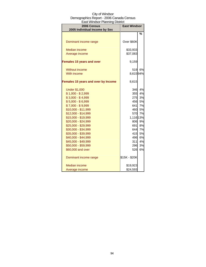| aat vyihaadi Thahimiy Diatrict<br>2006 Census<br>2005 Individual Income by Sex | <b>East Windsor</b> |    |
|--------------------------------------------------------------------------------|---------------------|----|
|                                                                                |                     | %  |
|                                                                                |                     |    |
| Dominant income range                                                          | Over \$60K          |    |
| <b>Median income</b>                                                           | \$33,933            |    |
| Average income                                                                 | \$37,083            |    |
| <b>Females 15 years and over</b>                                               | 9,159               |    |
| <b>Without income</b>                                                          | 519                 | 6% |
| With income                                                                    | 8,61594%            |    |
| Females 15 years and over by Income                                            | 8,615               |    |
| <b>Under \$1,000</b>                                                           | 346                 | 4% |
| $$1,000 - $2,999$                                                              | 355                 | 4% |
| $$3,000 - $4,999$                                                              | 275                 | 3% |
| $$5,000 - $6,999$                                                              | 456                 | 5% |
| $$7,000 - $9,999$                                                              | 641                 | 7% |
| \$10,000 - \$11,999                                                            | 460                 | 5% |
| \$12,000 - \$14,999                                                            | 570                 | 7% |
| \$15,000 - \$19,999                                                            | 1,116 13%           |    |
| \$20,000 - \$24,999                                                            | 806                 | 9% |
| \$25,000 - \$29,999                                                            | 691                 | 8% |
| \$30,000 - \$34,999                                                            | 644l                | 7% |
| \$35,000 - \$39,999                                                            | 415                 | 5% |
| \$40,000 - \$44,999                                                            | 496                 | 6% |
| \$45,000 - \$49,999                                                            | 311                 | 4% |
| \$50,000 - \$59,999                                                            | 296                 | 3% |
| \$60,000 and over                                                              | 526                 | 6% |
| Dominant income range                                                          | \$15K - \$20K       |    |
| <b>Median income</b>                                                           | \$19,923            |    |
| Average income                                                                 | \$24,593            |    |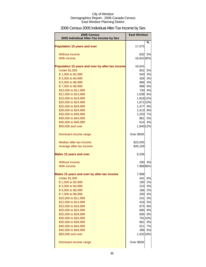# 2006 Census 2005 Individual After-Tax Income by Sex

| 2006 Census                                      | <b>East Windsor</b> |         |
|--------------------------------------------------|---------------------|---------|
| 2005 Individual After-Tax Income by Sex          |                     |         |
| <b>Population 15 years and over</b>              | 17,475              | %       |
| Without income                                   | 832                 | 5%      |
| With income                                      | 16,64195%           |         |
| Population 15 years and over by after-tax income | 16,641              |         |
| <b>Under \$1,000</b>                             | 831                 | 5%      |
| \$1,000 to \$2,999                               | 540                 | 3%      |
| \$3,000 to \$4,999                               |                     | 426 3%  |
| \$5,000 to \$6,999                               |                     | 686 4%  |
| \$7,000 to \$9,999                               |                     | 998 6%  |
| \$10,000 to \$11,999                             |                     | 730 4%  |
| \$12,000 to \$14,999                             | 1,038 6%            |         |
| \$15,000 to \$19,999                             | 1,916 12%           |         |
| \$20,000 to \$24,999                             | 1,671 10%           |         |
| \$25,000 to \$29,999                             | 1,477               | 9%      |
| \$30,000 to \$34,999                             | 1,413 8%            |         |
| \$35,000 to \$39,999                             | 1,203 7%            |         |
| \$40,000 to \$44,999                             | 881                 | 5%      |
| \$45,000 to \$49,999                             | 614                 | 4%      |
| \$50,000 and over                                | 1,940 12%           |         |
| Dominant income range                            | Over \$50K          |         |
| Median after-tax income                          | \$23,045            |         |
| Average after-tax income                         | \$26,159            |         |
| <b>Males 15 years and over</b>                   | 8,336               |         |
| Without income                                   | 290                 | 3%      |
| With income                                      | 7,98896%            |         |
| Males 15 years and over by after-tax income      | 7,988               |         |
| <b>Under \$1,000</b>                             | 441                 | 6%      |
| \$1,000 to \$2,999                               | 190                 | 2%      |
| \$3,000 to \$4,999                               |                     | 210 3%  |
| \$5,000 to \$6,999                               |                     | 186 2%  |
| \$7,000 to \$9,999                               | 330                 | 4%      |
| \$10,000 to \$11,999                             | 241                 | 3%      |
| \$12,000 to \$14,999                             | 416                 | 5%      |
| \$15,000 to \$19,999                             | 675                 | 8%      |
| \$20,000 to \$24,999                             | 685                 | 9%      |
| \$25,000 to \$29,999                             | 606                 | 8%      |
| \$30,000 to \$34,999                             |                     | 791 10% |
| \$35,000 to \$39,999                             | 681                 | 9%      |
| \$40,000 to \$44,999                             | 521                 | 7%      |
| \$45,000 to \$49,999                             | 396                 | 5%      |
| \$50,000 and over                                | 1,432 18%           |         |
| Dominant income range                            | Over \$50K          |         |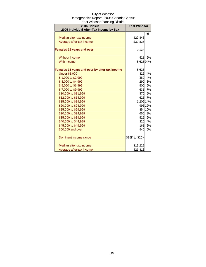| City of Windsor                          |
|------------------------------------------|
| Demographics Report - 2006 Canada Census |
| East Windsor Planning District           |

| 2006 Census<br>2005 Individual After-Tax Income by Sex | <b>East Windsor</b> |         |
|--------------------------------------------------------|---------------------|---------|
|                                                        |                     | %       |
| Median after-tax income                                | \$29,343            |         |
| Average after-tax income                               | \$30,825            |         |
| <b>Females 15 years and over</b>                       | 9,134               |         |
| Without income                                         | 521                 | 6%      |
| With income                                            | 8,62594%            |         |
| Females 15 years and over by after-tax income          | 8,625               |         |
| <b>Under \$1,000</b>                                   | 326                 | 4%      |
| \$1,000 to \$2,999                                     | 380                 | 4%      |
| \$3,000 to \$4,999                                     | 290                 | 3%      |
| \$5,000 to \$6,999                                     | 500                 | 6%      |
| \$7,000 to \$9,999                                     |                     | 631 7%  |
| \$10,000 to \$11,999                                   |                     | 470 5%  |
| \$12,000 to \$14,999                                   |                     | 625 7%  |
| \$15,000 to \$19,999                                   | 1,206 14%           |         |
| \$20,000 to \$24,999                                   |                     | 996 12% |
| \$25,000 to \$29,999                                   |                     | 854 10% |
| \$30,000 to \$34,999                                   | 650                 | 8%      |
| \$35,000 to \$39,999                                   | 525                 | 6%      |
| \$40,000 to \$44,999                                   | 320                 | 4%      |
| \$45,000 to \$49,999                                   | 161                 | 2%      |
| \$50,000 and over                                      | 546                 | 6%      |
| Dominant income range                                  | \$15K to \$20K      |         |
| Median after-tax income                                | \$19,222            |         |
| Average after-tax income                               | \$21,818            |         |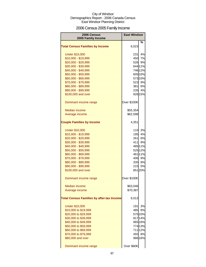# 2006 Census 2005 Family Income

| 2006 Census<br>2005 Family Income                | <b>East Windsor</b> |         |
|--------------------------------------------------|---------------------|---------|
|                                                  |                     | %       |
| <b>Total Census Families by Income</b>           | 6,023               |         |
| <b>Under \$10,000</b>                            | 231                 | 4%      |
| \$10,000 - \$19,999                              | 450                 | 7%      |
| \$20,000 - \$29,999                              | 526                 | 9%      |
| \$30,000 - \$39,999                              |                     | 644 11% |
| \$40,000 - \$49,999                              |                     | 746 12% |
| \$50,000 - \$59,999                              |                     | 605 10% |
| \$60,000 - \$69,999                              |                     | 573 10% |
| \$70,000 - \$79,999                              |                     | 523 9%  |
| \$80,000 - \$89,999                              | 381                 | 6%      |
| \$90,000 - \$99,999                              |                     | 235 4%  |
| \$100,000 and over                               |                     | 926 15% |
| Dominant income range                            | Over \$100K         |         |
| <b>Median income</b>                             | \$55,354            |         |
| Average income                                   | \$62,598            |         |
| <b>Couple Families by Income</b>                 | 4,351               |         |
| <b>Under \$10,000</b>                            | 110                 | 3%      |
| \$10,000 - \$19,999                              | 195                 | 4%      |
| \$20,000 - \$29,999                              | 261                 | 6%      |
| \$30,000 - \$39,999                              | 411                 | 9%      |
| \$40,000 - \$49,999                              |                     | 485 11% |
| \$50,000 - \$59,999                              |                     | 525 12% |
| \$60,000 - \$69,999                              |                     | 461 11% |
| \$70,000 - \$79,999                              |                     | 406 9%  |
| \$80,000 - \$89,999                              |                     | 335 8%  |
| \$90,000 - \$99,999                              | 215                 | 5%      |
| \$100,000 and over                               |                     | 85120%  |
| Dominant income range                            | Over \$100K         |         |
| <b>Median income</b>                             | \$63,046            |         |
| Average income                                   | \$70,387            |         |
| <b>Total Census Families by after-tax Income</b> | 6,013               |         |
| <b>Under \$10,000</b>                            | 191                 | 3%      |
| \$10,000 to \$19,999                             | 485                 | 8%      |
| \$20,000 to \$29,999                             |                     | 575 10% |
| \$30,000 to \$39,999                             |                     | 817 14% |
| \$40,000 to \$49,999                             |                     | 965 16% |
| \$50,000 to \$59,999                             |                     | 774 13% |
| \$60,000 to \$69,999                             |                     | 711 12% |
| \$70,000 to \$79,999                             | 455                 | 8%      |
| \$80,000 and over                                |                     | 986 16% |
| Dominant income range                            | Over \$80K          |         |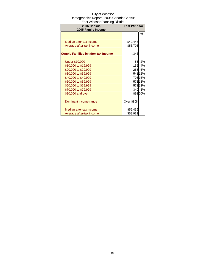| 2006 Census<br>2005 Family Income          | <b>East Windsor</b> |        |
|--------------------------------------------|---------------------|--------|
|                                            |                     | %      |
|                                            |                     |        |
| Median after-tax income                    | \$49,448            |        |
| Average after-tax income                   | \$53,703            |        |
|                                            |                     |        |
| <b>Couple Families by after-tax Income</b> | 4,346               |        |
| <b>Under \$10,000</b>                      | 85                  | 2%     |
| \$10,000 to \$19,999                       | <b>155</b>          | 4%     |
| \$20,000 to \$29,999                       | 265                 | 6%     |
| \$30,000 to \$39,999                       |                     | 54112% |
| \$40,000 to \$49,999                       |                     | 70516% |
| \$50,000 to \$59,999                       |                     | 57313% |
| \$60,000 to \$69,999                       |                     | 57113% |
| \$70,000 to \$79,999                       |                     | 340 8% |
| \$80,000 and over                          |                     | 89120% |
| Dominant income range                      | Over \$80K          |        |
| Median after-tax income                    | \$55,436            |        |
| Average after-tax income                   | \$59,931            |        |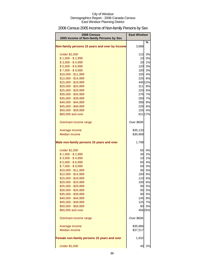# 2006 Census 2005 Income of Non-family Persons by Sex

| 2006 Census<br>2005 Income of Non-family Persons by Sex | <b>East Windsor</b> |               |
|---------------------------------------------------------|---------------------|---------------|
| Non-family persons 15 years and over by Income          | 3,688               | %             |
| <b>Under \$1,000</b>                                    | 115                 | 3%            |
| $$1,000 - $2,999$                                       | 10 <sup>1</sup>     | 0%            |
| $$3,000 - $4,999$                                       | 20                  | 1%            |
| $$5,000 - $6,999$                                       | 120                 | 3%            |
| $$7,000 - $9,999$                                       |                     | 100 3%        |
| \$10,000 - \$11,999                                     |                     | 155 4%        |
| \$12,000 - \$14,999                                     | 225                 | 6%            |
| \$15,000 - \$19,999                                     |                     | 445 12%       |
| \$20,000 - \$24,999                                     | 311                 | 8%            |
| \$25,000 - \$29,999                                     |                     | 225 6%        |
| \$30,000 - \$34,999                                     | 276                 | 7%            |
| \$35,000 - \$39,999                                     |                     | 250 7%        |
| \$40,000 - \$44,999                                     | 306                 | 8%            |
| \$45,000 - \$49,999                                     | 226                 | 6%            |
| \$50,000 - \$59,999<br>\$60,000 and over                | 155                 | 4%<br>621 17% |
|                                                         |                     |               |
| Dominant income range                                   | Over \$60K          |               |
| Average income                                          | \$35,133            |               |
| <b>Median income</b>                                    | \$30,969            |               |
| Male non-family persons 15 years and over               | 1,798               |               |
| <b>Under \$1,000</b>                                    | 65                  | 4%            |
| $$1,000 - $2,999$                                       | 30                  | 2%            |
| $$3,000 - $4,999$                                       | 10                  | 1%            |
| $$5,000 - $6,999$                                       | 65                  | 4%            |
| $$7,000 - $9,999$                                       | 50                  | 3%            |
| $$10,000 - $11,999$                                     | 95                  | 5%            |
| \$12,000 - \$14,999                                     |                     | 100 6%        |
| \$15,000 - \$19,999                                     | 110                 | 6%            |
| \$20,000 - \$24,999                                     | 100                 | 6%            |
| \$25,000 - \$29,999                                     | 95                  | 5%            |
| \$30,000 - \$34,999                                     | 95                  | 5%            |
| \$35,000 - \$39,999<br>\$40,000 - \$44,999              | 90                  | 5%<br>145 8%  |
| \$45,000 - \$49,999                                     | 125                 | 7%            |
| \$50,000 - \$59,999                                     | 90                  | 5%            |
| \$60,000 and over                                       |                     | 456 25%       |
|                                                         |                     |               |
| Dominant income range                                   | Over \$60K          |               |
| Average income                                          | \$35,866            |               |
| <b>Median income</b>                                    | \$37,517            |               |
| Female non-family persons 15 years and over             | 1,932               |               |
| <b>Under \$1,000</b>                                    | 40                  | 2%            |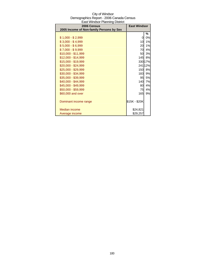| <b>East Windsor Planning District</b>                   |                     |         |
|---------------------------------------------------------|---------------------|---------|
| 2006 Census<br>2005 Income of Non-family Persons by Sex | <b>East Windsor</b> |         |
|                                                         |                     |         |
|                                                         |                     | %       |
| $$1,000 - $2,999$                                       | 0                   | 0%      |
| $$3,000 - $4,999$                                       | 10                  | 1%      |
| $$5,000 - $6,999$                                       | 20                  | 1%      |
| \$7,000 - \$9,999                                       | 70                  | 4%      |
| \$10,000 - \$11,999                                     | 50                  | 3%      |
| $$12,000 - $14,999$                                     | 145                 | 8%      |
| \$15,000 - \$19,999                                     |                     | 330 17% |
| \$20,000 - \$24,999                                     |                     | 241 12% |
| \$25,000 - \$29,999                                     | 150                 | 8%      |
| \$30,000 - \$34,999                                     | 183                 | 9%      |
| \$35,000 - \$39,999                                     | 95                  | 5%      |
| \$40,000 - \$44,999                                     | 140                 | 7%      |
| \$45,000 - \$49,999                                     | 80                  | 4%      |
| \$50,000 - \$59,999                                     | 75                  | 4%      |
| \$60,000 and over                                       | 165                 | 9%      |
|                                                         |                     |         |
| Dominant income range                                   | \$15K - \$20K       |         |
|                                                         |                     |         |
| Median income                                           | \$24,821            |         |
| Average income                                          | \$29,257            |         |

# City of Windsor Demographics Report - 2006 Canada Census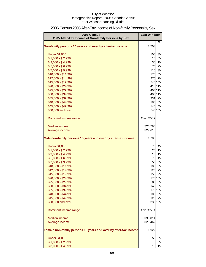| 2006 Census<br>2005 After-Tax Income of Non-family Persons by Sex | <b>East Windsor</b> |               |
|-------------------------------------------------------------------|---------------------|---------------|
| Non-family persons 15 years and over by after-tax income          | 3,708               | %             |
|                                                                   |                     |               |
| <b>Under \$1,000</b>                                              | 100                 | 3%            |
| $$1,000 - $2,999$                                                 | 10                  | 0%            |
| $$3,000 - $4,999$                                                 | 30                  | 1%            |
| $$5,000 - $6,999$                                                 | 75                  | 2%            |
| $$7,000 - $9,999$                                                 |                     | 110 3%        |
| $$10,000 - $11,999$                                               |                     | 170 5%        |
| \$12,000 - \$14,999                                               |                     | 275 7%        |
| \$15,000 - \$19,999                                               |                     | 540 15%       |
| \$20,000 - \$24,999                                               |                     | 416 11%       |
| \$25,000 - \$29,999                                               |                     | 403 11%       |
| \$30,000 - \$34,999                                               |                     | 405 11%       |
| \$35,000 - \$39,999<br>\$40,000 - \$44,999                        | 185                 | 331 9%<br>5%  |
| \$45,000 - \$49,999                                               |                     | 146 4%        |
| \$50,000 and over                                                 |                     | 546 15%       |
|                                                                   |                     |               |
| Dominant income range                                             | Over \$50K          |               |
| Median income                                                     | \$26,795            |               |
| Average income                                                    | \$29,615            |               |
|                                                                   |                     |               |
| Male non-family persons 15 years and over by after-tax income     | 1,783               |               |
| <b>Under \$1,000</b>                                              | 75                  | 4%            |
| $$1,000 - $2,999$                                                 | 20                  | 1%            |
| $$3,000 - $4,999$                                                 | 10                  | 1%            |
| $$5,000 - $6,999$                                                 | 75                  | 4%            |
| $$7,000 - $9,999$                                                 | 50                  | 3%            |
| \$10,000 - \$11,999                                               | 105                 | 6%            |
| \$12,000 - \$14,999                                               | 125                 | 7%            |
| \$15,000 - \$19,999                                               | 155                 | 9%            |
| \$20,000 - \$24,999                                               |                     | 170 10%       |
| \$25,000 - \$29,999                                               | 85                  | 5%            |
| \$30,000 - \$34,999                                               |                     | 140 8%        |
| \$35,000 - \$39,999                                               |                     | 170 10%       |
| \$40,000 - \$44,999                                               |                     | 100 6%        |
| \$45,000 - \$49,999<br>\$50,000 and over                          | 125                 | 7%<br>336 19% |
|                                                                   |                     |               |
| Dominant income range                                             | Over \$50K          |               |
| Median income                                                     | \$30,011            |               |
| Average income                                                    | \$29,462            |               |
| Female non-family persons 15 years and over by after-tax income   | 1,922               |               |
| <b>Under \$1,000</b>                                              | 50                  | 3%            |
| $$1,000 - $2,999$                                                 | 0                   | 0%            |
| $$3,000 - $4,999$                                                 | 10                  | 1%            |

# 2006 Census 2005 After-Tax Income of Non-family Persons by Sex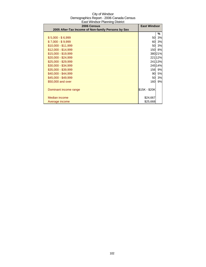| <b>2006 Census</b><br>2005 After-Tax Income of Non-family Persons by Sex | <b>East Windsor</b> |        |
|--------------------------------------------------------------------------|---------------------|--------|
|                                                                          |                     | ℅      |
| $$5,000 - $6,999$                                                        | 50                  | 3%     |
| $$7,000 - $9,999$                                                        | 60                  | 3%     |
| \$10,000 - \$11,999                                                      | 50                  | 3%     |
| $$12,000 - $14,999$                                                      | 150I                | 8%     |
| \$15,000 - \$19,999                                                      |                     | 38021% |
| $$20,000 - $24,999$                                                      |                     | 22112% |
| \$25,000 - \$29,999                                                      |                     | 24113% |
| \$30,000 - \$34,999                                                      |                     | 24514% |
| \$35,000 - \$39,999                                                      | 156                 | 9%     |
| \$40,000 - \$44,999                                                      | 90                  | 5%     |
| \$45,000 - \$49,999                                                      | 50                  | 3%     |
| \$50,000 and over                                                        | 160                 | 9%     |
|                                                                          |                     |        |
| Dominant income range                                                    | \$15K - \$20K       |        |
|                                                                          |                     |        |
| Median income                                                            | \$24,667            |        |
| Average income                                                           | \$25,668            |        |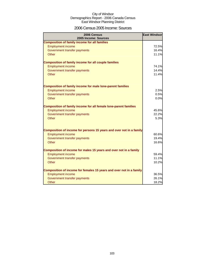### 2006 Census 2005 Income: Sources

| 2006 Census<br>2005 Income: Sources                                     | <b>East Windsor</b> |
|-------------------------------------------------------------------------|---------------------|
| <b>Composition of family income for all families</b>                    |                     |
| <b>Employment income</b>                                                | 72.5%               |
| Government transfer payments                                            | 16.4%               |
| Other                                                                   | 11.1%               |
| <b>Composition of family income for all couple families</b>             |                     |
| <b>Employment income</b>                                                | 74.1%               |
| Government transfer payments                                            | 14.4%               |
| Other                                                                   | 11.4%               |
| <b>Composition of family income for male lone-parent families</b>       |                     |
| <b>Employment income</b>                                                | 2.5%                |
| Government transfer payments                                            | 0.5%                |
| Other                                                                   | 0.0%                |
| <b>Composition of family income for all female lone-parent families</b> |                     |
| <b>Employment income</b>                                                | 45.6%               |
| Government transfer payments                                            | 22.2%               |
| Other                                                                   | 5.3%                |
| Composition of income for persons 15 years and over not in a family     |                     |
| <b>Employment income</b>                                                | 60.6%               |
| Government transfer payments                                            | 19.4%               |
| Other                                                                   | 16.6%               |
| Composition of income for males 15 years and over not in a family       |                     |
| <b>Employment income</b>                                                | 59.4%               |
| Government transfer payments                                            | 11.1%               |
| Other                                                                   | 10.2%               |
| Composition of income for females 15 years and over not in a family     |                     |
| <b>Employment income</b>                                                | 36.5%               |
| Government transfer payments                                            | 26.1%               |
| Other                                                                   | 18.2%               |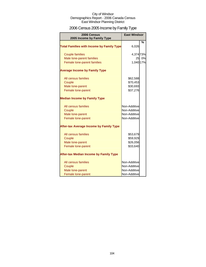# 2006 Census 2005 Income by Family Type

| 2006 Census<br>2005 Income by Family Type        | <b>East Windsor</b> |               |
|--------------------------------------------------|---------------------|---------------|
| <b>Total Families with Income by Family Type</b> | 6,026               | $\frac{0}{0}$ |
| <b>Couple families</b>                           | 4,374 73%           |               |
| Male lone-parent families                        | 25                  | 0%            |
| Female lone-parent families                      | 1,040 17%           |               |
| <b>Average Income by Family Type</b>             |                     |               |
| All census families                              | \$62,588            |               |
| Couple                                           | \$70,453            |               |
| Male lone-parent                                 | \$30,693            |               |
| Female lone-parent                               | \$37,276            |               |
| <b>Median Income by Family Type</b>              |                     |               |
| All census families                              | Non-Additive        |               |
| Couple                                           | Non-Additive        |               |
| Male lone-parent                                 | Non-Additive        |               |
| Female lone-parent                               | Non-Additive        |               |
| <b>After-tax Average Income by Family Type</b>   |                     |               |
| All census families                              | \$53,679            |               |
| Couple                                           | \$59,929            |               |
| Male lone-parent                                 | \$26,056            |               |
| Female lone-parent                               | \$33,640            |               |
| <b>After-tax Median Income by Family Type</b>    |                     |               |
| All census families                              | Non-Additive        |               |
| Couple                                           | Non-Additive        |               |
| Male lone-parent                                 | Non-Additive        |               |
| Female lone-parent                               | Non-Additive        |               |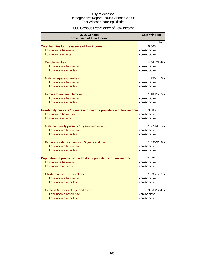### 2006 Census Prevalence of Low Income

| 2006 Census                                                      | <b>East Windsor</b> |             |
|------------------------------------------------------------------|---------------------|-------------|
| <b>Prevalence of Low Income</b>                                  |                     |             |
|                                                                  |                     | %           |
| Total families by prevalence of low income                       | 6,003               |             |
| Low income before tax                                            | Non-Additive        |             |
| Low income after tax                                             | Non-Additive        |             |
| <b>Couple families</b>                                           |                     | 4,344 72.4% |
| Low income before tax                                            | Non-Additive        |             |
| Low income after tax                                             | Non-Additive        |             |
| Male lone-parent families                                        | 250                 | 4.2%        |
| Low income before tax                                            | Non-Additive        |             |
| Low income after tax                                             | Non-Additive        |             |
| Female lone-parent families                                      |                     | 1,183 19.7% |
| Low income before tax                                            | Non-Additive        |             |
| Low income after tax                                             | Non-Additive        |             |
| Non-family persons 15 years and over by prevalence of low income | 3,685               |             |
| Low income before tax                                            | Non-Additive        |             |
| Low income after tax                                             | Non-Additive        |             |
| Male non-family persons 15 years and over                        |                     | 1,77348.1%  |
| Low income before tax                                            | Non-Additive        |             |
| Low income after tax                                             | Non-Additive        |             |
| Female non-family persons 15 years and over                      |                     | 1,89051.3%  |
| Low income before tax                                            | Non-Additive        |             |
| Low income after tax                                             | Non-Additive        |             |
| Population in private households by prevalence of low income     | 21,321              |             |
| Low income before tax                                            | Non-Additive        |             |
| Low income after tax                                             | Non-Additive        |             |
| Children under 6 years of age                                    | 1,535               | 7.2%        |
| Low income before tax                                            | Non-Additive        |             |
| Low income after tax                                             | Non-Additive        |             |
| Persons 65 years of age and over                                 |                     | 3,060 14.4% |
| Low income before tax                                            | Non-Additive        |             |
| Low income after tax                                             | Non-Additive        |             |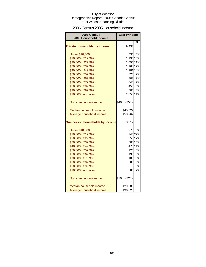### 2006 Census 2005 Household Income

| 2006 Census<br>2005 Household Income | <b>East Windsor</b> |         |
|--------------------------------------|---------------------|---------|
|                                      |                     | %       |
| <b>Private households by income</b>  | 9,438               |         |
| <b>Under \$10,000</b>                |                     | 535 6%  |
| \$10,000 - \$19,999                  | 1,195 13%           |         |
| \$20,000 - \$29,999                  | 1,055 11%           |         |
| \$30,000 - \$39,999                  | 1,164 12%           |         |
| \$40,000 - \$49,999                  | 1,281 14%           |         |
| \$50,000 - \$59,999                  |                     | 820 9%  |
| \$60,000 - \$69,999                  |                     | 808 9%  |
| \$70,000 - \$79,999                  | 643                 | 7%      |
| \$80,000 - \$89,999                  |                     | 455 5%  |
| \$90,000 - \$99,999                  | 300                 | 3%      |
| \$100,000 and over                   | 1,058 11%           |         |
| Dominant income range                | \$40K - \$50K       |         |
| Median household income              | \$45,529            |         |
| Average household income             | \$53,767            |         |
| One person households by income      | 3,317               |         |
| <b>Under \$10,000</b>                |                     | 275 8%  |
| \$10,000 - \$19,999                  |                     | 745 22% |
| \$20,000 - \$29,999                  |                     | 550 17% |
| \$30,000 - \$39,999                  |                     | 508 15% |
| \$40,000 - \$49,999                  |                     | 470 14% |
| \$50,000 - \$59,999                  |                     | 125 4%  |
| \$60,000 - \$69,999                  | 195                 | 6%      |
| \$70,000 - \$79,999                  | 105                 | 3%      |
| \$80,000 - \$89,999                  | 85                  | 3%      |
| \$90,000 - \$99,999                  | 0                   | 0%      |
| \$100,000 and over                   | 80                  | 2%      |
| Dominant income range                | \$10K - \$20K       |         |
| Median household income              | \$29,986            |         |
| Average household income             | \$36,025            |         |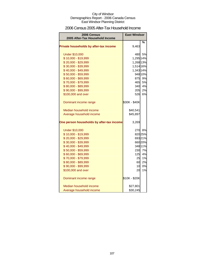### 2006 Census 2005 After-Tax Household Income

| 2006 Census                               | <b>East Windsor</b> |         |
|-------------------------------------------|---------------------|---------|
| 2005 After-Tax Household Income           |                     |         |
| Private households by after-tax income    | 9,463               | %       |
| <b>Under \$10,000</b>                     |                     | 480 5%  |
| \$10,000 - \$19,999                       | 1,295 14%           |         |
| \$20,000 - \$29,999                       | 1,268 13%           |         |
| \$30,000 - \$39,999                       | 1,514 16%           |         |
| \$40,000 - \$49,999                       | 1,343 14%           |         |
| \$50,000 - \$59,999                       |                     | 948 10% |
| \$60,000 - \$69,999                       |                     | 875 9%  |
| \$70,000 - \$79,999                       |                     | 465 5%  |
| \$80,000 - \$89,999                       | 340                 | 4%      |
| \$90,000 - \$99,999                       | 205                 | 2%      |
| \$100,000 and over                        |                     | 526 6%  |
| Dominant income range                     | \$30K - \$40K       |         |
| Median household income                   | \$40,541            |         |
| Average household income                  | \$45,897            |         |
| One person households by after-tax income | 3,269               |         |
| <b>Under \$10,000</b>                     |                     | 270 8%  |
| \$10,000 - \$19,999                       |                     | 820 25% |
| \$20,000 - \$29,999                       |                     | 69321%  |
| \$30,000 - \$39,999                       |                     | 660 20% |
| \$40,000 - \$49,999                       |                     | 348 11% |
| \$50,000 - \$59,999                       |                     | 230 7%  |
| \$60,000 - \$69,999                       |                     | 125 4%  |
| \$70,000 - \$79,999                       | 25                  | 1%      |
| \$80,000 - \$89,999                       | 60                  | 2%      |
| \$90,000 - \$99,999                       | 10                  | 0%      |
| \$100,000 and over                        | 20                  | 1%      |
| Dominant income range                     | \$10K - \$20K       |         |
| Median household income                   | \$27,801            |         |
| Average household income                  | \$30,245            |         |